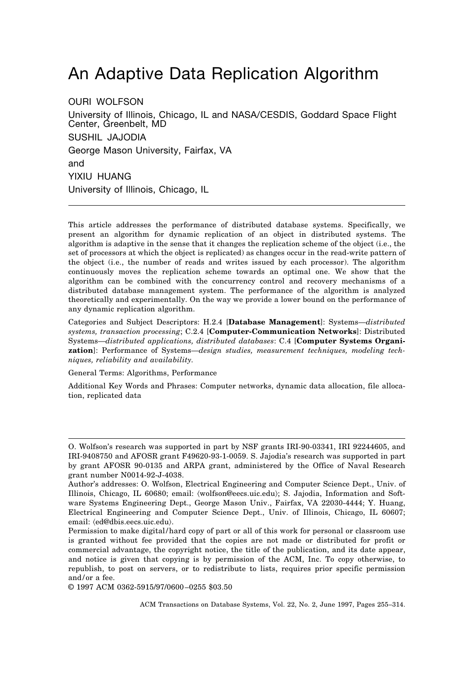# An Adaptive Data Replication Algorithm

OURI WOLFSON University of Illinois, Chicago, IL and NASA/CESDIS, Goddard Space Flight Center, Greenbelt, MD SUSHIL JAJODIA George Mason University, Fairfax, VA and YIXIU HUANG University of Illinois, Chicago, IL

This article addresses the performance of distributed database systems. Specifically, we present an algorithm for dynamic replication of an object in distributed systems. The algorithm is adaptive in the sense that it changes the replication scheme of the object (i.e., the set of processors at which the object is replicated) as changes occur in the read-write pattern of the object (i.e., the number of reads and writes issued by each processor). The algorithm continuously moves the replication scheme towards an optimal one. We show that the algorithm can be combined with the concurrency control and recovery mechanisms of a distributed database management system. The performance of the algorithm is analyzed theoretically and experimentally. On the way we provide a lower bound on the performance of any dynamic replication algorithm.

Categories and Subject Descriptors: H.2.4 [**Database Management**]: Systems—*distributed systems, transaction processing*; C.2.4 [**Computer-Communication Networks**]: Distributed Systems—*distributed applications, distributed databases*: C.4 [**Computer Systems Organization**]: Performance of Systems—*design studies, measurement techniques, modeling techniques, reliability and availability.*

General Terms: Algorithms, Performance

Additional Key Words and Phrases: Computer networks, dynamic data allocation, file allocation, replicated data

© 1997 ACM 0362-5915/97/0600–0255 \$03.50

ACM Transactions on Database Systems, Vol. 22, No. 2, June 1997, Pages 255–314.

O. Wolfson's research was supported in part by NSF grants IRI-90-03341, IRI 92244605, and IRI-9408750 and AFOSR grant F49620-93-1-0059. S. Jajodia's research was supported in part by grant AFOSR 90-0135 and ARPA grant, administered by the Office of Naval Research grant number N0014-92-J-4038.

Author's addresses: O. Wolfson, Electrical Engineering and Computer Science Dept., Univ. of Illinois, Chicago, IL 60680; email:  $\langle \text{wolfson@eecs.uic.edu} \rangle$ ; S. Jajodia, Information and Software Systems Engineering Dept., George Mason Univ., Fairfax, VA 22030-4444; Y. Huang, Electrical Engineering and Computer Science Dept., Univ. of Illinois, Chicago, IL 60607; email:  $\langle$ ed@dbis.eecs.uic.edu $\rangle$ .

Permission to make digital/hard copy of part or all of this work for personal or classroom use is granted without fee provided that the copies are not made or distributed for profit or commercial advantage, the copyright notice, the title of the publication, and its date appear, and notice is given that copying is by permission of the ACM, Inc. To copy otherwise, to republish, to post on servers, or to redistribute to lists, requires prior specific permission and/or a fee.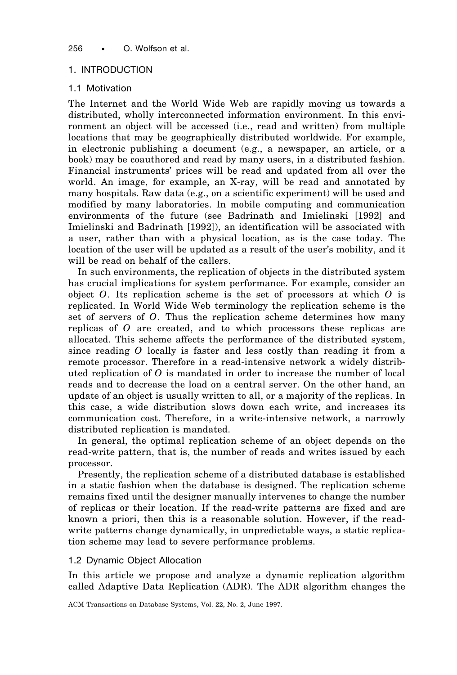## 1. INTRODUCTION

## 1.1 Motivation

The Internet and the World Wide Web are rapidly moving us towards a distributed, wholly interconnected information environment. In this environment an object will be accessed (i.e., read and written) from multiple locations that may be geographically distributed worldwide. For example, in electronic publishing a document (e.g., a newspaper, an article, or a book) may be coauthored and read by many users, in a distributed fashion. Financial instruments' prices will be read and updated from all over the world. An image, for example, an X-ray, will be read and annotated by many hospitals. Raw data (e.g., on a scientific experiment) will be used and modified by many laboratories. In mobile computing and communication environments of the future (see Badrinath and Imielinski [1992] and Imielinski and Badrinath [1992]), an identification will be associated with a user, rather than with a physical location, as is the case today. The location of the user will be updated as a result of the user's mobility, and it will be read on behalf of the callers.

In such environments, the replication of objects in the distributed system has crucial implications for system performance. For example, consider an object *O*. Its replication scheme is the set of processors at which *O* is replicated. In World Wide Web terminology the replication scheme is the set of servers of *O*. Thus the replication scheme determines how many replicas of *O* are created, and to which processors these replicas are allocated. This scheme affects the performance of the distributed system, since reading *O* locally is faster and less costly than reading it from a remote processor. Therefore in a read-intensive network a widely distributed replication of *O* is mandated in order to increase the number of local reads and to decrease the load on a central server. On the other hand, an update of an object is usually written to all, or a majority of the replicas. In this case, a wide distribution slows down each write, and increases its communication cost. Therefore, in a write-intensive network, a narrowly distributed replication is mandated.

In general, the optimal replication scheme of an object depends on the read-write pattern, that is, the number of reads and writes issued by each processor.

Presently, the replication scheme of a distributed database is established in a static fashion when the database is designed. The replication scheme remains fixed until the designer manually intervenes to change the number of replicas or their location. If the read-write patterns are fixed and are known a priori, then this is a reasonable solution. However, if the readwrite patterns change dynamically, in unpredictable ways, a static replication scheme may lead to severe performance problems.

## 1.2 Dynamic Object Allocation

In this article we propose and analyze a dynamic replication algorithm called Adaptive Data Replication (ADR). The ADR algorithm changes the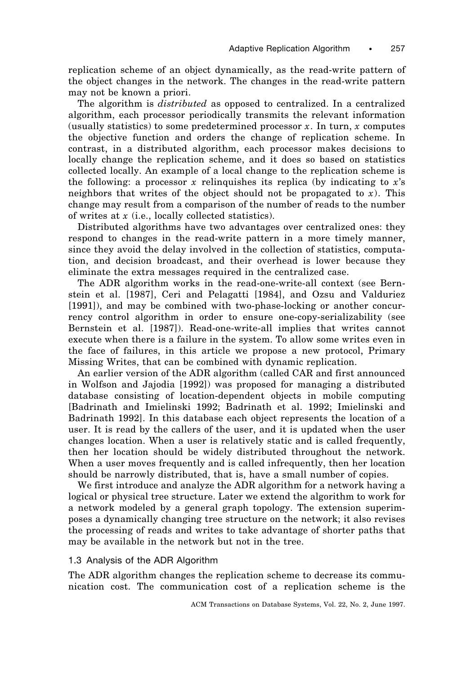replication scheme of an object dynamically, as the read-write pattern of the object changes in the network. The changes in the read-write pattern may not be known a priori.

The algorithm is *distributed* as opposed to centralized. In a centralized algorithm, each processor periodically transmits the relevant information (usually statistics) to some predetermined processor *x*. In turn, *x* computes the objective function and orders the change of replication scheme. In contrast, in a distributed algorithm, each processor makes decisions to locally change the replication scheme, and it does so based on statistics collected locally. An example of a local change to the replication scheme is the following: a processor *x* relinquishes its replica (by indicating to *x*'s neighbors that writes of the object should not be propagated to *x*). This change may result from a comparison of the number of reads to the number of writes at *x* (i.e., locally collected statistics).

Distributed algorithms have two advantages over centralized ones: they respond to changes in the read-write pattern in a more timely manner, since they avoid the delay involved in the collection of statistics, computation, and decision broadcast, and their overhead is lower because they eliminate the extra messages required in the centralized case.

The ADR algorithm works in the read-one-write-all context (see Bernstein et al. [1987], Ceri and Pelagatti [1984], and Ozsu and Valduriez [1991]), and may be combined with two-phase-locking or another concurrency control algorithm in order to ensure one-copy-serializability (see Bernstein et al. [1987]). Read-one-write-all implies that writes cannot execute when there is a failure in the system. To allow some writes even in the face of failures, in this article we propose a new protocol, Primary Missing Writes, that can be combined with dynamic replication.

An earlier version of the ADR algorithm (called CAR and first announced in Wolfson and Jajodia [1992]) was proposed for managing a distributed database consisting of location-dependent objects in mobile computing [Badrinath and Imielinski 1992; Badrinath et al. 1992; Imielinski and Badrinath 1992]. In this database each object represents the location of a user. It is read by the callers of the user, and it is updated when the user changes location. When a user is relatively static and is called frequently, then her location should be widely distributed throughout the network. When a user moves frequently and is called infrequently, then her location should be narrowly distributed, that is, have a small number of copies.

We first introduce and analyze the ADR algorithm for a network having a logical or physical tree structure. Later we extend the algorithm to work for a network modeled by a general graph topology. The extension superimposes a dynamically changing tree structure on the network; it also revises the processing of reads and writes to take advantage of shorter paths that may be available in the network but not in the tree.

### 1.3 Analysis of the ADR Algorithm

The ADR algorithm changes the replication scheme to decrease its communication cost. The communication cost of a replication scheme is the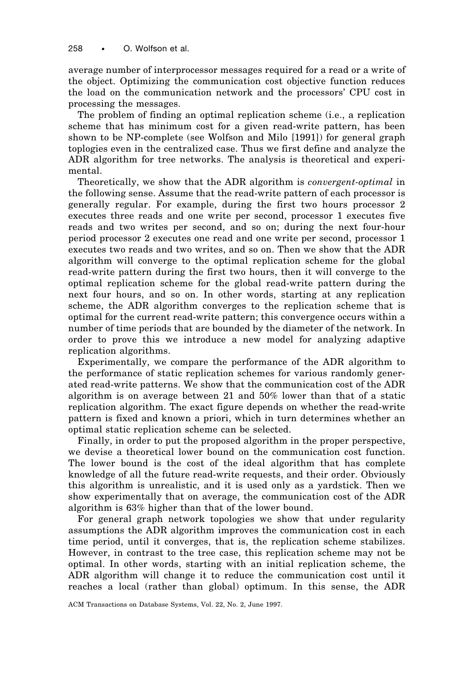average number of interprocessor messages required for a read or a write of the object. Optimizing the communication cost objective function reduces the load on the communication network and the processors' CPU cost in processing the messages.

The problem of finding an optimal replication scheme (i.e., a replication scheme that has minimum cost for a given read-write pattern, has been shown to be NP-complete (see Wolfson and Milo [1991]) for general graph toplogies even in the centralized case. Thus we first define and analyze the ADR algorithm for tree networks. The analysis is theoretical and experimental.

Theoretically, we show that the ADR algorithm is *convergent-optimal* in the following sense. Assume that the read-write pattern of each processor is generally regular. For example, during the first two hours processor 2 executes three reads and one write per second, processor 1 executes five reads and two writes per second, and so on; during the next four-hour period processor 2 executes one read and one write per second, processor 1 executes two reads and two writes, and so on. Then we show that the ADR algorithm will converge to the optimal replication scheme for the global read-write pattern during the first two hours, then it will converge to the optimal replication scheme for the global read-write pattern during the next four hours, and so on. In other words, starting at any replication scheme, the ADR algorithm converges to the replication scheme that is optimal for the current read-write pattern; this convergence occurs within a number of time periods that are bounded by the diameter of the network. In order to prove this we introduce a new model for analyzing adaptive replication algorithms.

Experimentally, we compare the performance of the ADR algorithm to the performance of static replication schemes for various randomly generated read-write patterns. We show that the communication cost of the ADR algorithm is on average between 21 and 50% lower than that of a static replication algorithm. The exact figure depends on whether the read-write pattern is fixed and known a priori, which in turn determines whether an optimal static replication scheme can be selected.

Finally, in order to put the proposed algorithm in the proper perspective, we devise a theoretical lower bound on the communication cost function. The lower bound is the cost of the ideal algorithm that has complete knowledge of all the future read-write requests, and their order. Obviously this algorithm is unrealistic, and it is used only as a yardstick. Then we show experimentally that on average, the communication cost of the ADR algorithm is 63% higher than that of the lower bound.

For general graph network topologies we show that under regularity assumptions the ADR algorithm improves the communication cost in each time period, until it converges, that is, the replication scheme stabilizes. However, in contrast to the tree case, this replication scheme may not be optimal. In other words, starting with an initial replication scheme, the ADR algorithm will change it to reduce the communication cost until it reaches a local (rather than global) optimum. In this sense, the ADR

ACM Transactions on Database Systems, Vol. 22, No. 2, June 1997.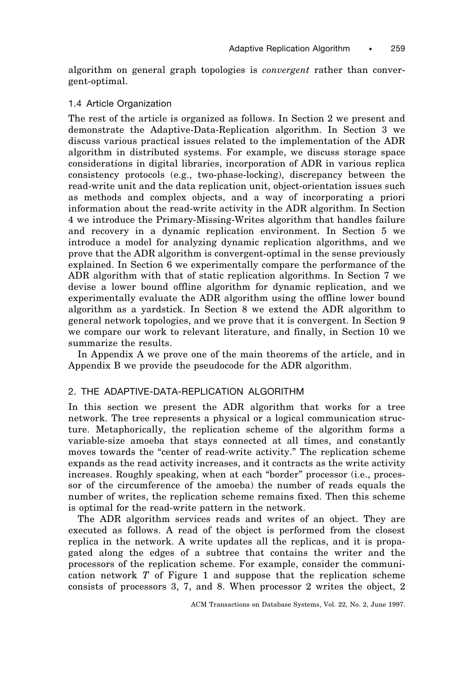algorithm on general graph topologies is *convergent* rather than convergent-optimal.

#### 1.4 Article Organization

The rest of the article is organized as follows. In Section 2 we present and demonstrate the Adaptive-Data-Replication algorithm. In Section 3 we discuss various practical issues related to the implementation of the ADR algorithm in distributed systems. For example, we discuss storage space considerations in digital libraries, incorporation of ADR in various replica consistency protocols (e.g., two-phase-locking), discrepancy between the read-write unit and the data replication unit, object-orientation issues such as methods and complex objects, and a way of incorporating a priori information about the read-write activity in the ADR algorithm. In Section 4 we introduce the Primary-Missing-Writes algorithm that handles failure and recovery in a dynamic replication environment. In Section 5 we introduce a model for analyzing dynamic replication algorithms, and we prove that the ADR algorithm is convergent-optimal in the sense previously explained. In Section 6 we experimentally compare the performance of the ADR algorithm with that of static replication algorithms. In Section 7 we devise a lower bound offline algorithm for dynamic replication, and we experimentally evaluate the ADR algorithm using the offline lower bound algorithm as a yardstick. In Section 8 we extend the ADR algorithm to general network topologies, and we prove that it is convergent. In Section 9 we compare our work to relevant literature, and finally, in Section 10 we summarize the results.

In Appendix A we prove one of the main theorems of the article, and in Appendix B we provide the pseudocode for the ADR algorithm.

## 2. THE ADAPTIVE-DATA-REPLICATION ALGORITHM

In this section we present the ADR algorithm that works for a tree network. The tree represents a physical or a logical communication structure. Metaphorically, the replication scheme of the algorithm forms a variable-size amoeba that stays connected at all times, and constantly moves towards the "center of read-write activity." The replication scheme expands as the read activity increases, and it contracts as the write activity increases. Roughly speaking, when at each "border" processor (i.e., processor of the circumference of the amoeba) the number of reads equals the number of writes, the replication scheme remains fixed. Then this scheme is optimal for the read-write pattern in the network.

The ADR algorithm services reads and writes of an object. They are executed as follows. A read of the object is performed from the closest replica in the network. A write updates all the replicas, and it is propagated along the edges of a subtree that contains the writer and the processors of the replication scheme. For example, consider the communication network *T* of Figure 1 and suppose that the replication scheme consists of processors 3, 7, and 8. When processor 2 writes the object, 2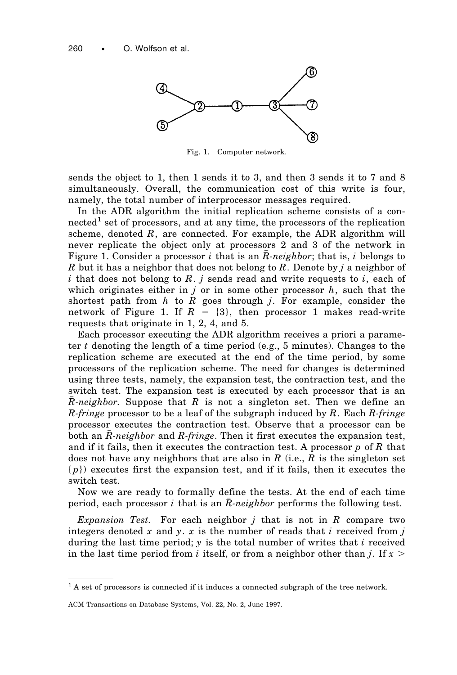

Fig. 1. Computer network.

sends the object to 1, then 1 sends it to 3, and then 3 sends it to 7 and 8 simultaneously. Overall, the communication cost of this write is four, namely, the total number of interprocessor messages required.

In the ADR algorithm the initial replication scheme consists of a connected<sup>1</sup> set of processors, and at any time, the processors of the replication scheme, denoted  $R$ , are connected. For example, the ADR algorithm will never replicate the object only at processors 2 and 3 of the network in Figure 1. Consider a processor *i* that is an  $\bar{R}$ -neighbor; that is, *i* belongs to *R* but it has a neighbor that does not belong to *R*. Denote by *j* a neighbor of *i* that does not belong to *R*. *j* sends read and write requests to *i*, each of which originates either in *j* or in some other processor *h*, such that the shortest path from *h* to *R* goes through *j*. For example, consider the network of Figure 1. If  $R = \{3\}$ , then processor 1 makes read-write requests that originate in 1, 2, 4, and 5.

Each processor executing the ADR algorithm receives a priori a parameter *t* denoting the length of a time period (e.g., 5 minutes). Changes to the replication scheme are executed at the end of the time period, by some processors of the replication scheme. The need for changes is determined using three tests, namely, the expansion test, the contraction test, and the switch test. The expansion test is executed by each processor that is an *R*-neighbor. Suppose that *R* is not a singleton set. Then we define an *R-fringe* processor to be a leaf of the subgraph induced by *R*. Each *R-fringe* processor executes the contraction test. Observe that a processor can be both an *R*# *-neighbor* and *R-fringe*. Then it first executes the expansion test, and if it fails, then it executes the contraction test. A processor *p* of *R* that does not have any neighbors that are also in *R* (i.e., *R* is the singleton set { *p*}) executes first the expansion test, and if it fails, then it executes the switch test.

Now we are ready to formally define the tests. At the end of each time period, each processor *i* that is an *R*# *-neighbor* performs the following test.

*Expansion Test.* For each neighbor *j* that is not in *R* compare two integers denoted *x* and *y*. *x* is the number of reads that *i* received from *j* during the last time period; *y* is the total number of writes that *i* received in the last time period from *i* itself, or from a neighbor other than *j*. If  $x >$ 

 $<sup>1</sup>$  A set of processors is connected if it induces a connected subgraph of the tree network.</sup>

ACM Transactions on Database Systems, Vol. 22, No. 2, June 1997.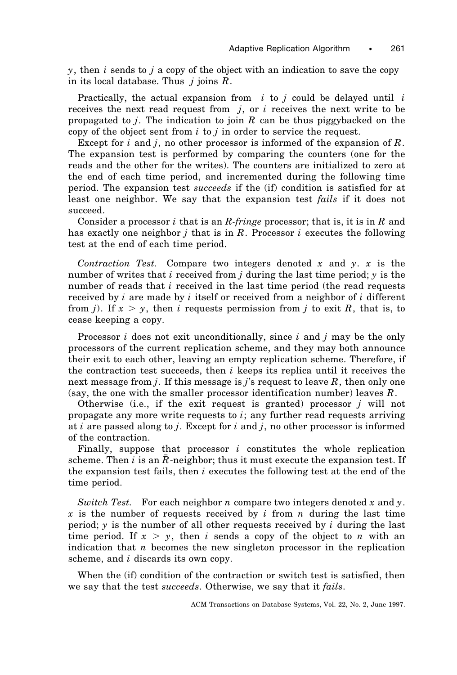*y*, then *i* sends to *j* a copy of the object with an indication to save the copy in its local database. Thus *j* joins *R*.

Practically, the actual expansion from *i* to *j* could be delayed until *i* receives the next read request from *j*, or *i* receives the next write to be propagated to *j*. The indication to join *R* can be thus piggybacked on the copy of the object sent from *i* to *j* in order to service the request.

Except for *i* and *j*, no other processor is informed of the expansion of *R*. The expansion test is performed by comparing the counters (one for the reads and the other for the writes). The counters are initialized to zero at the end of each time period, and incremented during the following time period. The expansion test *succeeds* if the (if) condition is satisfied for at least one neighbor. We say that the expansion test *fails* if it does not succeed.

Consider a processor *i* that is an *R-fringe* processor; that is, it is in *R* and has exactly one neighbor *j* that is in *R*. Processor *i* executes the following test at the end of each time period.

*Contraction Test.* Compare two integers denoted *x* and *y*. *x* is the number of writes that *i* received from *j* during the last time period; *y* is the number of reads that *i* received in the last time period (the read requests received by *i* are made by *i* itself or received from a neighbor of *i* different from *j*). If  $x > y$ , then *i* requests permission from *j* to exit *R*, that is, to cease keeping a copy.

Processor *i* does not exit unconditionally, since *i* and *j* may be the only processors of the current replication scheme, and they may both announce their exit to each other, leaving an empty replication scheme. Therefore, if the contraction test succeeds, then *i* keeps its replica until it receives the next message from *j*. If this message is *j*'s request to leave *R*, then only one (say, the one with the smaller processor identification number) leaves *R*.

Otherwise (i.e., if the exit request is granted) processor *j* will not propagate any more write requests to  $i$ ; any further read requests arriving at *i* are passed along to *j*. Except for *i* and *j*, no other processor is informed of the contraction.

Finally, suppose that processor *i* constitutes the whole replication scheme. Then  $i$  is an  $\bar{R}$ -neighbor; thus it must execute the expansion test. If the expansion test fails, then *i* executes the following test at the end of the time period.

*Switch Test.* For each neighbor *n* compare two integers denoted *x* and *y*. *x* is the number of requests received by *i* from *n* during the last time period; *y* is the number of all other requests received by *i* during the last time period. If  $x > y$ , then *i* sends a copy of the object to *n* with an indication that *n* becomes the new singleton processor in the replication scheme, and *i* discards its own copy.

When the (if) condition of the contraction or switch test is satisfied, then we say that the test *succeeds*. Otherwise, we say that it *fails*.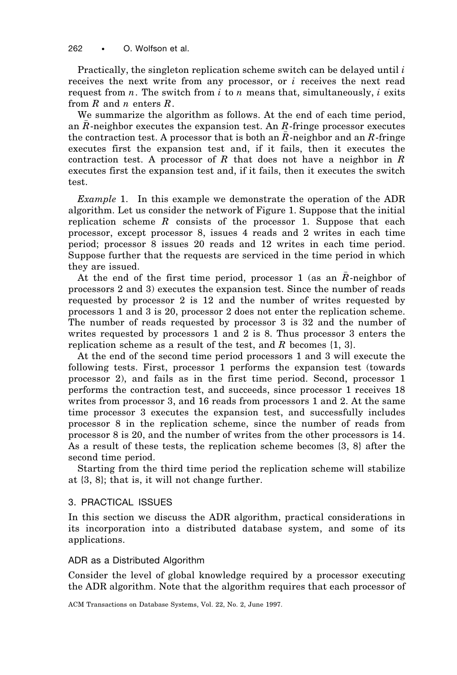Practically, the singleton replication scheme switch can be delayed until *i* receives the next write from any processor, or *i* receives the next read request from *n*. The switch from *i* to *n* means that, simultaneously, *i* exits from *R* and *n* enters *R*.

We summarize the algorithm as follows. At the end of each time period, an  $R$ -neighbor executes the expansion test. An  $R$ -fringe processor executes the contraction test. A processor that is both an  $R$ -neighbor and an  $R$ -fringe executes first the expansion test and, if it fails, then it executes the contraction test. A processor of *R* that does not have a neighbor in *R* executes first the expansion test and, if it fails, then it executes the switch test.

*Example* 1. In this example we demonstrate the operation of the ADR algorithm. Let us consider the network of Figure 1. Suppose that the initial replication scheme *R* consists of the processor 1. Suppose that each processor, except processor 8, issues 4 reads and 2 writes in each time period; processor 8 issues 20 reads and 12 writes in each time period. Suppose further that the requests are serviced in the time period in which they are issued.

At the end of the first time period, processor 1 (as an *R*-neighbor of processors 2 and 3) executes the expansion test. Since the number of reads requested by processor 2 is 12 and the number of writes requested by processors 1 and 3 is 20, processor 2 does not enter the replication scheme. The number of reads requested by processor 3 is 32 and the number of writes requested by processors 1 and 2 is 8. Thus processor 3 enters the replication scheme as a result of the test, and *R* becomes {1, 3}.

At the end of the second time period processors 1 and 3 will execute the following tests. First, processor 1 performs the expansion test (towards processor 2), and fails as in the first time period. Second, processor 1 performs the contraction test, and succeeds, since processor 1 receives 18 writes from processor 3, and 16 reads from processors 1 and 2. At the same time processor 3 executes the expansion test, and successfully includes processor 8 in the replication scheme, since the number of reads from processor 8 is 20, and the number of writes from the other processors is 14. As a result of these tests, the replication scheme becomes {3, 8} after the second time period.

Starting from the third time period the replication scheme will stabilize at {3, 8}; that is, it will not change further.

#### 3. PRACTICAL ISSUES

In this section we discuss the ADR algorithm, practical considerations in its incorporation into a distributed database system, and some of its applications.

### ADR as a Distributed Algorithm

Consider the level of global knowledge required by a processor executing the ADR algorithm. Note that the algorithm requires that each processor of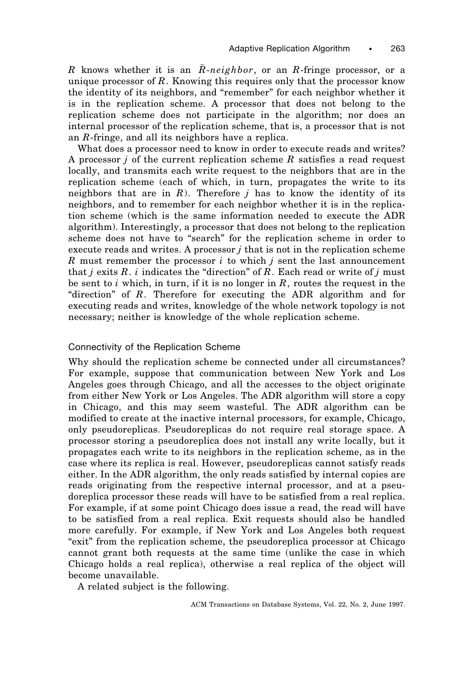*R* knows whether it is an *R*# -*neighbor*, or an *R*-fringe processor, or a unique processor of *R*. Knowing this requires only that the processor know the identity of its neighbors, and "remember" for each neighbor whether it is in the replication scheme. A processor that does not belong to the replication scheme does not participate in the algorithm; nor does an internal processor of the replication scheme, that is, a processor that is not an *R*-fringe, and all its neighbors have a replica.

What does a processor need to know in order to execute reads and writes? A processor *j* of the current replication scheme *R* satisfies a read request locally, and transmits each write request to the neighbors that are in the replication scheme (each of which, in turn, propagates the write to its neighbors that are in  $R$ ). Therefore  $j$  has to know the identity of its neighbors, and to remember for each neighbor whether it is in the replication scheme (which is the same information needed to execute the ADR algorithm). Interestingly, a processor that does not belong to the replication scheme does not have to "search" for the replication scheme in order to execute reads and writes. A processor *j* that is not in the replication scheme *R* must remember the processor *i* to which *j* sent the last announcement that  $j$  exits  $R$ .  $i$  indicates the "direction" of  $R$ . Each read or write of  $j$  must be sent to *i* which, in turn, if it is no longer in *R*, routes the request in the "direction" of *R*. Therefore for executing the ADR algorithm and for executing reads and writes, knowledge of the whole network topology is not necessary; neither is knowledge of the whole replication scheme.

#### Connectivity of the Replication Scheme

Why should the replication scheme be connected under all circumstances? For example, suppose that communication between New York and Los Angeles goes through Chicago, and all the accesses to the object originate from either New York or Los Angeles. The ADR algorithm will store a copy in Chicago, and this may seem wasteful. The ADR algorithm can be modified to create at the inactive internal processors, for example, Chicago, only pseudoreplicas. Pseudoreplicas do not require real storage space. A processor storing a pseudoreplica does not install any write locally, but it propagates each write to its neighbors in the replication scheme, as in the case where its replica is real. However, pseudoreplicas cannot satisfy reads either. In the ADR algorithm, the only reads satisfied by internal copies are reads originating from the respective internal processor, and at a pseudoreplica processor these reads will have to be satisfied from a real replica. For example, if at some point Chicago does issue a read, the read will have to be satisfied from a real replica. Exit requests should also be handled more carefully. For example, if New York and Los Angeles both request "exit" from the replication scheme, the pseudoreplica processor at Chicago cannot grant both requests at the same time (unlike the case in which Chicago holds a real replica), otherwise a real replica of the object will become unavailable.

A related subject is the following.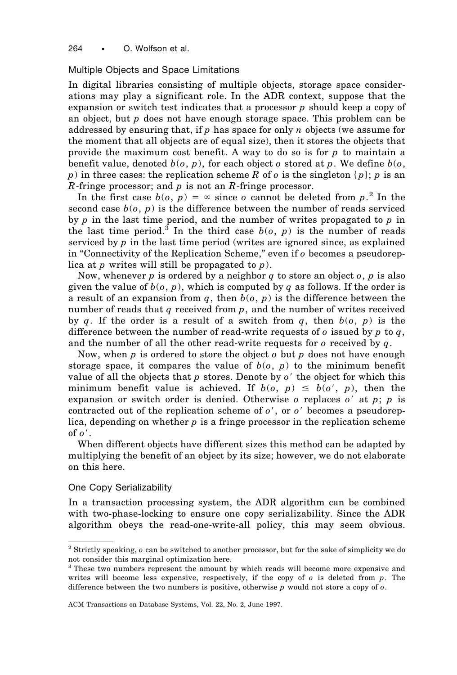#### Multiple Objects and Space Limitations

In digital libraries consisting of multiple objects, storage space considerations may play a significant role. In the ADR context, suppose that the expansion or switch test indicates that a processor *p* should keep a copy of an object, but *p* does not have enough storage space. This problem can be addressed by ensuring that, if *p* has space for only *n* objects (we assume for the moment that all objects are of equal size), then it stores the objects that provide the maximum cost benefit. A way to do so is for *p* to maintain a benefit value, denoted  $b(o, p)$ , for each object *o* stored at *p*. We define  $b(o, p)$ *p*) in three cases: the replication scheme *R* of *o* is the singleton  $\{p\}$ ; *p* is an *R*-fringe processor; and *p* is not an *R*-fringe processor.

In the first case  $b(o, p) = \infty$  since *o* cannot be deleted from  $p^2$ . In the second case  $b(o, p)$  is the difference between the number of reads serviced by *p* in the last time period, and the number of writes propagated to *p* in the last time period.<sup>3</sup> In the third case  $b(o, p)$  is the number of reads serviced by *p* in the last time period (writes are ignored since, as explained in "Connectivity of the Replication Scheme," even if *o* becomes a pseudoreplica at *p* writes will still be propagated to *p*).

Now, whenever *p* is ordered by a neighbor *q* to store an object *o*, *p* is also given the value of  $b(o, p)$ , which is computed by *q* as follows. If the order is a result of an expansion from  $q$ , then  $b$ ( $o$ ,  $p$ ) is the difference between the number of reads that  $q$  received from  $p$ , and the number of writes received by *q*. If the order is a result of a switch from *q*, then  $b$ (*o*, *p*) is the difference between the number of read-write requests of  $\sigma$  issued by  $p$  to  $q$ , and the number of all the other read-write requests for *o* received by *q*.

Now, when *p* is ordered to store the object *o* but *p* does not have enough storage space, it compares the value of  $b(o, p)$  to the minimum benefit value of all the objects that  $p$  stores. Denote by  $o'$  the object for which this minimum benefit value is achieved. If  $b(o, p) \leq b(o', p)$ , then the expansion or switch order is denied. Otherwise  $o$  replaces  $o'$  at  $p$ ;  $p$  is contracted out of the replication scheme of  $o'$ , or  $o'$  becomes a pseudoreplica, depending on whether *p* is a fringe processor in the replication scheme of  $o'$ .

When different objects have different sizes this method can be adapted by multiplying the benefit of an object by its size; however, we do not elaborate on this here.

#### One Copy Serializability

In a transaction processing system, the ADR algorithm can be combined with two-phase-locking to ensure one copy serializability. Since the ADR algorithm obeys the read-one-write-all policy, this may seem obvious.

<sup>2</sup> Strictly speaking, *o* can be switched to another processor, but for the sake of simplicity we do not consider this marginal optimization here.

<sup>&</sup>lt;sup>3</sup> These two numbers represent the amount by which reads will become more expensive and writes will become less expensive, respectively, if the copy of *o* is deleted from *p*. The difference between the two numbers is positive, otherwise *p* would not store a copy of *o*.

ACM Transactions on Database Systems, Vol. 22, No. 2, June 1997.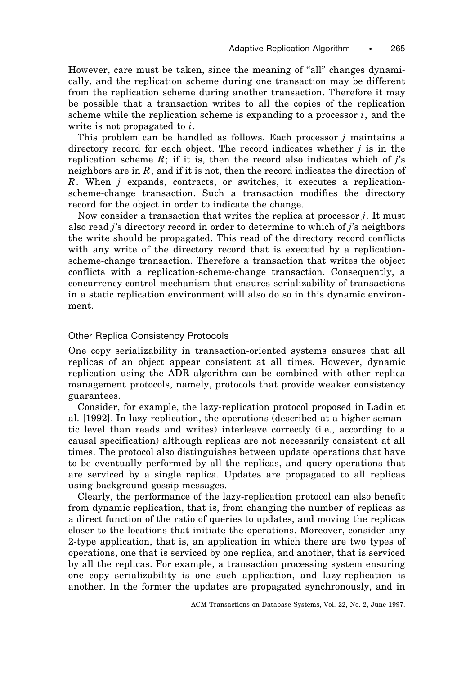However, care must be taken, since the meaning of "all" changes dynamically, and the replication scheme during one transaction may be different from the replication scheme during another transaction. Therefore it may be possible that a transaction writes to all the copies of the replication scheme while the replication scheme is expanding to a processor *i*, and the write is not propagated to *i*.

This problem can be handled as follows. Each processor *j* maintains a directory record for each object. The record indicates whether *j* is in the replication scheme *R*; if it is, then the record also indicates which of *j*'s neighbors are in *R*, and if it is not, then the record indicates the direction of *R*. When *j* expands, contracts, or switches, it executes a replicationscheme-change transaction. Such a transaction modifies the directory record for the object in order to indicate the change.

Now consider a transaction that writes the replica at processor *j*. It must also read *j*'s directory record in order to determine to which of *j*'s neighbors the write should be propagated. This read of the directory record conflicts with any write of the directory record that is executed by a replicationscheme-change transaction. Therefore a transaction that writes the object conflicts with a replication-scheme-change transaction. Consequently, a concurrency control mechanism that ensures serializability of transactions in a static replication environment will also do so in this dynamic environment.

#### Other Replica Consistency Protocols

One copy serializability in transaction-oriented systems ensures that all replicas of an object appear consistent at all times. However, dynamic replication using the ADR algorithm can be combined with other replica management protocols, namely, protocols that provide weaker consistency guarantees.

Consider, for example, the lazy-replication protocol proposed in Ladin et al. [1992]. In lazy-replication, the operations (described at a higher semantic level than reads and writes) interleave correctly (i.e., according to a causal specification) although replicas are not necessarily consistent at all times. The protocol also distinguishes between update operations that have to be eventually performed by all the replicas, and query operations that are serviced by a single replica. Updates are propagated to all replicas using background gossip messages.

Clearly, the performance of the lazy-replication protocol can also benefit from dynamic replication, that is, from changing the number of replicas as a direct function of the ratio of queries to updates, and moving the replicas closer to the locations that initiate the operations. Moreover, consider any 2-type application, that is, an application in which there are two types of operations, one that is serviced by one replica, and another, that is serviced by all the replicas. For example, a transaction processing system ensuring one copy serializability is one such application, and lazy-replication is another. In the former the updates are propagated synchronously, and in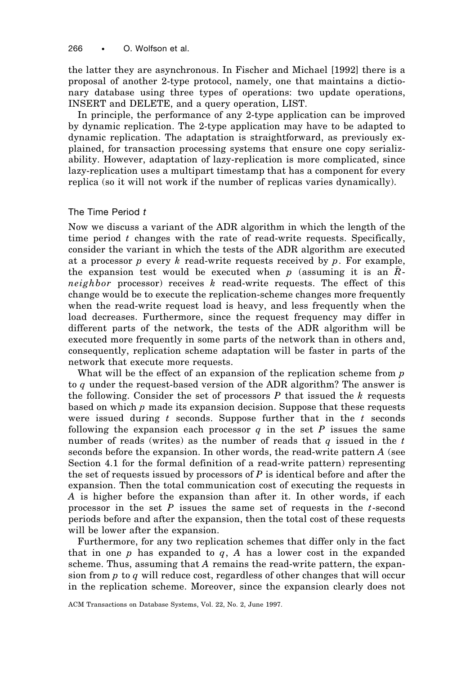the latter they are asynchronous. In Fischer and Michael [1992] there is a proposal of another 2-type protocol, namely, one that maintains a dictionary database using three types of operations: two update operations, INSERT and DELETE, and a query operation, LIST.

In principle, the performance of any 2-type application can be improved by dynamic replication. The 2-type application may have to be adapted to dynamic replication. The adaptation is straightforward, as previously explained, for transaction processing systems that ensure one copy serializability. However, adaptation of lazy-replication is more complicated, since lazy-replication uses a multipart timestamp that has a component for every replica (so it will not work if the number of replicas varies dynamically).

## The Time Period *t*

Now we discuss a variant of the ADR algorithm in which the length of the time period *t* changes with the rate of read-write requests. Specifically, consider the variant in which the tests of the ADR algorithm are executed at a processor *p* every *k* read-write requests received by *p*. For example, the expansion test would be executed when  $p$  (assuming it is an  $\bar{R}$ *neighbor* processor) receives *k* read-write requests. The effect of this change would be to execute the replication-scheme changes more frequently when the read-write request load is heavy, and less frequently when the load decreases. Furthermore, since the request frequency may differ in different parts of the network, the tests of the ADR algorithm will be executed more frequently in some parts of the network than in others and, consequently, replication scheme adaptation will be faster in parts of the network that execute more requests.

What will be the effect of an expansion of the replication scheme from *p* to *q* under the request-based version of the ADR algorithm? The answer is the following. Consider the set of processors *P* that issued the *k* requests based on which *p* made its expansion decision. Suppose that these requests were issued during *t* seconds. Suppose further that in the *t* seconds following the expansion each processor  $q$  in the set  $P$  issues the same number of reads (writes) as the number of reads that *q* issued in the *t* seconds before the expansion. In other words, the read-write pattern *A* (see Section 4.1 for the formal definition of a read-write pattern) representing the set of requests issued by processors of *P* is identical before and after the expansion. Then the total communication cost of executing the requests in *A* is higher before the expansion than after it. In other words, if each processor in the set *P* issues the same set of requests in the *t*-second periods before and after the expansion, then the total cost of these requests will be lower after the expansion.

Furthermore, for any two replication schemes that differ only in the fact that in one  $p$  has expanded to  $q$ ,  $A$  has a lower cost in the expanded scheme. Thus, assuming that *A* remains the read-write pattern, the expansion from  $p$  to  $q$  will reduce cost, regardless of other changes that will occur in the replication scheme. Moreover, since the expansion clearly does not

ACM Transactions on Database Systems, Vol. 22, No. 2, June 1997.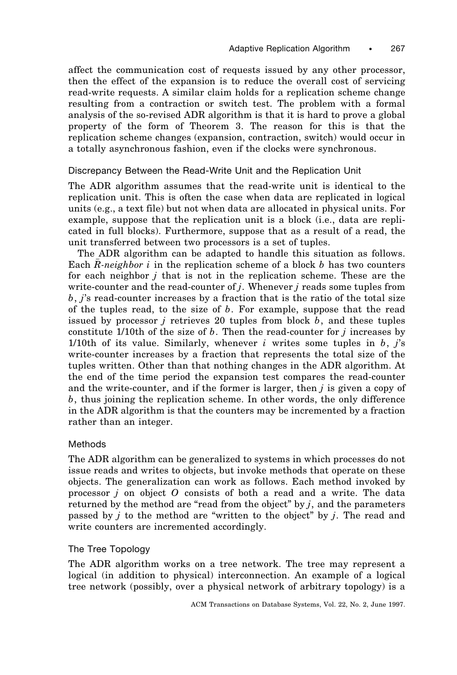affect the communication cost of requests issued by any other processor, then the effect of the expansion is to reduce the overall cost of servicing read-write requests. A similar claim holds for a replication scheme change resulting from a contraction or switch test. The problem with a formal analysis of the so-revised ADR algorithm is that it is hard to prove a global property of the form of Theorem 3. The reason for this is that the replication scheme changes (expansion, contraction, switch) would occur in a totally asynchronous fashion, even if the clocks were synchronous.

## Discrepancy Between the Read-Write Unit and the Replication Unit

The ADR algorithm assumes that the read-write unit is identical to the replication unit. This is often the case when data are replicated in logical units (e.g., a text file) but not when data are allocated in physical units. For example, suppose that the replication unit is a block (i.e., data are replicated in full blocks). Furthermore, suppose that as a result of a read, the unit transferred between two processors is a set of tuples.

The ADR algorithm can be adapted to handle this situation as follows. Each  $R$ -neighbor i in the replication scheme of a block  $b$  has two counters for each neighbor *j* that is not in the replication scheme. These are the write-counter and the read-counter of *j*. Whenever *j* reads some tuples from *b*, *j*'s read-counter increases by a fraction that is the ratio of the total size of the tuples read, to the size of *b*. For example, suppose that the read issued by processor *j* retrieves 20 tuples from block *b*, and these tuples constitute 1/10th of the size of *b*. Then the read-counter for *j* increases by 1/10th of its value. Similarly, whenever  $i$  writes some tuples in  $b$ ,  $j$ 's write-counter increases by a fraction that represents the total size of the tuples written. Other than that nothing changes in the ADR algorithm. At the end of the time period the expansion test compares the read-counter and the write-counter, and if the former is larger, then *j* is given a copy of *b*, thus joining the replication scheme. In other words, the only difference in the ADR algorithm is that the counters may be incremented by a fraction rather than an integer.

## Methods

The ADR algorithm can be generalized to systems in which processes do not issue reads and writes to objects, but invoke methods that operate on these objects. The generalization can work as follows. Each method invoked by processor *j* on object *O* consists of both a read and a write. The data returned by the method are "read from the object" by *j*, and the parameters passed by *j* to the method are "written to the object" by *j*. The read and write counters are incremented accordingly.

## The Tree Topology

The ADR algorithm works on a tree network. The tree may represent a logical (in addition to physical) interconnection. An example of a logical tree network (possibly, over a physical network of arbitrary topology) is a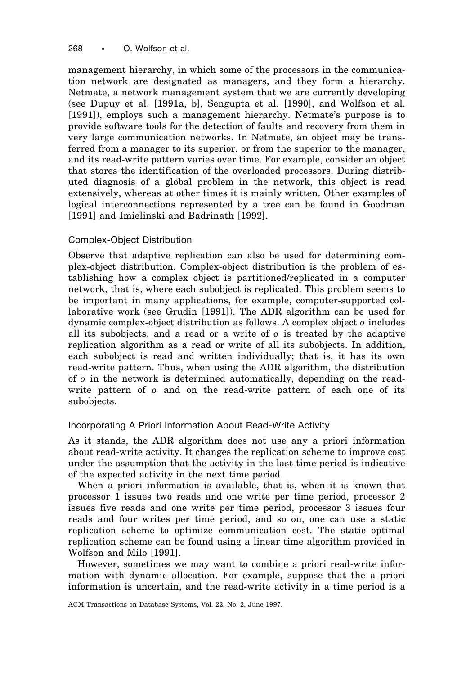## 268 • O. Wolfson et al.

management hierarchy, in which some of the processors in the communication network are designated as managers, and they form a hierarchy. Netmate, a network management system that we are currently developing (see Dupuy et al. [1991a, b], Sengupta et al. [1990], and Wolfson et al. [1991]), employs such a management hierarchy. Netmate's purpose is to provide software tools for the detection of faults and recovery from them in very large communication networks. In Netmate, an object may be transferred from a manager to its superior, or from the superior to the manager, and its read-write pattern varies over time. For example, consider an object that stores the identification of the overloaded processors. During distributed diagnosis of a global problem in the network, this object is read extensively, whereas at other times it is mainly written. Other examples of logical interconnections represented by a tree can be found in Goodman [1991] and Imielinski and Badrinath [1992].

## Complex-Object Distribution

Observe that adaptive replication can also be used for determining complex-object distribution. Complex-object distribution is the problem of establishing how a complex object is partitioned/replicated in a computer network, that is, where each subobject is replicated. This problem seems to be important in many applications, for example, computer-supported collaborative work (see Grudin [1991]). The ADR algorithm can be used for dynamic complex-object distribution as follows. A complex object *o* includes all its subobjects, and a read or a write of *o* is treated by the adaptive replication algorithm as a read or write of all its subobjects. In addition, each subobject is read and written individually; that is, it has its own read-write pattern. Thus, when using the ADR algorithm, the distribution of *o* in the network is determined automatically, depending on the readwrite pattern of *o* and on the read-write pattern of each one of its subobjects.

## Incorporating A Priori Information About Read-Write Activity

As it stands, the ADR algorithm does not use any a priori information about read-write activity. It changes the replication scheme to improve cost under the assumption that the activity in the last time period is indicative of the expected activity in the next time period.

When a priori information is available, that is, when it is known that processor 1 issues two reads and one write per time period, processor 2 issues five reads and one write per time period, processor 3 issues four reads and four writes per time period, and so on, one can use a static replication scheme to optimize communication cost. The static optimal replication scheme can be found using a linear time algorithm provided in Wolfson and Milo [1991].

However, sometimes we may want to combine a priori read-write information with dynamic allocation. For example, suppose that the a priori information is uncertain, and the read-write activity in a time period is a

ACM Transactions on Database Systems, Vol. 22, No. 2, June 1997.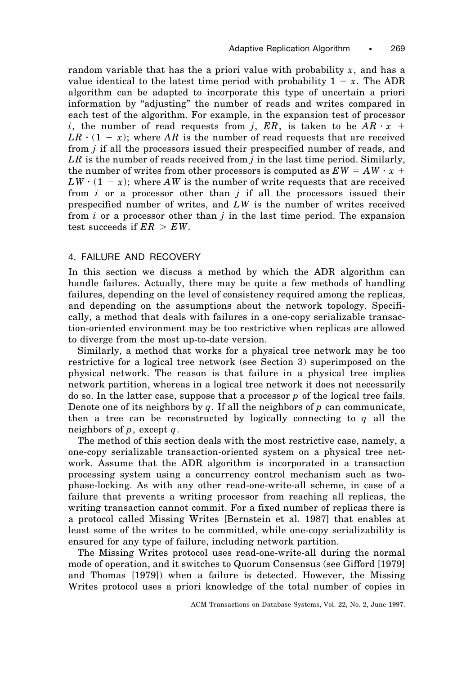random variable that has the a priori value with probability *x*, and has a value identical to the latest time period with probability  $1 - x$ . The ADR algorithm can be adapted to incorporate this type of uncertain a priori information by "adjusting" the number of reads and writes compared in each test of the algorithm. For example, in the expansion test of processor *i*, the number of read requests from *j*, *ER*, is taken to be  $AR \cdot x$  +  $LR \cdot (1 - x)$ ; where *AR* is the number of read requests that are received from *j* if all the processors issued their prespecified number of reads, and *LR* is the number of reads received from *j* in the last time period. Similarly, the number of writes from other processors is computed as  $EW = AW \cdot x +$  $LW \cdot (1 - x)$ ; where *AW* is the number of write requests that are received from *i* or a processor other than *j* if all the processors issued their prespecified number of writes, and *LW* is the number of writes received from *i* or a processor other than *j* in the last time period. The expansion test succeeds if  $ER > EW$ .

#### 4. FAILURE AND RECOVERY

In this section we discuss a method by which the ADR algorithm can handle failures. Actually, there may be quite a few methods of handling failures, depending on the level of consistency required among the replicas, and depending on the assumptions about the network topology. Specifically, a method that deals with failures in a one-copy serializable transaction-oriented environment may be too restrictive when replicas are allowed to diverge from the most up-to-date version.

Similarly, a method that works for a physical tree network may be too restrictive for a logical tree network (see Section 3) superimposed on the physical network. The reason is that failure in a physical tree implies network partition, whereas in a logical tree network it does not necessarily do so. In the latter case, suppose that a processor *p* of the logical tree fails. Denote one of its neighbors by  $q$ . If all the neighbors of  $p$  can communicate, then a tree can be reconstructed by logically connecting to *q* all the neighbors of *p*, except *q*.

The method of this section deals with the most restrictive case, namely, a one-copy serializable transaction-oriented system on a physical tree network. Assume that the ADR algorithm is incorporated in a transaction processing system using a concurrency control mechanism such as twophase-locking. As with any other read-one-write-all scheme, in case of a failure that prevents a writing processor from reaching all replicas, the writing transaction cannot commit. For a fixed number of replicas there is a protocol called Missing Writes [Bernstein et al. 1987] that enables at least some of the writes to be committed, while one-copy serializability is ensured for any type of failure, including network partition.

The Missing Writes protocol uses read-one-write-all during the normal mode of operation, and it switches to Quorum Consensus (see Gifford [1979] and Thomas [1979]) when a failure is detected. However, the Missing Writes protocol uses a priori knowledge of the total number of copies in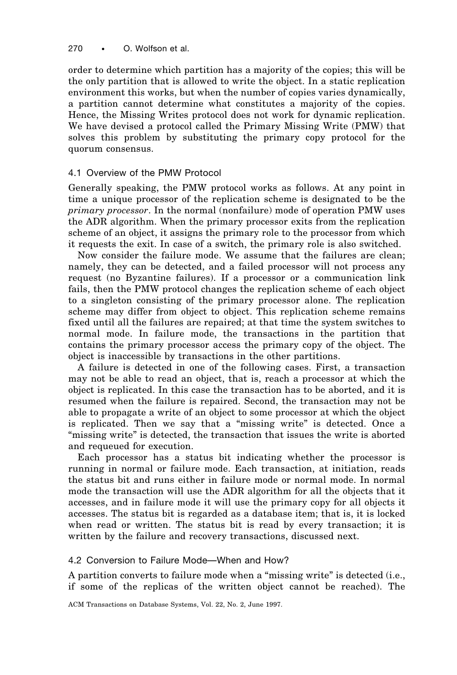order to determine which partition has a majority of the copies; this will be the only partition that is allowed to write the object. In a static replication environment this works, but when the number of copies varies dynamically, a partition cannot determine what constitutes a majority of the copies. Hence, the Missing Writes protocol does not work for dynamic replication. We have devised a protocol called the Primary Missing Write (PMW) that solves this problem by substituting the primary copy protocol for the quorum consensus.

## 4.1 Overview of the PMW Protocol

Generally speaking, the PMW protocol works as follows. At any point in time a unique processor of the replication scheme is designated to be the *primary processor*. In the normal (nonfailure) mode of operation PMW uses the ADR algorithm. When the primary processor exits from the replication scheme of an object, it assigns the primary role to the processor from which it requests the exit. In case of a switch, the primary role is also switched.

Now consider the failure mode. We assume that the failures are clean; namely, they can be detected, and a failed processor will not process any request (no Byzantine failures). If a processor or a communication link fails, then the PMW protocol changes the replication scheme of each object to a singleton consisting of the primary processor alone. The replication scheme may differ from object to object. This replication scheme remains fixed until all the failures are repaired; at that time the system switches to normal mode. In failure mode, the transactions in the partition that contains the primary processor access the primary copy of the object. The object is inaccessible by transactions in the other partitions.

A failure is detected in one of the following cases. First, a transaction may not be able to read an object, that is, reach a processor at which the object is replicated. In this case the transaction has to be aborted, and it is resumed when the failure is repaired. Second, the transaction may not be able to propagate a write of an object to some processor at which the object is replicated. Then we say that a "missing write" is detected. Once a "missing write" is detected, the transaction that issues the write is aborted and requeued for execution.

Each processor has a status bit indicating whether the processor is running in normal or failure mode. Each transaction, at initiation, reads the status bit and runs either in failure mode or normal mode. In normal mode the transaction will use the ADR algorithm for all the objects that it accesses, and in failure mode it will use the primary copy for all objects it accesses. The status bit is regarded as a database item; that is, it is locked when read or written. The status bit is read by every transaction; it is written by the failure and recovery transactions, discussed next.

## 4.2 Conversion to Failure Mode—When and How?

A partition converts to failure mode when a "missing write" is detected (i.e., if some of the replicas of the written object cannot be reached). The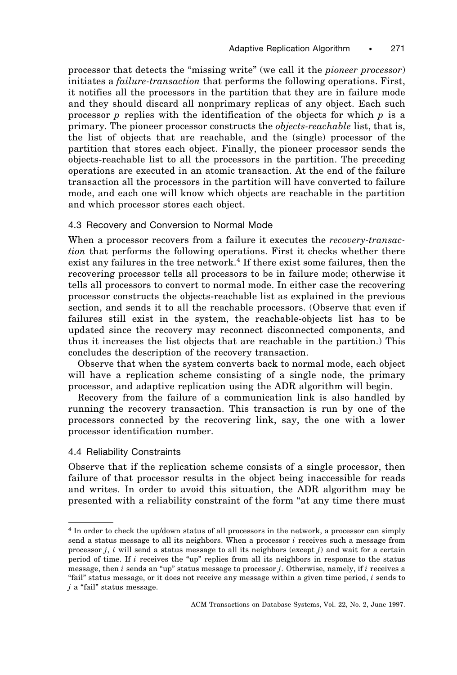processor that detects the "missing write" (we call it the *pioneer processor*) initiates a *failure-transaction* that performs the following operations. First, it notifies all the processors in the partition that they are in failure mode and they should discard all nonprimary replicas of any object. Each such processor *p* replies with the identification of the objects for which *p* is a primary. The pioneer processor constructs the *objects-reachable* list, that is, the list of objects that are reachable, and the (single) processor of the partition that stores each object. Finally, the pioneer processor sends the objects-reachable list to all the processors in the partition. The preceding operations are executed in an atomic transaction. At the end of the failure transaction all the processors in the partition will have converted to failure mode, and each one will know which objects are reachable in the partition and which processor stores each object.

#### 4.3 Recovery and Conversion to Normal Mode

When a processor recovers from a failure it executes the *recovery-transaction* that performs the following operations. First it checks whether there exist any failures in the tree network.<sup>4</sup> If there exist some failures, then the recovering processor tells all processors to be in failure mode; otherwise it tells all processors to convert to normal mode. In either case the recovering processor constructs the objects-reachable list as explained in the previous section, and sends it to all the reachable processors. (Observe that even if failures still exist in the system, the reachable-objects list has to be updated since the recovery may reconnect disconnected components, and thus it increases the list objects that are reachable in the partition.) This concludes the description of the recovery transaction.

Observe that when the system converts back to normal mode, each object will have a replication scheme consisting of a single node, the primary processor, and adaptive replication using the ADR algorithm will begin.

Recovery from the failure of a communication link is also handled by running the recovery transaction. This transaction is run by one of the processors connected by the recovering link, say, the one with a lower processor identification number.

#### 4.4 Reliability Constraints

Observe that if the replication scheme consists of a single processor, then failure of that processor results in the object being inaccessible for reads and writes. In order to avoid this situation, the ADR algorithm may be presented with a reliability constraint of the form "at any time there must

<sup>4</sup> In order to check the up/down status of all processors in the network, a processor can simply send a status message to all its neighbors. When a processor *i* receives such a message from processor *j*, *i* will send a status message to all its neighbors (except *j*) and wait for a certain period of time. If *i* receives the "up" replies from all its neighbors in response to the status message, then *i* sends an "up" status message to processor *j*. Otherwise, namely, if *i* receives a "fail" status message, or it does not receive any message within a given time period, *i* sends to *j* a "fail" status message.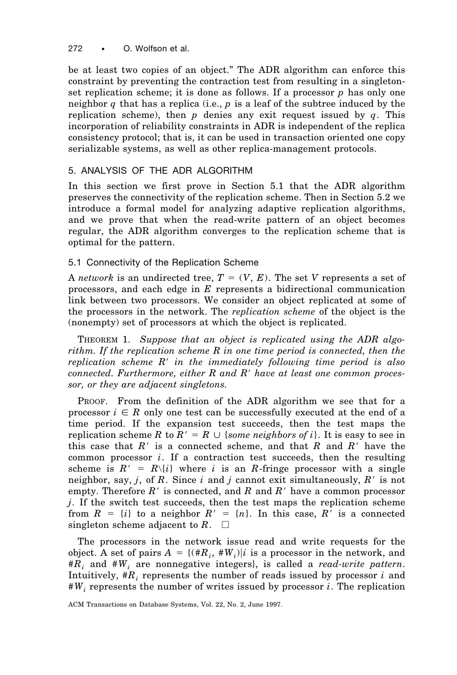## 272 • O. Wolfson et al.

be at least two copies of an object." The ADR algorithm can enforce this constraint by preventing the contraction test from resulting in a singletonset replication scheme; it is done as follows. If a processor *p* has only one neighbor  $q$  that has a replica (i.e.,  $p$  is a leaf of the subtree induced by the replication scheme), then *p* denies any exit request issued by *q*. This incorporation of reliability constraints in ADR is independent of the replica consistency protocol; that is, it can be used in transaction oriented one copy serializable systems, as well as other replica-management protocols.

## 5. ANALYSIS OF THE ADR ALGORITHM

In this section we first prove in Section 5.1 that the ADR algorithm preserves the connectivity of the replication scheme. Then in Section 5.2 we introduce a formal model for analyzing adaptive replication algorithms, and we prove that when the read-write pattern of an object becomes regular, the ADR algorithm converges to the replication scheme that is optimal for the pattern.

## 5.1 Connectivity of the Replication Scheme

A *network* is an undirected tree,  $T = (V, E)$ . The set *V* represents a set of processors, and each edge in *E* represents a bidirectional communication link between two processors. We consider an object replicated at some of the processors in the network. The *replication scheme* of the object is the (nonempty) set of processors at which the object is replicated.

THEOREM 1. *Suppose that an object is replicated using the ADR algorithm. If the replication scheme R in one time period is connected, then the replication scheme R*9 *in the immediately following time period is also connected. Furthermore, either R and R*9 *have at least one common processor, or they are adjacent singletons.*

PROOF. From the definition of the ADR algorithm we see that for a processor  $i \in R$  only one test can be successfully executed at the end of a time period. If the expansion test succeeds, then the test maps the replication scheme *R* to  $R' = R \cup \{some neighbors of i\}$ . It is easy to see in this case that  $R'$  is a connected scheme, and that  $R$  and  $R'$  have the common processor *i*. If a contraction test succeeds, then the resulting scheme is  $R' = R\{i\}$  where *i* is an *R*-fringe processor with a single neighbor, say,  $j$ , of  $R$ . Since  $i$  and  $j$  cannot exit simultaneously,  $R'$  is not empty. Therefore  $R'$  is connected, and  $R$  and  $R'$  have a common processor *j*. If the switch test succeeds, then the test maps the replication scheme from  $R = \{i\}$  to a neighbor  $R' = \{n\}$ . In this case,  $R'$  is a connected singleton scheme adjacent to  $R$ .  $\square$ 

The processors in the network issue read and write requests for the object. A set of pairs  $A = \{(#R_i, #W_i)|i \text{ is a processor in the network, and}$ #*Ri* and #*Wi* are nonnegative integers}, is called a *read-write pattern*. Intuitively,  $#R_i$  represents the number of reads issued by processor *i* and  $\#W_i$  represents the number of writes issued by processor *i*. The replication

ACM Transactions on Database Systems, Vol. 22, No. 2, June 1997.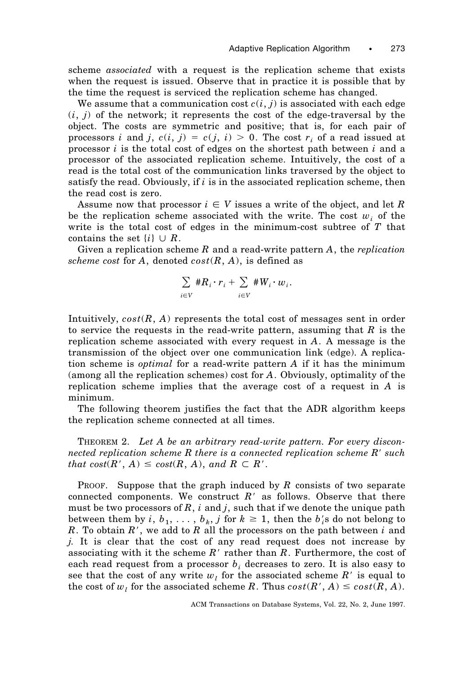scheme *associated* with a request is the replication scheme that exists when the request is issued. Observe that in practice it is possible that by the time the request is serviced the replication scheme has changed.

We assume that a communication cost  $c(i, j)$  is associated with each edge  $(i, j)$  of the network; it represents the cost of the edge-traversal by the object. The costs are symmetric and positive; that is, for each pair of processors *i* and *j*,  $c(i, j) = c(j, i) > 0$ . The cost  $r_i$  of a read issued at processor *i* is the total cost of edges on the shortest path between *i* and a processor of the associated replication scheme. Intuitively, the cost of a read is the total cost of the communication links traversed by the object to satisfy the read. Obviously, if *i* is in the associated replication scheme, then the read cost is zero.

Assume now that processor  $i \in V$  issues a write of the object, and let R be the replication scheme associated with the write. The cost  $w_i$  of the write is the total cost of edges in the minimum-cost subtree of *T* that contains the set  $\{i\} \cup R$ .

Given a replication scheme *R* and a read-write pattern *A*, the *replication scheme cost* for  $A$ , denoted  $cost(R, A)$ , is defined as

$$
\sum_{i\in V} #R_i\cdot r_i + \sum_{i\in V} #W_i\cdot w_i.
$$

Intuitively, *cost*(*R*, *A*) represents the total cost of messages sent in order to service the requests in the read-write pattern, assuming that *R* is the replication scheme associated with every request in *A*. A message is the transmission of the object over one communication link (edge). A replication scheme is *optimal* for a read-write pattern *A* if it has the minimum (among all the replication schemes) cost for *A*. Obviously, optimality of the replication scheme implies that the average cost of a request in *A* is minimum.

The following theorem justifies the fact that the ADR algorithm keeps the replication scheme connected at all times.

THEOREM 2. *Let A be an arbitrary read-write pattern. For every disconnected replication scheme R there is a connected replication scheme R*9 *such that cost*( $R$ ',  $A$ )  $\leq$  *cost*( $R$ ,  $A$ ), *and*  $R \subset R'$ .

PROOF. Suppose that the graph induced by *R* consists of two separate connected components. We construct  $R<sup>9</sup>$  as follows. Observe that there must be two processors of *R*, *i* and *j*, such that if we denote the unique path between them by *i*,  $b_1$ , ...,  $b_k$ , *j* for  $k \ge 1$ , then the *b*'s do not belong to *R*. To obtain *R*9, we add to *R* all the processors on the path between *i* and *j.* It is clear that the cost of any read request does not increase by associating with it the scheme *R*9 rather than *R*. Furthermore, the cost of each read request from a processor *bi* decreases to zero. It is also easy to see that the cost of any write  $w_l$  for the associated scheme  $R^{\prime}$  is equal to the cost of  $w_l$  for the associated scheme *R*. Thus  $cost(R', A) \leq cost(R, A)$ .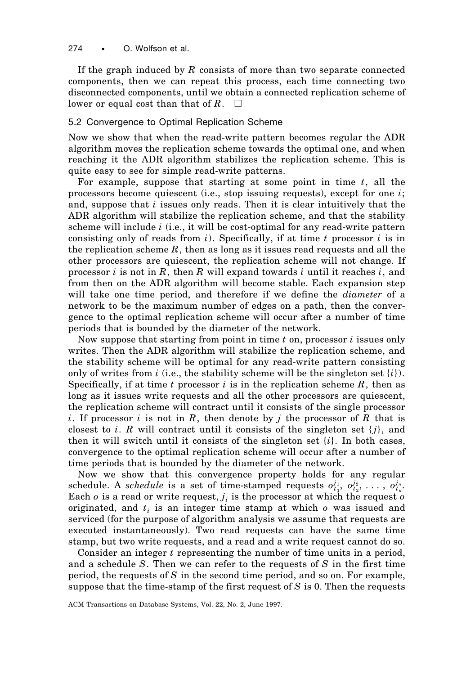#### 274 • O. Wolfson et al.

If the graph induced by *R* consists of more than two separate connected components, then we can repeat this process, each time connecting two disconnected components, until we obtain a connected replication scheme of lower or equal cost than that of  $R$ .  $\Box$ 

#### 5.2 Convergence to Optimal Replication Scheme

Now we show that when the read-write pattern becomes regular the ADR algorithm moves the replication scheme towards the optimal one, and when reaching it the ADR algorithm stabilizes the replication scheme. This is quite easy to see for simple read-write patterns.

For example, suppose that starting at some point in time *t*, all the processors become quiescent (i.e., stop issuing requests), except for one *i*; and, suppose that *i* issues only reads. Then it is clear intuitively that the ADR algorithm will stabilize the replication scheme, and that the stability scheme will include *i* (i.e., it will be cost-optimal for any read-write pattern consisting only of reads from  $i$ ). Specifically, if at time  $t$  processor  $i$  is in the replication scheme  $R$ , then as long as it issues read requests and all the other processors are quiescent, the replication scheme will not change. If processor  $i$  is not in  $R$ , then  $R$  will expand towards  $i$  until it reaches  $i$ , and from then on the ADR algorithm will become stable. Each expansion step will take one time period, and therefore if we define the *diameter* of a network to be the maximum number of edges on a path, then the convergence to the optimal replication scheme will occur after a number of time periods that is bounded by the diameter of the network.

Now suppose that starting from point in time *t* on, processor *i* issues only writes. Then the ADR algorithm will stabilize the replication scheme, and the stability scheme will be optimal for any read-write pattern consisting only of writes from  $i$  (i.e., the stability scheme will be the singleton set  $(i)$ ). Specifically, if at time *t* processor *i* is in the replication scheme *R*, then as long as it issues write requests and all the other processors are quiescent, the replication scheme will contract until it consists of the single processor *i*. If processor *i* is not in *R*, then denote by *j* the processor of *R* that is closest to *i*. *R* will contract until it consists of the singleton set  $\{j\}$ , and then it will switch until it consists of the singleton set {*i*}. In both cases, convergence to the optimal replication scheme will occur after a number of time periods that is bounded by the diameter of the network.

Now we show that this convergence property holds for any regular schedule. A *schedule* is a set of time-stamped requests  $o_{t_1}^{j_1}, o_{t_2}^{j_2}, \ldots, o_{t_n}^{j_n}$ . Each *o* is a read or write request, *ji* is the processor at which the request *o* originated, and  $t_i$  is an integer time stamp at which  $o$  was issued and serviced (for the purpose of algorithm analysis we assume that requests are executed instantaneously). Two read requests can have the same time stamp, but two write requests, and a read and a write request cannot do so.

Consider an integer *t* representing the number of time units in a period, and a schedule *S*. Then we can refer to the requests of *S* in the first time period, the requests of *S* in the second time period, and so on. For example, suppose that the time-stamp of the first request of *S* is 0. Then the requests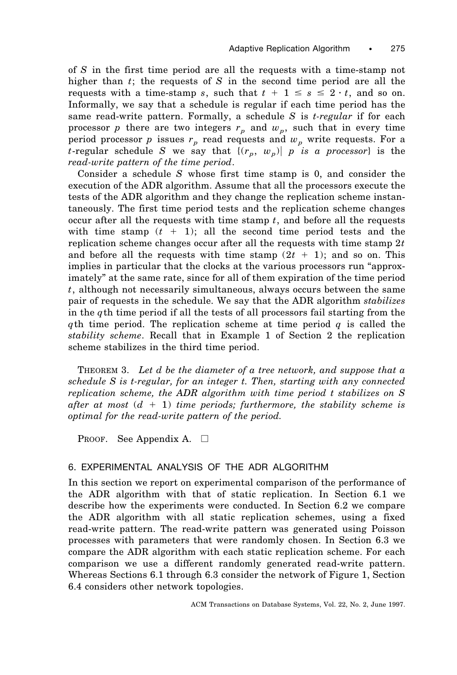of *S* in the first time period are all the requests with a time-stamp not higher than *t*; the requests of *S* in the second time period are all the requests with a time-stamp *s*, such that  $t + 1 \leq s \leq 2 \cdot t$ , and so on. Informally, we say that a schedule is regular if each time period has the same read-write pattern. Formally, a schedule *S* is *t-regular* if for each processor *p* there are two integers  $r_p$  and  $w_p$ , such that in every time period processor *p* issues  $r_p$  read requests and  $w_p$  write requests. For a *t*-regular schedule *S* we say that  $\{(r_n, w_n) | p \text{ is a processor}\}$  is the *read-write pattern of the time period*.

Consider a schedule *S* whose first time stamp is 0, and consider the execution of the ADR algorithm. Assume that all the processors execute the tests of the ADR algorithm and they change the replication scheme instantaneously. The first time period tests and the replication scheme changes occur after all the requests with time stamp *t*, and before all the requests with time stamp  $(t + 1)$ ; all the second time period tests and the replication scheme changes occur after all the requests with time stamp 2*t* and before all the requests with time stamp  $(2t + 1)$ ; and so on. This implies in particular that the clocks at the various processors run "approximately" at the same rate, since for all of them expiration of the time period *t*, although not necessarily simultaneous, always occurs between the same pair of requests in the schedule. We say that the ADR algorithm *stabilizes* in the *q*th time period if all the tests of all processors fail starting from the *q*th time period. The replication scheme at time period *q* is called the *stability scheme*. Recall that in Example 1 of Section 2 the replication scheme stabilizes in the third time period.

THEOREM 3. *Let d be the diameter of a tree network, and suppose that a schedule S is t-regular, for an integer t. Then, starting with any connected replication scheme, the ADR algorithm with time period t stabilizes on S after at most*  $(d + 1)$  *time periods; furthermore, the stability scheme is optimal for the read-write pattern of the period.*

PROOF. See Appendix A.  $\square$ 

## 6. EXPERIMENTAL ANALYSIS OF THE ADR ALGORITHM

In this section we report on experimental comparison of the performance of the ADR algorithm with that of static replication. In Section 6.1 we describe how the experiments were conducted. In Section 6.2 we compare the ADR algorithm with all static replication schemes, using a fixed read-write pattern. The read-write pattern was generated using Poisson processes with parameters that were randomly chosen. In Section 6.3 we compare the ADR algorithm with each static replication scheme. For each comparison we use a different randomly generated read-write pattern. Whereas Sections 6.1 through 6.3 consider the network of Figure 1, Section 6.4 considers other network topologies.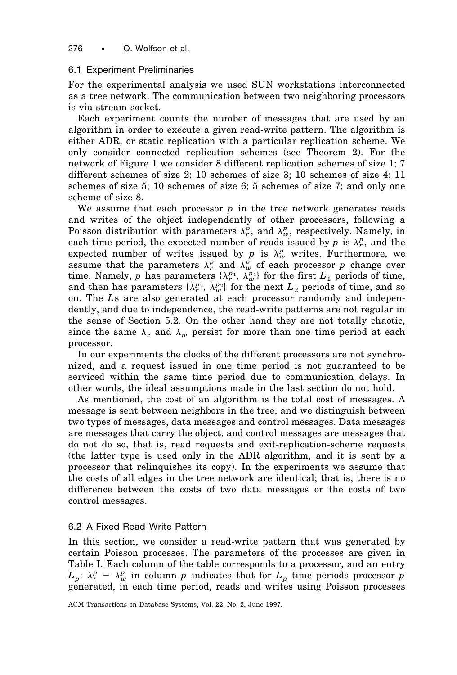## 6.1 Experiment Preliminaries

For the experimental analysis we used SUN workstations interconnected as a tree network. The communication between two neighboring processors is via stream-socket.

Each experiment counts the number of messages that are used by an algorithm in order to execute a given read-write pattern. The algorithm is either ADR, or static replication with a particular replication scheme. We only consider connected replication schemes (see Theorem 2). For the network of Figure 1 we consider 8 different replication schemes of size 1; 7 different schemes of size 2; 10 schemes of size 3; 10 schemes of size 4; 11 schemes of size 5; 10 schemes of size 6; 5 schemes of size 7; and only one scheme of size 8.

We assume that each processor  $p$  in the tree network generates reads and writes of the object independently of other processors, following a Poisson distribution with parameters  $\lambda_r^p$ , and  $\lambda_w^p$ , respectively. Namely, in each time period, the expected number of reads issued by  $p$  is  $\lambda_r^p$ , and the expected number of writes issued by  $p$  is  $\lambda_w^p$  writes. Furthermore, we assume that the parameters  $\lambda_r^p$  and  $\lambda_w^p$  of each processor *p* change over time. Namely, *p* has parameters  $\{\lambda_r^{p_1}, \lambda_w^{p_1}\}$  for the first  $L_1$  periods of time, and then has parameters  $\{\lambda_r^{p_2}, \lambda_w^{p_2}\}$  for the next  $L_2$  periods of time, and so on. The *L*s are also generated at each processor randomly and independently, and due to independence, the read-write patterns are not regular in the sense of Section 5.2. On the other hand they are not totally chaotic, since the same  $\lambda_r$  and  $\lambda_w$  persist for more than one time period at each processor.

In our experiments the clocks of the different processors are not synchronized, and a request issued in one time period is not guaranteed to be serviced within the same time period due to communication delays. In other words, the ideal assumptions made in the last section do not hold.

As mentioned, the cost of an algorithm is the total cost of messages. A message is sent between neighbors in the tree, and we distinguish between two types of messages, data messages and control messages. Data messages are messages that carry the object, and control messages are messages that do not do so, that is, read requests and exit-replication-scheme requests (the latter type is used only in the ADR algorithm, and it is sent by a processor that relinquishes its copy). In the experiments we assume that the costs of all edges in the tree network are identical; that is, there is no difference between the costs of two data messages or the costs of two control messages.

## 6.2 A Fixed Read-Write Pattern

In this section, we consider a read-write pattern that was generated by certain Poisson processes. The parameters of the processes are given in Table I. Each column of the table corresponds to a processor, and an entry  $L_p$ :  $\lambda_r^p - \lambda_w^p$  in column *p* indicates that for  $L_p$  time periods processor *p* generated, in each time period, reads and writes using Poisson processes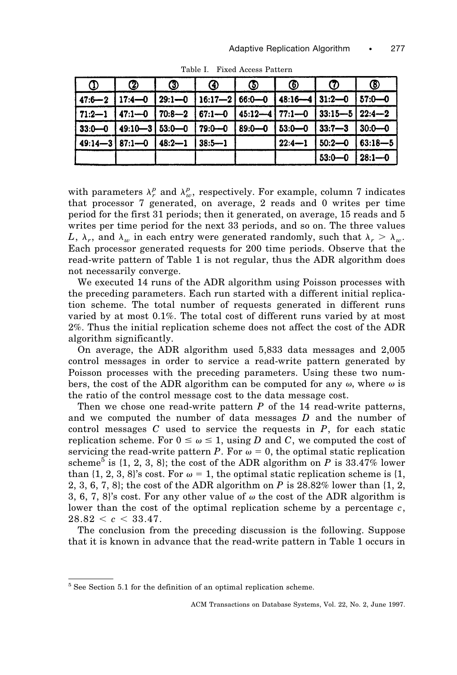| Φ | $\boldsymbol{\omega}$                | $\circled{3}$ | $\bf{Q}$                                                 | (5) | (6)                 | $\sigma$                                                                  | O            |
|---|--------------------------------------|---------------|----------------------------------------------------------|-----|---------------------|---------------------------------------------------------------------------|--------------|
|   |                                      |               |                                                          |     |                     | $47:6-2$   17:4-0   29:1-0   16:17-2   66:0-0   48:16-4   31:2-0   57:0-0 |              |
|   |                                      |               |                                                          |     |                     | 71:2-1   47:1-0   70:8-2   67:1-0   45:12-4   77:1-0   33:15-5   22:4-2   |              |
|   |                                      |               | $33:0$ 0 $\{49:10$ 3 $\}$ $53:0$ 0 $\{79:0$ 0 $\{89:0$ 0 |     |                     | $\vert 53:0-0 \vert 33:7-3 \vert 30:0-0 \vert$                            |              |
|   | $49:14-3$   87:1-0   48:2-1   38:5-1 |               |                                                          |     | $22:4-1$   $50:2-0$ |                                                                           | $163:18 - 5$ |
|   |                                      |               |                                                          |     |                     | $53:0 - 0$                                                                | $128:1-0$    |

Table I. Fixed Access Pattern

with parameters  $\lambda_r^p$  and  $\lambda_w^p$ , respectively. For example, column 7 indicates that processor 7 generated, on average, 2 reads and 0 writes per time period for the first 31 periods; then it generated, on average, 15 reads and 5 writes per time period for the next 33 periods, and so on. The three values L,  $\lambda_r$ , and  $\lambda_w$  in each entry were generated randomly, such that  $\lambda_r > \lambda_w$ . Each processor generated requests for 200 time periods. Observe that the read-write pattern of Table 1 is not regular, thus the ADR algorithm does not necessarily converge.

We executed 14 runs of the ADR algorithm using Poisson processes with the preceding parameters. Each run started with a different initial replication scheme. The total number of requests generated in different runs varied by at most 0.1%. The total cost of different runs varied by at most 2%. Thus the initial replication scheme does not affect the cost of the ADR algorithm significantly.

On average, the ADR algorithm used 5,833 data messages and 2,005 control messages in order to service a read-write pattern generated by Poisson processes with the preceding parameters. Using these two numbers, the cost of the ADR algorithm can be computed for any  $\omega$ , where  $\omega$  is the ratio of the control message cost to the data message cost.

Then we chose one read-write pattern *P* of the 14 read-write patterns, and we computed the number of data messages *D* and the number of control messages *C* used to service the requests in *P*, for each static replication scheme. For  $0 \leq \omega \leq 1$ , using *D* and *C*, we computed the cost of servicing the read-write pattern *P*. For  $\omega = 0$ , the optimal static replication scheme<sup>5</sup> is  $\{1, 2, 3, 8\}$ ; the cost of the ADR algorithm on *P* is 33.47% lower than  $\{1, 2, 3, 8\}$ 's cost. For  $\omega = 1$ , the optimal static replication scheme is  $\{1,$ 2, 3, 6, 7, 8}; the cost of the ADR algorithm on *P* is 28.82% lower than {1, 2, 3, 6, 7, 8)'s cost. For any other value of  $\omega$  the cost of the ADR algorithm is lower than the cost of the optimal replication scheme by a percentage *c*,  $28.82 < c < 33.47$ .

The conclusion from the preceding discussion is the following. Suppose that it is known in advance that the read-write pattern in Table 1 occurs in

<sup>5</sup> See Section 5.1 for the definition of an optimal replication scheme.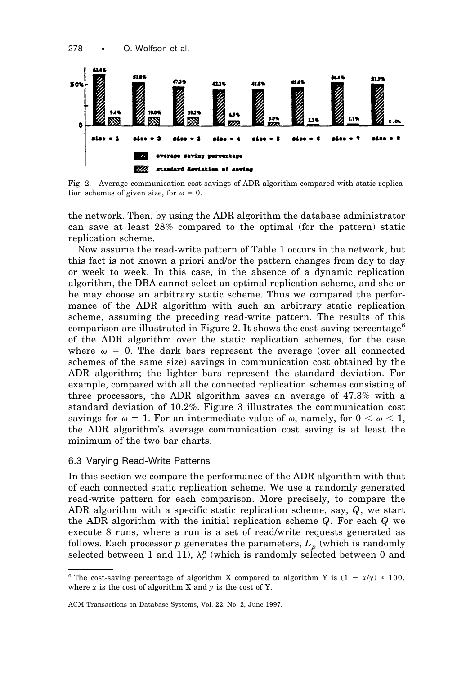

Fig. 2. Average communication cost savings of ADR algorithm compared with static replication schemes of given size, for  $\omega = 0$ .

the network. Then, by using the ADR algorithm the database administrator can save at least 28% compared to the optimal (for the pattern) static replication scheme.

Now assume the read-write pattern of Table 1 occurs in the network, but this fact is not known a priori and/or the pattern changes from day to day or week to week. In this case, in the absence of a dynamic replication algorithm, the DBA cannot select an optimal replication scheme, and she or he may choose an arbitrary static scheme. Thus we compared the performance of the ADR algorithm with such an arbitrary static replication scheme, assuming the preceding read-write pattern. The results of this comparison are illustrated in Figure 2. It shows the cost-saving percentage<sup>6</sup> of the ADR algorithm over the static replication schemes, for the case where  $\omega = 0$ . The dark bars represent the average (over all connected schemes of the same size) savings in communication cost obtained by the ADR algorithm; the lighter bars represent the standard deviation. For example, compared with all the connected replication schemes consisting of three processors, the ADR algorithm saves an average of 47.3% with a standard deviation of 10.2%. Figure 3 illustrates the communication cost savings for  $\omega = 1$ . For an intermediate value of  $\omega$ , namely, for  $0 < \omega < 1$ , the ADR algorithm's average communication cost saving is at least the minimum of the two bar charts.

#### 6.3 Varying Read-Write Patterns

In this section we compare the performance of the ADR algorithm with that of each connected static replication scheme. We use a randomly generated read-write pattern for each comparison. More precisely, to compare the ADR algorithm with a specific static replication scheme, say, *Q*, we start the ADR algorithm with the initial replication scheme *Q*. For each *Q* we execute 8 runs, where a run is a set of read/write requests generated as follows. Each processor  $p$  generates the parameters,  $L_p$  (which is randomly selected between 1 and 11),  $\lambda_r^p$  (which is randomly selected between 0 and

<sup>&</sup>lt;sup>6</sup> The cost-saving percentage of algorithm X compared to algorithm Y is  $(1 - x/y) * 100$ , where  $x$  is the cost of algorithm  $X$  and  $y$  is the cost of  $Y$ .

ACM Transactions on Database Systems, Vol. 22, No. 2, June 1997.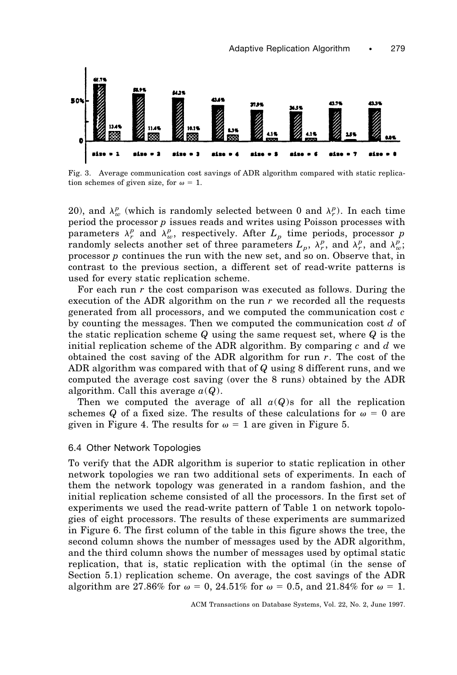

Fig. 3. Average communication cost savings of ADR algorithm compared with static replication schemes of given size, for  $\omega = 1$ .

20), and  $\lambda_w^p$  (which is randomly selected between 0 and  $\lambda_r^p$ ). In each time period the processor *p* issues reads and writes using Poisson processes with parameters  $\lambda_r^p$  and  $\lambda_w^p$ , respectively. After  $L_p$  time periods, processor *p* randomly selects another set of three parameters  $L_p$ ,  $\lambda_r^p$ , and  $\lambda_r^p$ , and  $\lambda_w^p$ ; processor *p* continues the run with the new set, and so on. Observe that, in contrast to the previous section, a different set of read-write patterns is used for every static replication scheme.

For each run *r* the cost comparison was executed as follows. During the execution of the ADR algorithm on the run *r* we recorded all the requests generated from all processors, and we computed the communication cost *c* by counting the messages. Then we computed the communication cost *d* of the static replication scheme *Q* using the same request set, where *Q* is the initial replication scheme of the ADR algorithm. By comparing *c* and *d* we obtained the cost saving of the ADR algorithm for run *r*. The cost of the ADR algorithm was compared with that of *Q* using 8 different runs, and we computed the average cost saving (over the 8 runs) obtained by the ADR algorithm. Call this average  $a(Q)$ .

Then we computed the average of all  $a(Q)$ s for all the replication schemes *Q* of a fixed size. The results of these calculations for  $\omega = 0$  are given in Figure 4. The results for  $\omega = 1$  are given in Figure 5.

#### 6.4 Other Network Topologies

To verify that the ADR algorithm is superior to static replication in other network topologies we ran two additional sets of experiments. In each of them the network topology was generated in a random fashion, and the initial replication scheme consisted of all the processors. In the first set of experiments we used the read-write pattern of Table 1 on network topologies of eight processors. The results of these experiments are summarized in Figure 6. The first column of the table in this figure shows the tree, the second column shows the number of messages used by the ADR algorithm, and the third column shows the number of messages used by optimal static replication, that is, static replication with the optimal (in the sense of Section 5.1) replication scheme. On average, the cost savings of the ADR algorithm are 27.86% for  $\omega = 0$ , 24.51% for  $\omega = 0.5$ , and 21.84% for  $\omega = 1$ .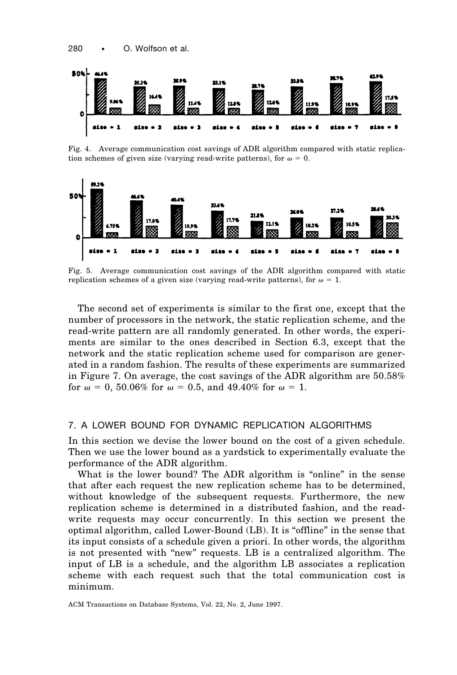

Fig. 4. Average communication cost savings of ADR algorithm compared with static replication schemes of given size (varying read-write patterns), for  $\omega = 0$ .



Fig. 5. Average communication cost savings of the ADR algorithm compared with static replication schemes of a given size (varying read-write patterns), for  $\omega = 1$ .

The second set of experiments is similar to the first one, except that the number of processors in the network, the static replication scheme, and the read-write pattern are all randomly generated. In other words, the experiments are similar to the ones described in Section 6.3, except that the network and the static replication scheme used for comparison are generated in a random fashion. The results of these experiments are summarized in Figure 7. On average, the cost savings of the ADR algorithm are 50.58% for  $\omega = 0$ , 50.06% for  $\omega = 0.5$ , and 49.40% for  $\omega = 1$ .

#### 7. A LOWER BOUND FOR DYNAMIC REPLICATION ALGORITHMS

In this section we devise the lower bound on the cost of a given schedule. Then we use the lower bound as a yardstick to experimentally evaluate the performance of the ADR algorithm.

What is the lower bound? The ADR algorithm is "online" in the sense that after each request the new replication scheme has to be determined, without knowledge of the subsequent requests. Furthermore, the new replication scheme is determined in a distributed fashion, and the readwrite requests may occur concurrently. In this section we present the optimal algorithm, called Lower-Bound (LB). It is "offline" in the sense that its input consists of a schedule given a priori. In other words, the algorithm is not presented with "new" requests. LB is a centralized algorithm. The input of LB is a schedule, and the algorithm LB associates a replication scheme with each request such that the total communication cost is minimum.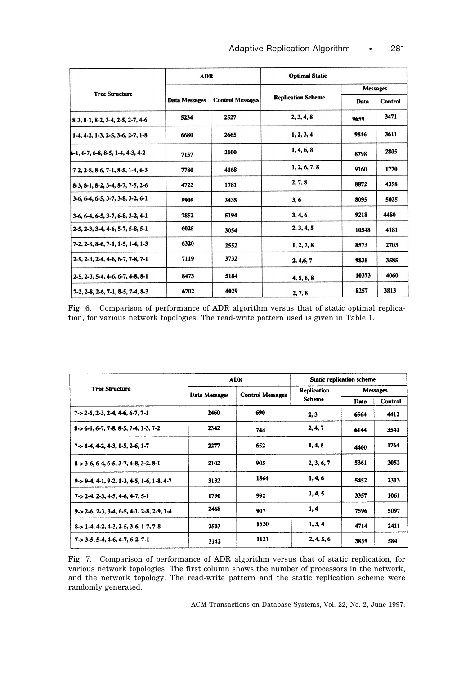|                                                       | <b>ADR</b>           |                         | <b>Optimal Static</b>     |                 |         |
|-------------------------------------------------------|----------------------|-------------------------|---------------------------|-----------------|---------|
| <b>Tree Structure</b>                                 |                      | <b>Control Messages</b> |                           | <b>Messages</b> |         |
|                                                       | <b>Data Messages</b> |                         | <b>Replication Scheme</b> | Data            | Control |
| 8-3, 8-1, 8-2, 3-4, 2-5, 2-7, 4-6                     | 5234                 | 2527                    | 2, 3, 4, 8                | 9659            | 3471    |
| $1-4, 4-2, 1-3, 2-5, 3-6, 2-7, 1-8$                   | 6680                 | 2665                    | 1, 2, 3, 4                | 9846            | 3611    |
| 6-1, 6-7, 6-8, 8-5, 1-4, 4-3, 4-2                     | 7157                 | 2100                    | 1, 4, 6, 8                | 8798            | 2805    |
| $7-2$ , $2-8$ , $8-6$ , $7-1$ , $8-5$ , $1-4$ , $6-3$ | 7780                 | 4168                    | 1, 2, 6, 7, 8             | 9160            | 1770    |
| 8-3, 8-1, 8-2, 3-4, 8-7, 7-5, 2-6                     | 4722                 | 1781                    | 2, 7, 8                   | 8872            | 4358    |
| 3-6, 6-4, 6-5, 3-7, 3-8, 3-2, 6-1                     | 5905                 | 3435                    | 3, 6                      | 8095            | 5025    |
| 3-6, 6-4, 6-5, 3-7, 6-8, 3-2, 4-1                     | 7852                 | 5194                    | 3, 4, 6                   | 9218            | 4480    |
| 2-5, 2-3, 3-4, 4-6, 5-7, 5-8, 5-1                     | 6025                 | 3054                    | 2, 3, 4, 5                | 10548           | 4181    |
| 7-2, 2-8, 8-6, 7-1, 1-5, 1-4, 1-3                     | 6320                 | 2552                    | 1, 2, 7, 8                | 8573            | 2703    |
| 2-5, 2-3, 2-4, 4-6, 6-7, 7-8, 7-1                     | 7119                 | 3732                    | 2, 4, 6, 7                | 9838            | 3585    |
| $2-5, 2-3, 5-4, 4-6, 6-7, 4-8, 8-1$                   | 8473                 | 5184                    | 4, 5, 6, 8                | 10373           | 4060    |
| $7-2$ , $2-8$ , $2-6$ , $7-1$ , $8-5$ , $7-4$ , $8-3$ | 6702                 | 4029                    | 2, 7, 8                   | 8257            | 3813    |

Fig. 6. Comparison of performance of ADR algorithm versus that of static optimal replication, for various network topologies. The read-write pattern used is given in Table 1.

|                                                       |               | <b>ADR</b>              | <b>Static replication scheme</b> |                 |         |
|-------------------------------------------------------|---------------|-------------------------|----------------------------------|-----------------|---------|
| <b>Tree Structure</b>                                 | Data Messages | <b>Control Messages</b> | <b>Replication</b>               | <b>Messages</b> |         |
|                                                       |               |                         | <b>Scheme</b>                    | Data            | Control |
| $7 > 2 - 5$ , 2-3, 2-4, 4-6, 6-7, 7-1                 | 2460          | 690                     | 2,3                              | 6564            | 4412    |
| $8 - 6 - 1, 6 - 7, 7 - 8, 8 - 5, 7 - 4, 1 - 3, 7 - 2$ | 2342          | 744                     | 2, 4, 7                          | 6144            | 3541    |
| $7 - 1 - 4$ , 4-2, 4-3, 1-5, 2-6, 1-7                 | 2277          | 652                     | 1, 4, 5                          | 4400            | 1764    |
| $8 - 3 - 6$ , 6-4, 6-5, 3-7, 4-8, 3-2, 8-1            | 2102          | 905                     | 2, 3, 6, 7                       | 5361            | 2052    |
| $9 - 9 - 4$ , 4-1, 9-2, 1-3, 4-5, 1-6, 1-8, 4-7       | 3132          | 1864                    | 1, 4, 6                          | 5452            | 2313    |
| $7 - 2 - 4$ , 2-3, 4-5, 4-6, 4-7, 5-1                 | 1790          | 992                     | 1, 4, 5                          | 3357            | 1061    |
| $9 - 2 - 6$ , 2-3, 3-4, 6-5, 4-1, 2-8, 2-9, 1-4       | 2468          | 907                     | 1,4                              | 7596            | 5097    |
| $8 > 1-4, 4-2, 4-3, 2-5, 3-6, 1-7, 7-8$               | 2503          | 1520                    | 1, 3, 4                          | 4714            | 2411    |
| $7 > 3 - 5, 5 - 4, 4 - 6, 4 - 7, 6 - 2, 7 - 1$        | 3142          | 1121                    | 2, 4, 5, 6                       | 3839            | 584     |

Fig. 7. Comparison of performance of ADR algorithm versus that of static replication, for various network topologies. The first column shows the number of processors in the network, and the network topology. The read-write pattern and the static replication scheme were randomly generated.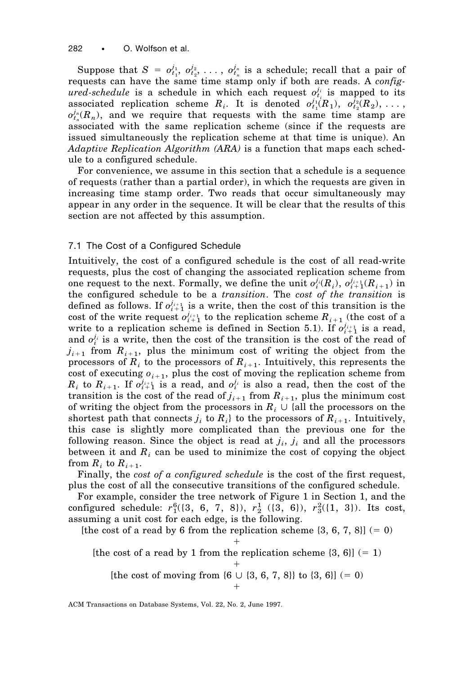Suppose that  $S = o_{t_1}^{j_1}, o_{t_2}^{j_2}, \ldots, o_{t_n}^{j_n}$  is a schedule; recall that a pair of requests can have the same time stamp only if both are reads. A *config* $u$ red-schedule is a schedule in which each request  $o_{t_i}^{j_i}$  is mapped to its associated replication scheme  $R_i$ . It is denoted  $o_{t_1}^{j_1}(R_1)$ ,  $o_{t_2}^{j_2}(R_2)$ , ...,  $o_{t_n}^{j_n}(R_n)$ , and we require that requests with the same time stamp are associated with the same replication scheme (since if the requests are issued simultaneously the replication scheme at that time is unique). An *Adaptive Replication Algorithm (ARA)* is a function that maps each schedule to a configured schedule.

For convenience, we assume in this section that a schedule is a sequence of requests (rather than a partial order), in which the requests are given in increasing time stamp order. Two reads that occur simultaneously may appear in any order in the sequence. It will be clear that the results of this section are not affected by this assumption.

## 7.1 The Cost of a Configured Schedule

Intuitively, the cost of a configured schedule is the cost of all read-write requests, plus the cost of changing the associated replication scheme from one request to the next. Formally, we define the unit  $o_i^{j_i}(R_i)$ ,  $o_{i+1}^{j_{i+1}}(R_{i+1})$  in the configured schedule to be a *transition*. The *cost of the transition* is defined as follows. If  $o_{i+1}^{j_{i+1}}$  is a write, then the cost of this transition is the cost of the write request  $o_{i+1}^{j_{i+1}}$  to the replication scheme  $R_{i+1}$  (the cost of a write to a replication scheme is defined in Section 5.1). If  $o_{i+1}^{j_{i+1}}$  is a read, and  $o_i^{j_i}$  is a write, then the cost of the transition is the cost of the read of  $j_{i+1}$  from  $R_{i+1}$ , plus the minimum cost of writing the object from the processors of  $R_i$  to the processors of  $R_{i+1}$ . Intuitively, this represents the cost of executing  $o_{i+1}$ , plus the cost of moving the replication scheme from  $R_i$  to  $R_{i+1}$ . If  $o_{i+1}^{j_{i+1}}$  is a read, and  $o_i^{j_i}$  is also a read, then the cost of the transition is the cost of the read of  $j_{i+1}$  from  $R_{i+1}$ , plus the minimum cost of writing the object from the processors in  $R_i \cup \{all\}$  the processors on the shortest path that connects  $j_i$  to  $R_i$  to the processors of  $R_{i+1}$ . Intuitively, this case is slightly more complicated than the previous one for the following reason. Since the object is read at  $j_i$ ,  $j_i$  and all the processors between it and  $R_i$  can be used to minimize the cost of copying the object from  $R_i$  to  $R_{i+1}$ .

Finally, the *cost of a configured schedule* is the cost of the first request, plus the cost of all the consecutive transitions of the configured schedule.

For example, consider the tree network of Figure 1 in Section 1, and the configured schedule:  $r_1^6({3, 6, 7, 8})$ ,  $r_2^1$  ({3, 6}),  $r_3^2({1, 3})$ ). Its cost, assuming a unit cost for each edge, is the following.

[the cost of a read by 6 from the replication scheme  $\{3, 6, 7, 8\}$ ] (= 0)

 $^{+}$ [the cost of a read by 1 from the replication scheme  $\{3, 6\}$ ] (= 1)

 $^{+}$ 

[the cost of moving from  $\{6 \cup \{3, 6, 7, 8\}\}$  to  $\{3, 6\}$ ] (= 0)  $^{+}$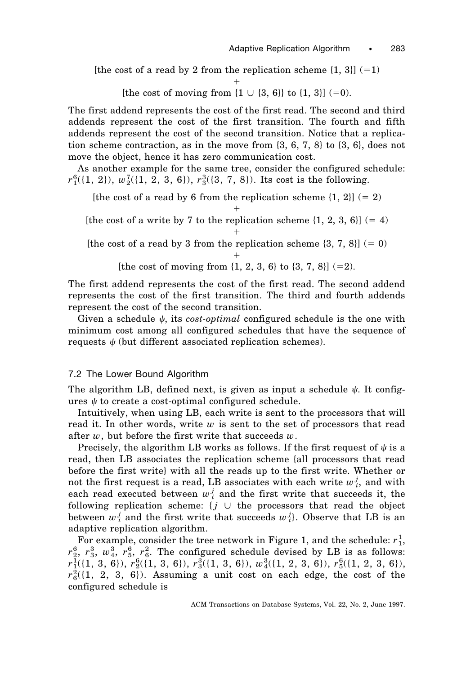[the cost of a read by 2 from the replication scheme  $\{1, 3\}$ ] (=1)

 $^{+}$ 

[the cost of moving from  $\{1 \cup \{3, 6\}\}\$  to  $\{1, 3\}$ ] (=0).

The first addend represents the cost of the first read. The second and third addends represent the cost of the first transition. The fourth and fifth addends represent the cost of the second transition. Notice that a replication scheme contraction, as in the move from  $\{3, 6, 7, 8\}$  to  $\{3, 6\}$ , does not move the object, hence it has zero communication cost.

As another example for the same tree, consider the configured schedule:  $r_1^6({1, 2})$ ,  $w_2^7({1, 2, 3, 6})$ ,  $r_3^3({3, 7, 8})$ . Its cost is the following.

[the cost of a read by 6 from the replication scheme  $\{1, 2\}$ ] (= 2)

 $^{+}$ [the cost of a write by 7 to the replication scheme  $\{1, 2, 3, 6\}$ ] (= 4)

 $^{+}$ [the cost of a read by 3 from the replication scheme  $\{3, 7, 8\}$ ] (= 0)

> $^{+}$ [the cost of moving from  $\{1, 2, 3, 6\}$  to  $\{3, 7, 8\}$ ] (=2).

The first addend represents the cost of the first read. The second addend represents the cost of the first transition. The third and fourth addends represent the cost of the second transition.

Given a schedule  $\psi$ , its *cost-optimal* configured schedule is the one with minimum cost among all configured schedules that have the sequence of requests  $\psi$  (but different associated replication schemes).

## 7.2 The Lower Bound Algorithm

The algorithm LB, defined next, is given as input a schedule  $\psi$ . It configures  $\psi$  to create a cost-optimal configured schedule.

Intuitively, when using LB, each write is sent to the processors that will read it. In other words, write *w* is sent to the set of processors that read after *w*, but before the first write that succeeds *w*.

Precisely, the algorithm LB works as follows. If the first request of  $\psi$  is a read, then LB associates the replication scheme {all processors that read before the first write} with all the reads up to the first write. Whether or not the first request is a read, LB associates with each write  $w_i^j$ , and with each read executed between  $w_i^j$  and the first write that succeeds it, the following replication scheme:  $\{j \cup \text{ the processors that read the object}\}$ between  $w_i^j$  and the first write that succeeds  $w_i^j$ ). Observe that LB is an adaptive replication algorithm.

For example, consider the tree network in Figure 1, and the schedule:  $r_1^1$ ,  $r_2^6$ ,  $r_3^3$ ,  $w_4^3$ ,  $r_5^6$ ,  $r_6^2$ . The configured schedule devised by LB is as follows:  $r_{1}^{\overline{1}}(\{1,\ 3,\ 6\}),\ r_{2}^{6}(\{1,\ 3,\ 6\}),\ r_{3}^{\overline{3}}(\{1,\ 3,\ 6\}),\ w_{4}^{3}(\{1,\ 2,\ 3,\ 6\}),\ r_{5}^{6}(\{1,\ 2,\ 3,\ 6\}),$  $r_6^2(1, 2, 3, 6)$ . Assuming a unit cost on each edge, the cost of the configured schedule is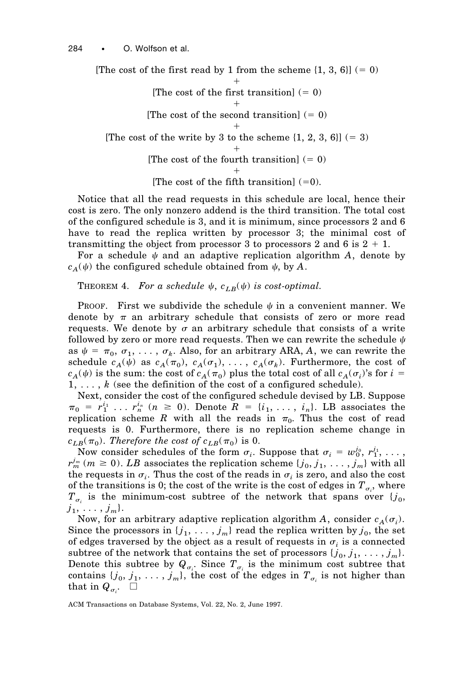[The cost of the first read by 1 from the scheme  $\{1, 3, 6\}$ ] (= 0)

 $^{+}$ [The cost of the first transition]  $(= 0)$  $^{+}$ [The cost of the second transition]  $(= 0)$  $^{+}$ [The cost of the write by 3 to the scheme  $\{1, 2, 3, 6\}$ ] (= 3)  $^{+}$ [The cost of the fourth transition]  $(= 0)$  $^{+}$ [The cost of the fifth transition]  $(=0)$ .

Notice that all the read requests in this schedule are local, hence their cost is zero. The only nonzero addend is the third transition. The total cost of the configured schedule is 3, and it is minimum, since processors 2 and 6 have to read the replica written by processor 3; the minimal cost of transmitting the object from processor 3 to processors 2 and 6 is  $2 + 1$ .

For a schedule  $\psi$  and an adaptive replication algorithm *A*, denote by  $c_A(\psi)$  the configured schedule obtained from  $\psi$ , by *A*.

THEOREM 4. For a schedule  $\psi$ ,  $c_{LB}(\psi)$  is cost-optimal.

PROOF. First we subdivide the schedule  $\psi$  in a convenient manner. We denote by  $\pi$  an arbitrary schedule that consists of zero or more read requests. We denote by  $\sigma$  an arbitrary schedule that consists of a write followed by zero or more read requests. Then we can rewrite the schedule  $\psi$ as  $\psi = \pi_0, \sigma_1, \ldots, \sigma_k$ . Also, for an arbitrary ARA, *A*, we can rewrite the schedule  $c_A(\psi)$  as  $c_A(\pi_0), c_A(\sigma_1), \ldots, c_A(\sigma_k)$ . Furthermore, the cost of  $c_A(\psi)$  is the sum: the cost of  $c_A(\pi_0)$  plus the total cost of all  $c_A(\sigma_i)$ 's for  $i =$  $1, \ldots, k$  (see the definition of the cost of a configured schedule).

Next, consider the cost of the configured schedule devised by LB. Suppose  $\pi_0 = r_1^{i_1} \ldots r_n^{i_n}$  ( $n \ge 0$ ). Denote  $R = \{i_1, \ldots, i_n\}$ . LB associates the replication scheme *R* with all the reads in  $\pi_0$ . Thus the cost of read requests is 0. Furthermore, there is no replication scheme change in  $c_{LB}(\pi_0)$ . *Therefore the cost of*  $c_{LB}(\pi_0)$  is 0.

Now consider schedules of the form  $\sigma_i$ . Suppose that  $\sigma_i = w_0^{j_0}, r_1^{j_1}, \ldots$  $r_m^{j_m}$  ( $m \ge 0$ ). *LB* associates the replication scheme  $\{j_0, j_1, \ldots, j_m\}$  with all the requests in  $\sigma_i$ . Thus the cost of the reads in  $\sigma_i$  is zero, and also the cost of the transitions is 0; the cost of the write is the cost of edges in  $T_{\sigma_i}$ , where  $T_{\sigma_i}$  is the minimum-cost subtree of the network that spans over  $\{j_0,$  $j_1, \ldots, j_m$ .

Now, for an arbitrary adaptive replication algorithm *A*, consider  $c_A(\sigma_i)$ . Since the processors in  $\{j_1, \ldots, j_m\}$  read the replica written by  $j_0$ , the set of edges traversed by the object as a result of requests in  $\sigma_i$  is a connected subtree of the network that contains the set of processors  $\{j_0, j_1, \ldots, j_m\}$ . Denote this subtree by  $Q_{\sigma_i}$ . Since  $T_{\sigma_i}$  is the minimum cost subtree that contains  $\{j_0, j_1, \ldots, j_m\}$ , the cost of the edges in  $T_{\sigma_i}$  is not higher than that in  $Q_{\sigma_i}$ .  $\Box$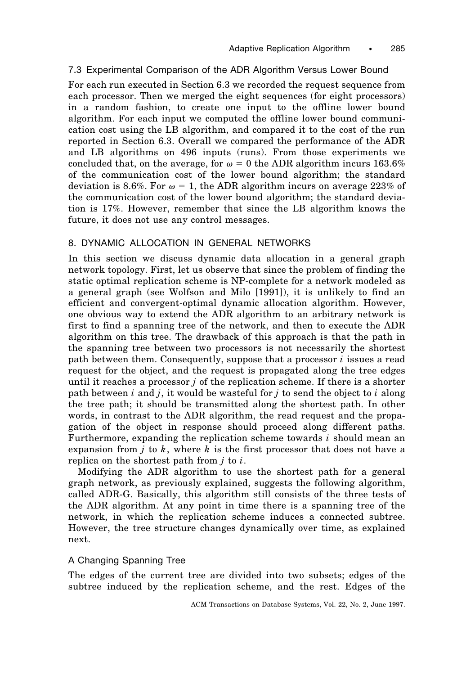## 7.3 Experimental Comparison of the ADR Algorithm Versus Lower Bound

For each run executed in Section 6.3 we recorded the request sequence from each processor. Then we merged the eight sequences (for eight processors) in a random fashion, to create one input to the offline lower bound algorithm. For each input we computed the offline lower bound communication cost using the LB algorithm, and compared it to the cost of the run reported in Section 6.3. Overall we compared the performance of the ADR and LB algorithms on 496 inputs (runs). From those experiments we concluded that, on the average, for  $\omega = 0$  the ADR algorithm incurs 163.6% of the communication cost of the lower bound algorithm; the standard deviation is 8.6%. For  $\omega = 1$ , the ADR algorithm incurs on average 223% of the communication cost of the lower bound algorithm; the standard deviation is 17%. However, remember that since the LB algorithm knows the future, it does not use any control messages.

## 8. DYNAMIC ALLOCATION IN GENERAL NETWORKS

In this section we discuss dynamic data allocation in a general graph network topology. First, let us observe that since the problem of finding the static optimal replication scheme is NP-complete for a network modeled as a general graph (see Wolfson and Milo [1991]), it is unlikely to find an efficient and convergent-optimal dynamic allocation algorithm. However, one obvious way to extend the ADR algorithm to an arbitrary network is first to find a spanning tree of the network, and then to execute the ADR algorithm on this tree. The drawback of this approach is that the path in the spanning tree between two processors is not necessarily the shortest path between them. Consequently, suppose that a processor *i* issues a read request for the object, and the request is propagated along the tree edges until it reaches a processor *j* of the replication scheme. If there is a shorter path between *i* and *j*, it would be wasteful for *j* to send the object to *i* along the tree path; it should be transmitted along the shortest path. In other words, in contrast to the ADR algorithm, the read request and the propagation of the object in response should proceed along different paths. Furthermore, expanding the replication scheme towards *i* should mean an expansion from *j* to *k*, where *k* is the first processor that does not have a replica on the shortest path from *j* to *i*.

Modifying the ADR algorithm to use the shortest path for a general graph network, as previously explained, suggests the following algorithm, called ADR-G. Basically, this algorithm still consists of the three tests of the ADR algorithm. At any point in time there is a spanning tree of the network, in which the replication scheme induces a connected subtree. However, the tree structure changes dynamically over time, as explained next.

## A Changing Spanning Tree

The edges of the current tree are divided into two subsets; edges of the subtree induced by the replication scheme, and the rest. Edges of the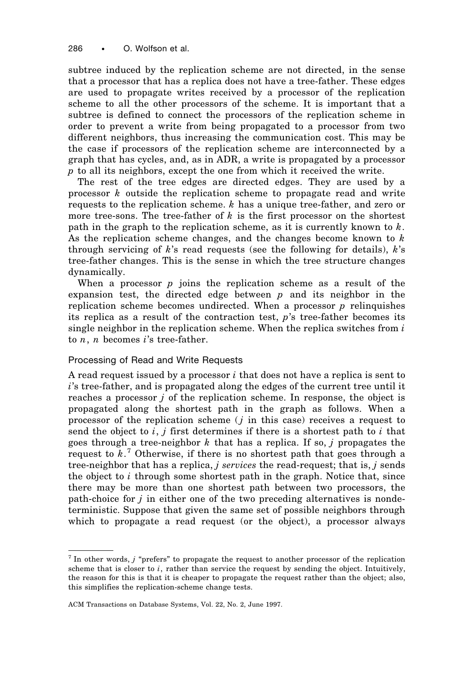subtree induced by the replication scheme are not directed, in the sense that a processor that has a replica does not have a tree-father. These edges are used to propagate writes received by a processor of the replication scheme to all the other processors of the scheme. It is important that a subtree is defined to connect the processors of the replication scheme in order to prevent a write from being propagated to a processor from two different neighbors, thus increasing the communication cost. This may be the case if processors of the replication scheme are interconnected by a graph that has cycles, and, as in ADR, a write is propagated by a processor *p* to all its neighbors, except the one from which it received the write.

The rest of the tree edges are directed edges. They are used by a processor *k* outside the replication scheme to propagate read and write requests to the replication scheme. *k* has a unique tree-father, and zero or more tree-sons. The tree-father of *k* is the first processor on the shortest path in the graph to the replication scheme, as it is currently known to *k*. As the replication scheme changes, and the changes become known to *k* through servicing of *k*'s read requests (see the following for details), *k*'s tree-father changes. This is the sense in which the tree structure changes dynamically.

When a processor *p* joins the replication scheme as a result of the expansion test, the directed edge between *p* and its neighbor in the replication scheme becomes undirected. When a processor *p* relinquishes its replica as a result of the contraction test, *p*'s tree-father becomes its single neighbor in the replication scheme. When the replica switches from *i* to *n*, *n* becomes *i*'s tree-father.

## Processing of Read and Write Requests

A read request issued by a processor *i* that does not have a replica is sent to *i*'s tree-father, and is propagated along the edges of the current tree until it reaches a processor *j* of the replication scheme. In response, the object is propagated along the shortest path in the graph as follows. When a processor of the replication scheme ( *j* in this case) receives a request to send the object to  $i$ ,  $j$  first determines if there is a shortest path to  $i$  that goes through a tree-neighbor *k* that has a replica. If so, *j* propagates the request to  $k$ .<sup>7</sup> Otherwise, if there is no shortest path that goes through a tree-neighbor that has a replica, *j services* the read-request; that is, *j* sends the object to *i* through some shortest path in the graph. Notice that, since there may be more than one shortest path between two processors, the path-choice for *j* in either one of the two preceding alternatives is nondeterministic. Suppose that given the same set of possible neighbors through which to propagate a read request (or the object), a processor always

<sup>&</sup>lt;sup>7</sup> In other words,  $j$  "prefers" to propagate the request to another processor of the replication scheme that is closer to *i*, rather than service the request by sending the object. Intuitively, the reason for this is that it is cheaper to propagate the request rather than the object; also, this simplifies the replication-scheme change tests.

ACM Transactions on Database Systems, Vol. 22, No. 2, June 1997.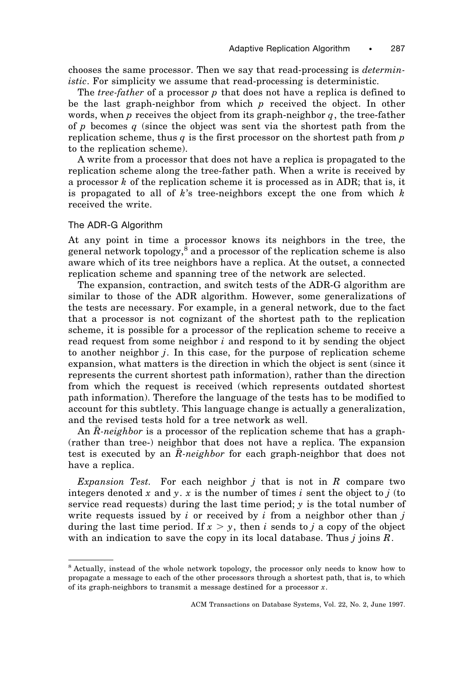chooses the same processor. Then we say that read-processing is *deterministic*. For simplicity we assume that read-processing is deterministic.

The *tree-father* of a processor *p* that does not have a replica is defined to be the last graph-neighbor from which *p* received the object. In other words, when *p* receives the object from its graph-neighbor *q*, the tree-father of  $p$  becomes  $q$  (since the object was sent via the shortest path from the replication scheme, thus *q* is the first processor on the shortest path from *p* to the replication scheme).

A write from a processor that does not have a replica is propagated to the replication scheme along the tree-father path. When a write is received by a processor *k* of the replication scheme it is processed as in ADR; that is, it is propagated to all of *k*'s tree-neighbors except the one from which *k* received the write.

#### The ADR-G Algorithm

At any point in time a processor knows its neighbors in the tree, the general network topology, $\delta$  and a processor of the replication scheme is also aware which of its tree neighbors have a replica. At the outset, a connected replication scheme and spanning tree of the network are selected.

The expansion, contraction, and switch tests of the ADR-G algorithm are similar to those of the ADR algorithm. However, some generalizations of the tests are necessary. For example, in a general network, due to the fact that a processor is not cognizant of the shortest path to the replication scheme, it is possible for a processor of the replication scheme to receive a read request from some neighbor *i* and respond to it by sending the object to another neighbor *j*. In this case, for the purpose of replication scheme expansion, what matters is the direction in which the object is sent (since it represents the current shortest path information), rather than the direction from which the request is received (which represents outdated shortest path information). Therefore the language of the tests has to be modified to account for this subtlety. This language change is actually a generalization, and the revised tests hold for a tree network as well.

An *R*-neighbor is a processor of the replication scheme that has a graph-(rather than tree-) neighbor that does not have a replica. The expansion test is executed by an *R*# *-neighbor* for each graph-neighbor that does not have a replica.

*Expansion Test.* For each neighbor *j* that is not in *R* compare two integers denoted *x* and *y*. *x* is the number of times *i* sent the object to *j* (to service read requests) during the last time period; *y* is the total number of write requests issued by *i* or received by *i* from a neighbor other than *j* during the last time period. If  $x > y$ , then *i* sends to *j* a copy of the object with an indication to save the copy in its local database. Thus *j* joins *R*.

<sup>8</sup> Actually, instead of the whole network topology, the processor only needs to know how to propagate a message to each of the other processors through a shortest path, that is, to which of its graph-neighbors to transmit a message destined for a processor *x*.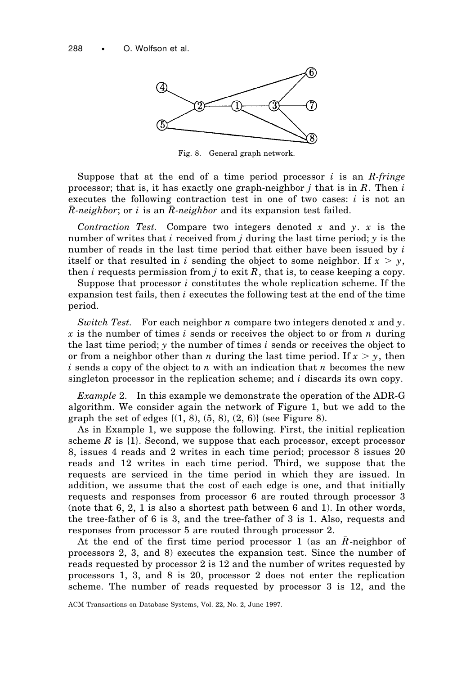

Fig. 8. General graph network.

Suppose that at the end of a time period processor *i* is an *R-fringe* processor; that is, it has exactly one graph-neighbor *j* that is in *R*. Then *i* executes the following contraction test in one of two cases:  $i$  is not an *R*-neighbor; or *i* is an *R*-neighbor and its expansion test failed.

*Contraction Test.* Compare two integers denoted *x* and *y*. *x* is the number of writes that *i* received from *j* during the last time period; *y* is the number of reads in the last time period that either have been issued by *i* itself or that resulted in *i* sending the object to some neighbor. If  $x > y$ , then  $i$  requests permission from  $j$  to exit  $R$ , that is, to cease keeping a copy.

Suppose that processor *i* constitutes the whole replication scheme. If the expansion test fails, then *i* executes the following test at the end of the time period.

*Switch Test.* For each neighbor *n* compare two integers denoted *x* and *y*. *x* is the number of times *i* sends or receives the object to or from *n* during the last time period;  $\gamma$  the number of times *i* sends or receives the object to or from a neighbor other than *n* during the last time period. If  $x > y$ , then *i* sends a copy of the object to *n* with an indication that *n* becomes the new singleton processor in the replication scheme; and *i* discards its own copy.

*Example* 2. In this example we demonstrate the operation of the ADR-G algorithm. We consider again the network of Figure 1, but we add to the graph the set of edges  $\{(1, 8), (5, 8), (2, 6)\}\$  (see Figure 8).

As in Example 1, we suppose the following. First, the initial replication scheme  $R$  is  $\{1\}$ . Second, we suppose that each processor, except processor 8, issues 4 reads and 2 writes in each time period; processor 8 issues 20 reads and 12 writes in each time period. Third, we suppose that the requests are serviced in the time period in which they are issued. In addition, we assume that the cost of each edge is one, and that initially requests and responses from processor 6 are routed through processor 3 (note that 6, 2, 1 is also a shortest path between 6 and 1). In other words, the tree-father of 6 is 3, and the tree-father of 3 is 1. Also, requests and responses from processor 5 are routed through processor 2.

At the end of the first time period processor  $1$  (as an  $R$ -neighbor of processors 2, 3, and 8) executes the expansion test. Since the number of reads requested by processor 2 is 12 and the number of writes requested by processors 1, 3, and 8 is 20, processor 2 does not enter the replication scheme. The number of reads requested by processor 3 is 12, and the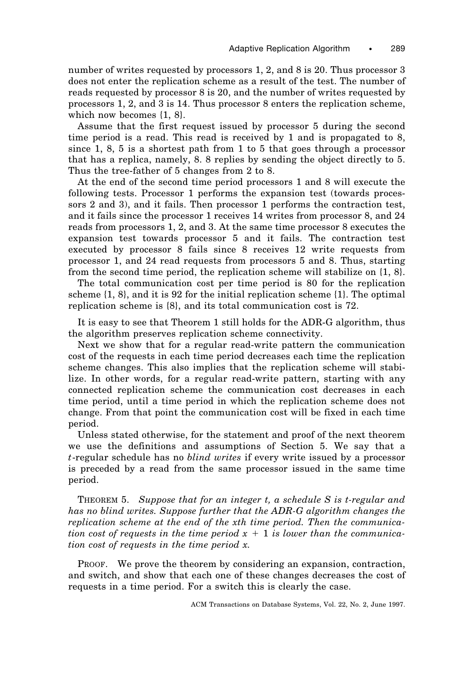number of writes requested by processors 1, 2, and 8 is 20. Thus processor 3 does not enter the replication scheme as a result of the test. The number of reads requested by processor 8 is 20, and the number of writes requested by processors 1, 2, and 3 is 14. Thus processor 8 enters the replication scheme, which now becomes {1, 8}.

Assume that the first request issued by processor 5 during the second time period is a read. This read is received by 1 and is propagated to 8, since 1, 8, 5 is a shortest path from 1 to 5 that goes through a processor that has a replica, namely, 8. 8 replies by sending the object directly to 5. Thus the tree-father of 5 changes from 2 to 8.

At the end of the second time period processors 1 and 8 will execute the following tests. Processor 1 performs the expansion test (towards processors 2 and 3), and it fails. Then processor 1 performs the contraction test, and it fails since the processor 1 receives 14 writes from processor 8, and 24 reads from processors 1, 2, and 3. At the same time processor 8 executes the expansion test towards processor 5 and it fails. The contraction test executed by processor 8 fails since 8 receives 12 write requests from processor 1, and 24 read requests from processors 5 and 8. Thus, starting from the second time period, the replication scheme will stabilize on {1, 8}.

The total communication cost per time period is 80 for the replication scheme {1, 8}, and it is 92 for the initial replication scheme {1}. The optimal replication scheme is {8}, and its total communication cost is 72.

It is easy to see that Theorem 1 still holds for the ADR-G algorithm, thus the algorithm preserves replication scheme connectivity.

Next we show that for a regular read-write pattern the communication cost of the requests in each time period decreases each time the replication scheme changes. This also implies that the replication scheme will stabilize. In other words, for a regular read-write pattern, starting with any connected replication scheme the communication cost decreases in each time period, until a time period in which the replication scheme does not change. From that point the communication cost will be fixed in each time period.

Unless stated otherwise, for the statement and proof of the next theorem we use the definitions and assumptions of Section 5. We say that a *t*-regular schedule has no *blind writes* if every write issued by a processor is preceded by a read from the same processor issued in the same time period.

THEOREM 5. *Suppose that for an integer t, a schedule S is t-regular and has no blind writes. Suppose further that the ADR-G algorithm changes the replication scheme at the end of the xth time period. Then the communication cost of requests in the time period*  $x + 1$  *is lower than the communication cost of requests in the time period x.*

PROOF. We prove the theorem by considering an expansion, contraction, and switch, and show that each one of these changes decreases the cost of requests in a time period. For a switch this is clearly the case.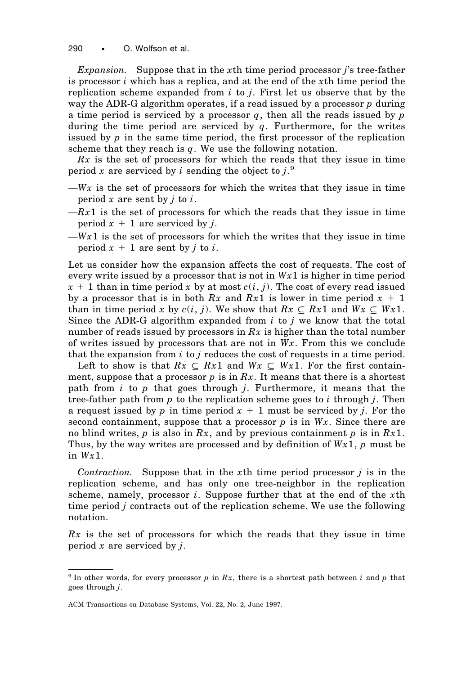290 • O. Wolfson et al.

*Expansion.* Suppose that in the *x*th time period processor *j*'s tree-father is processor *i* which has a replica, and at the end of the *x*th time period the replication scheme expanded from *i* to *j*. First let us observe that by the way the ADR-G algorithm operates, if a read issued by a processor *p* during a time period is serviced by a processor *q*, then all the reads issued by *p* during the time period are serviced by  $q$ . Furthermore, for the writes issued by *p* in the same time period, the first processor of the replication scheme that they reach is  $q$ . We use the following notation.

*Rx* is the set of processors for which the reads that they issue in time period *x* are serviced by *i* sending the object to  $j$ .

- $-Wx$  is the set of processors for which the writes that they issue in time period *x* are sent by *j* to *i*.
- $-Rx1$  is the set of processors for which the reads that they issue in time period  $x + 1$  are serviced by *j*.
- $-Wx1$  is the set of processors for which the writes that they issue in time period  $x + 1$  are sent by *j* to *i*.

Let us consider how the expansion affects the cost of requests. The cost of every write issued by a processor that is not in *Wx*1 is higher in time period  $x + 1$  than in time period x by at most  $c(i, j)$ . The cost of every read issued by a processor that is in both  $Rx$  and  $Rx1$  is lower in time period  $x + 1$ than in time period *x* by  $c(i, j)$ . We show that  $Rx \subseteq Rx1$  and  $Wx \subseteq Wx1$ . Since the ADR-G algorithm expanded from *i* to *j* we know that the total number of reads issued by processors in  $Rx$  is higher than the total number of writes issued by processors that are not in *Wx*. From this we conclude that the expansion from *i* to *j* reduces the cost of requests in a time period.

Left to show is that  $Rx \subseteq Rx1$  and  $Wx \subseteq Wx1$ . For the first containment, suppose that a processor  $p$  is in  $Rx$ . It means that there is a shortest path from *i* to *p* that goes through *j*. Furthermore, it means that the tree-father path from *p* to the replication scheme goes to *i* through *j*. Then a request issued by p in time period  $x + 1$  must be serviced by *j*. For the second containment, suppose that a processor  $p$  is in  $W_x$ . Since there are no blind writes, *p* is also in *Rx*, and by previous containment *p* is in *Rx*1. Thus, by the way writes are processed and by definition of *Wx*1, *p* must be in *Wx*1.

*Contraction.* Suppose that in the *x*th time period processor *j* is in the replication scheme, and has only one tree-neighbor in the replication scheme, namely, processor *i*. Suppose further that at the end of the *x*th time period *j* contracts out of the replication scheme. We use the following notation.

*Rx* is the set of processors for which the reads that they issue in time period *x* are serviced by *j*.

<sup>&</sup>lt;sup>9</sup> In other words, for every processor  $p$  in  $Rx$ , there is a shortest path between  $i$  and  $p$  that goes through *j*.

ACM Transactions on Database Systems, Vol. 22, No. 2, June 1997.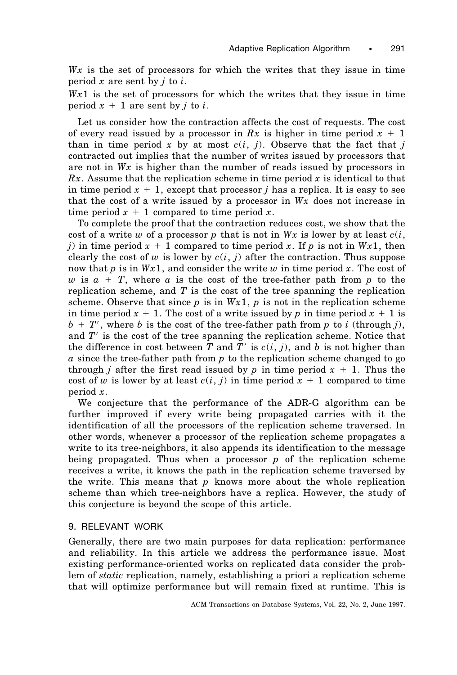*Wx* is the set of processors for which the writes that they issue in time period *x* are sent by *j* to *i*.

*Wx*1 is the set of processors for which the writes that they issue in time period  $x + 1$  are sent by *j* to *i*.

Let us consider how the contraction affects the cost of requests. The cost of every read issued by a processor in  $Rx$  is higher in time period  $x + 1$ than in time period x by at most  $c(i, j)$ . Observe that the fact that *j* contracted out implies that the number of writes issued by processors that are not in *Wx* is higher than the number of reads issued by processors in *Rx*. Assume that the replication scheme in time period *x* is identical to that in time period  $x + 1$ , except that processor *j* has a replica. It is easy to see that the cost of a write issued by a processor in *Wx* does not increase in time period  $x + 1$  compared to time period x.

To complete the proof that the contraction reduces cost, we show that the cost of a write *w* of a processor *p* that is not in *Wx* is lower by at least  $c(i,$ *j*) in time period  $x + 1$  compared to time period x. If p is not in  $Wx1$ , then clearly the cost of  $w$  is lower by  $c(i, j)$  after the contraction. Thus suppose now that *p* is in *Wx*1, and consider the write *w* in time period *x*. The cost of *w* is  $a + T$ , where  $a$  is the cost of the tree-father path from  $p$  to the replication scheme, and *T* is the cost of the tree spanning the replication scheme. Observe that since  $p$  is in  $Wx1$ ,  $p$  is not in the replication scheme in time period  $x + 1$ . The cost of a write issued by p in time period  $x + 1$  is  $b + T'$ , where *b* is the cost of the tree-father path from *p* to *i* (through *j*), and *T*<sup> $\prime$ </sup> is the cost of the tree spanning the replication scheme. Notice that the difference in cost between *T* and *T'* is  $c(i, j)$ , and *b* is not higher than *a* since the tree-father path from *p* to the replication scheme changed to go through *j* after the first read issued by *p* in time period  $x + 1$ . Thus the cost of *w* is lower by at least  $c(i, j)$  in time period  $x + 1$  compared to time period *x*.

We conjecture that the performance of the ADR-G algorithm can be further improved if every write being propagated carries with it the identification of all the processors of the replication scheme traversed. In other words, whenever a processor of the replication scheme propagates a write to its tree-neighbors, it also appends its identification to the message being propagated. Thus when a processor *p* of the replication scheme receives a write, it knows the path in the replication scheme traversed by the write. This means that  $p$  knows more about the whole replication scheme than which tree-neighbors have a replica. However, the study of this conjecture is beyond the scope of this article.

#### 9. RELEVANT WORK

Generally, there are two main purposes for data replication: performance and reliability. In this article we address the performance issue. Most existing performance-oriented works on replicated data consider the problem of *static* replication, namely, establishing a priori a replication scheme that will optimize performance but will remain fixed at runtime. This is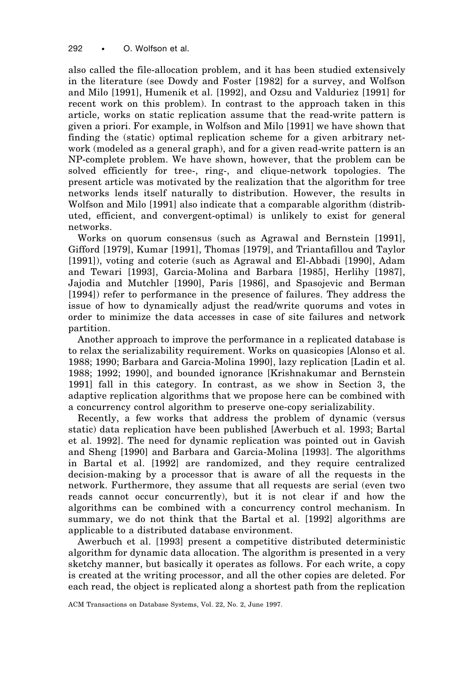also called the file-allocation problem, and it has been studied extensively in the literature (see Dowdy and Foster [1982] for a survey, and Wolfson and Milo [1991], Humenik et al. [1992], and Ozsu and Valduriez [1991] for recent work on this problem). In contrast to the approach taken in this article, works on static replication assume that the read-write pattern is given a priori. For example, in Wolfson and Milo [1991] we have shown that finding the (static) optimal replication scheme for a given arbitrary network (modeled as a general graph), and for a given read-write pattern is an NP-complete problem. We have shown, however, that the problem can be solved efficiently for tree-, ring-, and clique-network topologies. The present article was motivated by the realization that the algorithm for tree networks lends itself naturally to distribution. However, the results in Wolfson and Milo [1991] also indicate that a comparable algorithm (distributed, efficient, and convergent-optimal) is unlikely to exist for general networks.

Works on quorum consensus (such as Agrawal and Bernstein [1991], Gifford [1979], Kumar [1991], Thomas [1979], and Triantafillou and Taylor [1991]), voting and coterie (such as Agrawal and El-Abbadi [1990], Adam and Tewari [1993], Garcia-Molina and Barbara [1985], Herlihy [1987], Jajodia and Mutchler [1990], Paris [1986], and Spasojevic and Berman [1994]) refer to performance in the presence of failures. They address the issue of how to dynamically adjust the read/write quorums and votes in order to minimize the data accesses in case of site failures and network partition.

Another approach to improve the performance in a replicated database is to relax the serializability requirement. Works on quasicopies [Alonso et al. 1988; 1990; Barbara and Garcia-Molina 1990], lazy replication [Ladin et al. 1988; 1992; 1990], and bounded ignorance [Krishnakumar and Bernstein 1991] fall in this category. In contrast, as we show in Section 3, the adaptive replication algorithms that we propose here can be combined with a concurrency control algorithm to preserve one-copy serializability.

Recently, a few works that address the problem of dynamic (versus static) data replication have been published [Awerbuch et al. 1993; Bartal et al. 1992]. The need for dynamic replication was pointed out in Gavish and Sheng [1990] and Barbara and Garcia-Molina [1993]. The algorithms in Bartal et al. [1992] are randomized, and they require centralized decision-making by a processor that is aware of all the requests in the network. Furthermore, they assume that all requests are serial (even two reads cannot occur concurrently), but it is not clear if and how the algorithms can be combined with a concurrency control mechanism. In summary, we do not think that the Bartal et al. [1992] algorithms are applicable to a distributed database environment.

Awerbuch et al. [1993] present a competitive distributed deterministic algorithm for dynamic data allocation. The algorithm is presented in a very sketchy manner, but basically it operates as follows. For each write, a copy is created at the writing processor, and all the other copies are deleted. For each read, the object is replicated along a shortest path from the replication

ACM Transactions on Database Systems, Vol. 22, No. 2, June 1997.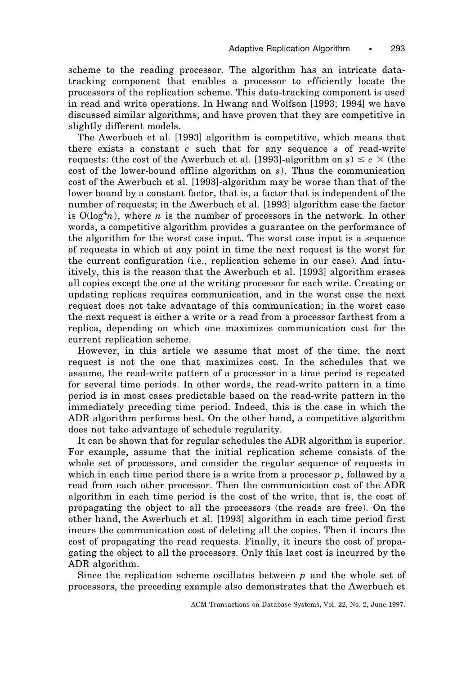scheme to the reading processor. The algorithm has an intricate datatracking component that enables a processor to efficiently locate the processors of the replication scheme. This data-tracking component is used in read and write operations. In Hwang and Wolfson [1993; 1994] we have discussed similar algorithms, and have proven that they are competitive in slightly different models.

The Awerbuch et al. [1993] algorithm is competitive, which means that there exists a constant *c* such that for any sequence *s* of read-write requests: (the cost of the Awerbuch et al. [1993]-algorithm on  $s$ )  $\leq c \times$  (the cost of the lower-bound offline algorithm on *s*). Thus the communication cost of the Awerbuch et al. [1993]-algorithm may be worse than that of the lower bound by a constant factor, that is, a factor that is independent of the number of requests; in the Awerbuch et al. [1993] algorithm case the factor is  $O(\log^4 n)$ , where *n* is the number of processors in the network. In other words, a competitive algorithm provides a guarantee on the performance of the algorithm for the worst case input. The worst case input is a sequence of requests in which at any point in time the next request is the worst for the current configuration (i.e., replication scheme in our case). And intuitively, this is the reason that the Awerbuch et al. [1993] algorithm erases all copies except the one at the writing processor for each write. Creating or updating replicas requires communication, and in the worst case the next request does not take advantage of this communication; in the worst case the next request is either a write or a read from a processor farthest from a replica, depending on which one maximizes communication cost for the current replication scheme.

However, in this article we assume that most of the time, the next request is not the one that maximizes cost. In the schedules that we assume, the read-write pattern of a processor in a time period is repeated for several time periods. In other words, the read-write pattern in a time period is in most cases predictable based on the read-write pattern in the immediately preceding time period. Indeed, this is the case in which the ADR algorithm performs best. On the other hand, a competitive algorithm does not take advantage of schedule regularity.

It can be shown that for regular schedules the ADR algorithm is superior. For example, assume that the initial replication scheme consists of the whole set of processors, and consider the regular sequence of requests in which in each time period there is a write from a processor  $p$ , followed by a read from each other processor. Then the communication cost of the ADR algorithm in each time period is the cost of the write, that is, the cost of propagating the object to all the processors (the reads are free). On the other hand, the Awerbuch et al. [1993] algorithm in each time period first incurs the communication cost of deleting all the copies. Then it incurs the cost of propagating the read requests. Finally, it incurs the cost of propagating the object to all the processors. Only this last cost is incurred by the ADR algorithm.

Since the replication scheme oscillates between *p* and the whole set of processors, the preceding example also demonstrates that the Awerbuch et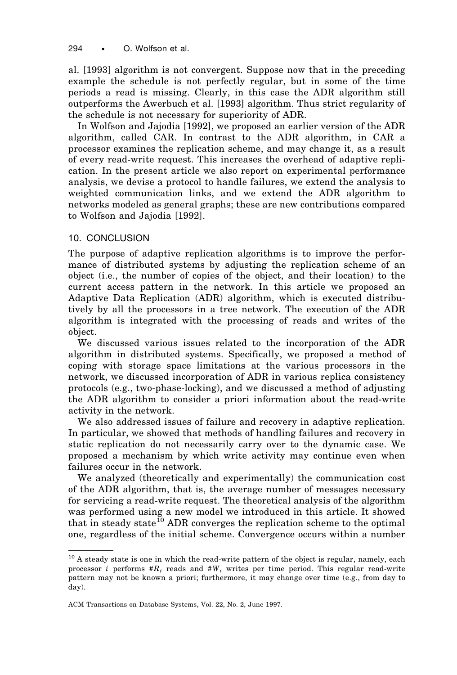al. [1993] algorithm is not convergent. Suppose now that in the preceding example the schedule is not perfectly regular, but in some of the time periods a read is missing. Clearly, in this case the ADR algorithm still outperforms the Awerbuch et al. [1993] algorithm. Thus strict regularity of the schedule is not necessary for superiority of ADR.

In Wolfson and Jajodia [1992], we proposed an earlier version of the ADR algorithm, called CAR. In contrast to the ADR algorithm, in CAR a processor examines the replication scheme, and may change it, as a result of every read-write request. This increases the overhead of adaptive replication. In the present article we also report on experimental performance analysis, we devise a protocol to handle failures, we extend the analysis to weighted communication links, and we extend the ADR algorithm to networks modeled as general graphs; these are new contributions compared to Wolfson and Jajodia [1992].

## 10. CONCLUSION

The purpose of adaptive replication algorithms is to improve the performance of distributed systems by adjusting the replication scheme of an object (i.e., the number of copies of the object, and their location) to the current access pattern in the network. In this article we proposed an Adaptive Data Replication (ADR) algorithm, which is executed distributively by all the processors in a tree network. The execution of the ADR algorithm is integrated with the processing of reads and writes of the object.

We discussed various issues related to the incorporation of the ADR algorithm in distributed systems. Specifically, we proposed a method of coping with storage space limitations at the various processors in the network, we discussed incorporation of ADR in various replica consistency protocols (e.g., two-phase-locking), and we discussed a method of adjusting the ADR algorithm to consider a priori information about the read-write activity in the network.

We also addressed issues of failure and recovery in adaptive replication. In particular, we showed that methods of handling failures and recovery in static replication do not necessarily carry over to the dynamic case. We proposed a mechanism by which write activity may continue even when failures occur in the network.

We analyzed (theoretically and experimentally) the communication cost of the ADR algorithm, that is, the average number of messages necessary for servicing a read-write request. The theoretical analysis of the algorithm was performed using a new model we introduced in this article. It showed that in steady state<sup>10</sup> ADR converges the replication scheme to the optimal one, regardless of the initial scheme. Convergence occurs within a number

 $10$  A steady state is one in which the read-write pattern of the object is regular, namely, each processor *i* performs  $#R_i$  reads and  $#W_i$  writes per time period. This regular read-write pattern may not be known a priori; furthermore, it may change over time (e.g., from day to day).

ACM Transactions on Database Systems, Vol. 22, No. 2, June 1997.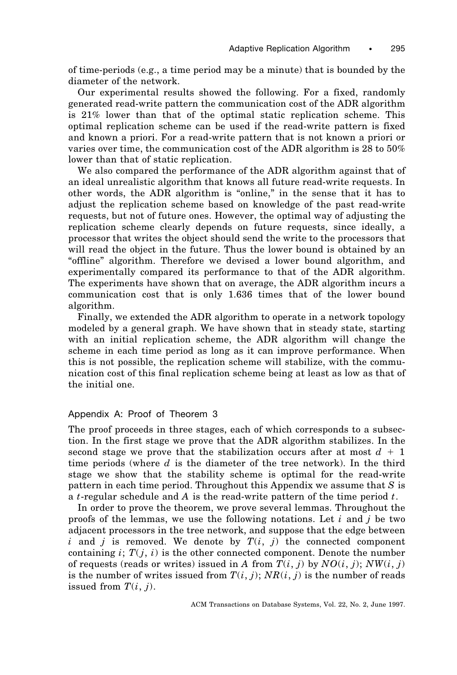of time-periods (e.g., a time period may be a minute) that is bounded by the diameter of the network.

Our experimental results showed the following. For a fixed, randomly generated read-write pattern the communication cost of the ADR algorithm is 21% lower than that of the optimal static replication scheme. This optimal replication scheme can be used if the read-write pattern is fixed and known a priori. For a read-write pattern that is not known a priori or varies over time, the communication cost of the ADR algorithm is 28 to 50% lower than that of static replication.

We also compared the performance of the ADR algorithm against that of an ideal unrealistic algorithm that knows all future read-write requests. In other words, the ADR algorithm is "online," in the sense that it has to adjust the replication scheme based on knowledge of the past read-write requests, but not of future ones. However, the optimal way of adjusting the replication scheme clearly depends on future requests, since ideally, a processor that writes the object should send the write to the processors that will read the object in the future. Thus the lower bound is obtained by an "offline" algorithm. Therefore we devised a lower bound algorithm, and experimentally compared its performance to that of the ADR algorithm. The experiments have shown that on average, the ADR algorithm incurs a communication cost that is only 1.636 times that of the lower bound algorithm.

Finally, we extended the ADR algorithm to operate in a network topology modeled by a general graph. We have shown that in steady state, starting with an initial replication scheme, the ADR algorithm will change the scheme in each time period as long as it can improve performance. When this is not possible, the replication scheme will stabilize, with the communication cost of this final replication scheme being at least as low as that of the initial one.

#### Appendix A: Proof of Theorem 3

The proof proceeds in three stages, each of which corresponds to a subsection. In the first stage we prove that the ADR algorithm stabilizes. In the second stage we prove that the stabilization occurs after at most  $d + 1$ time periods (where *d* is the diameter of the tree network). In the third stage we show that the stability scheme is optimal for the read-write pattern in each time period. Throughout this Appendix we assume that *S* is a *t*-regular schedule and *A* is the read-write pattern of the time period *t*.

In order to prove the theorem, we prove several lemmas. Throughout the proofs of the lemmas, we use the following notations. Let *i* and *j* be two adjacent processors in the tree network, and suppose that the edge between *i* and *j* is removed. We denote by  $T(i, j)$  the connected component containing  $i$ ;  $T(j, i)$  is the other connected component. Denote the number of requests (reads or writes) issued in *A* from  $T(i, j)$  by  $NO(i, j)$ ;  $NW(i, j)$ is the number of writes issued from  $T(i, j)$ ;  $NR(i, j)$  is the number of reads issued from  $T(i, j)$ .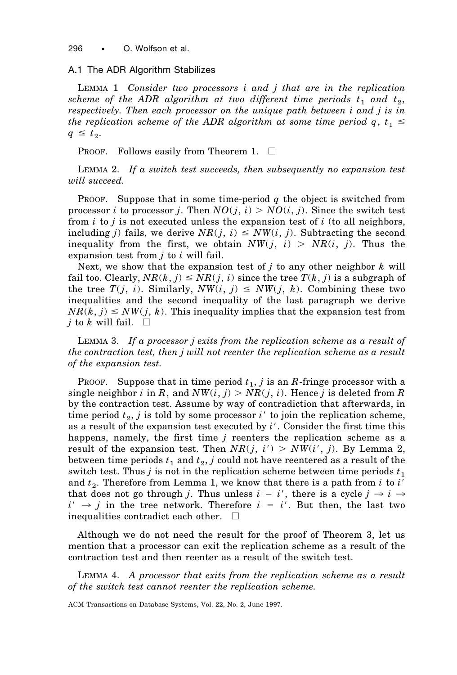#### A.1 The ADR Algorithm Stabilizes

LEMMA 1 *Consider two processors i and j that are in the replication scheme of the ADR algorithm at two different time periods*  $t_1$  *and*  $t_2$ *, respectively. Then each processor on the unique path between i and j is in the replication scheme of the ADR algorithm at some time period q, t<sub>1</sub>*  $\leq$  $q \leq t_2$ .

PROOF. Follows easily from Theorem 1.  $\square$ 

LEMMA 2. *If a switch test succeeds, then subsequently no expansion test will succeed.*

PROOF. Suppose that in some time-period *q* the object is switched from processor *i* to processor *j*. Then  $NO(j, i) > NO(i, j)$ . Since the switch test from  $i$  to  $j$  is not executed unless the expansion test of  $i$  (to all neighbors, including *j*) fails, we derive  $NR(j, i) \leq NW(i, j)$ . Subtracting the second inequality from the first, we obtain  $NW(j, i) > NR(i, j)$ . Thus the expansion test from *j* to *i* will fail.

Next, we show that the expansion test of *j* to any other neighbor *k* will fail too. Clearly,  $NR(k, j) \le NR(j, i)$  since the tree  $T(k, j)$  is a subgraph of the tree  $T(j, i)$ . Similarly,  $NW(i, j) \leq NW(j, k)$ . Combining these two inequalities and the second inequality of the last paragraph we derive  $NR(k, j) \leq NW(j, k)$ . This inequality implies that the expansion test from *j* to *k* will fail.  $\square$ 

LEMMA 3. *If a processor j exits from the replication scheme as a result of the contraction test, then j will not reenter the replication scheme as a result of the expansion test.*

PROOF. Suppose that in time period  $t_1$ ,  $j$  is an  $R$ -fringe processor with a single neighbor *i* in *R*, and  $NW(i, j) > NR(j, i)$ . Hence *j* is deleted from *R* by the contraction test. Assume by way of contradiction that afterwards, in time period  $t_2$ , *j* is told by some processor *i*<sup> $\prime$ </sup> to join the replication scheme, as a result of the expansion test executed by *i*<sup> $\prime$ </sup>. Consider the first time this happens, namely, the first time *j* reenters the replication scheme as a result of the expansion test. Then  $NR(j, i') > NW(i', j)$ . By Lemma 2, between time periods  $t_1$  and  $t_2$ , *j* could not have reentered as a result of the switch test. Thus  $j$  is not in the replication scheme between time periods  $t_1$ and  $t_2$ . Therefore from Lemma 1, we know that there is a path from *i* to *i'* that does not go through *j*. Thus unless  $i = i'$ , there is a cycle  $j \rightarrow i \rightarrow j'$  $i' \rightarrow j$  in the tree network. Therefore  $i = i'$ . But then, the last two inequalities contradict each other.  $\square$ 

Although we do not need the result for the proof of Theorem 3, let us mention that a processor can exit the replication scheme as a result of the contraction test and then reenter as a result of the switch test.

LEMMA 4. *A processor that exits from the replication scheme as a result of the switch test cannot reenter the replication scheme.*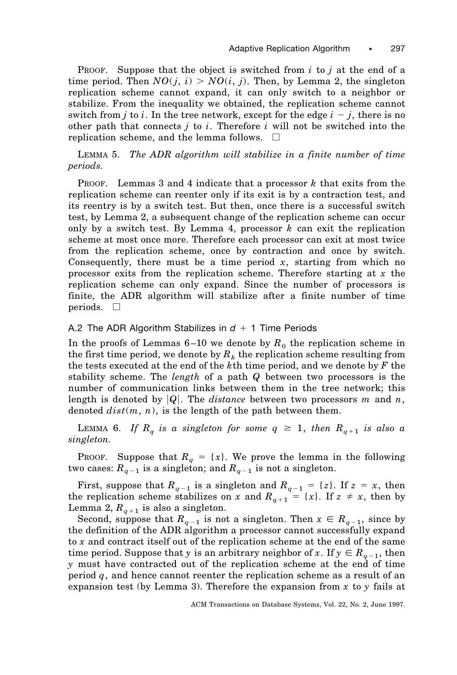PROOF. Suppose that the object is switched from *i* to *j* at the end of a time period. Then  $NO(j, i) > NO(i, j)$ . Then, by Lemma 2, the singleton replication scheme cannot expand, it can only switch to a neighbor or stabilize. From the inequality we obtained, the replication scheme cannot switch from *j* to *i*. In the tree network, except for the edge  $i - j$ , there is no other path that connects *j* to *i*. Therefore *i* will not be switched into the replication scheme, and the lemma follows.  $\square$ 

## LEMMA 5. *The ADR algorithm will stabilize in a finite number of time periods.*

PROOF. Lemmas 3 and 4 indicate that a processor *k* that exits from the replication scheme can reenter only if its exit is by a contraction test, and its reentry is by a switch test. But then, once there is a successful switch test, by Lemma 2, a subsequent change of the replication scheme can occur only by a switch test. By Lemma 4, processor *k* can exit the replication scheme at most once more. Therefore each processor can exit at most twice from the replication scheme, once by contraction and once by switch. Consequently, there must be a time period  $x$ , starting from which no processor exits from the replication scheme. Therefore starting at *x* the replication scheme can only expand. Since the number of processors is finite, the ADR algorithm will stabilize after a finite number of time periods.  $\square$ 

## A.2 The ADR Algorithm Stabilizes in  $d + 1$  Time Periods

In the proofs of Lemmas  $6-10$  we denote by  $R_0$  the replication scheme in the first time period, we denote by  $R_k$  the replication scheme resulting from the tests executed at the end of the *k*th time period, and we denote by *F* the stability scheme. The *length* of a path *Q* between two processors is the number of communication links between them in the tree network; this length is denoted by  $|Q|$ . The *distance* between two processors m and n, denoted  $dist(m, n)$ , is the length of the path between them.

LEMMA 6. If  $R_q$  is a singleton for some  $q \ge 1$ , then  $R_{q+1}$  is also a *singleton.*

PROOF. Suppose that  $R_q = \{x\}$ . We prove the lemma in the following two cases:  $R_{q-1}$  is a singleton; and  $R_{q-1}$  is not a singleton.

First, suppose that  $R_{q-1}$  is a singleton and  $R_{q-1} = \{z\}$ . If  $z = x$ , then the replication scheme stabilizes on *x* and  $R_{q+1} = \{x\}$ . If  $z \neq x$ , then by Lemma 2,  $R_{q+1}$  is also a singleton.

Second, suppose that  $R_{q-1}$  is not a singleton. Then  $x \in R_{q-1}$ , since by the definition of the ADR algorithm a processor cannot successfully expand to *x* and contract itself out of the replication scheme at the end of the same time period. Suppose that *y* is an arbitrary neighbor of *x*. If  $y \in R_{q-1}$ , then *y* must have contracted out of the replication scheme at the end of time period  $q$ , and hence cannot reenter the replication scheme as a result of an expansion test (by Lemma 3). Therefore the expansion from *x* to *y* fails at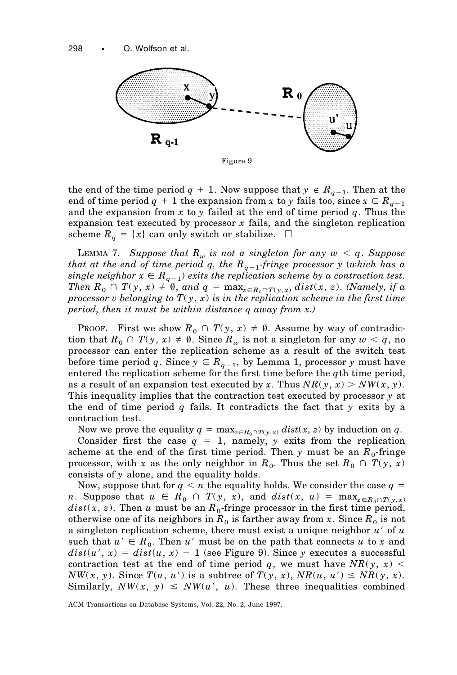

Figure 9

the end of the time period  $q + 1$ . Now suppose that  $y \notin R_{q-1}$ . Then at the end of time period  $q + 1$  the expansion from x to y fails too, since  $x \in R_{q-1}$ and the expansion from x to y failed at the end of time period  $q$ . Thus the expansion test executed by processor *x* fails, and the singleton replication scheme  $R_q = \{x\}$  can only switch or stabilize.  $\Box$ 

LEMMA 7. *Suppose that*  $R_w$  *is not a singleton for any*  $w < q$ . *Suppose that at the end of time period q, the*  $R_{q-1}$ *-fringe processor y* (*which has a single neighbor*  $x \in R_{q-1}$  *exits the replication scheme by a contraction test. Then*  $R_0 \cap T(y, x) \neq \emptyset$ , and  $q = \max_{z \in R_0 \cap T(y, x)} dist(x, z)$ . *(Namely, if a processor v belonging to*  $T(y, x)$  *is in the replication scheme in the first time period, then it must be within distance q away from x.)*

PROOF. First we show  $R_0 \cap T(y, x) \neq \emptyset$ . Assume by way of contradiction that  $R_0 \cap T(y, x) \neq \emptyset$ . Since  $R_w$  is not a singleton for any  $w < q$ , no processor can enter the replication scheme as a result of the switch test before time period q. Since  $y \in R_{q-1}$ , by Lemma 1, processor y must have entered the replication scheme for the first time before the *q*th time period, as a result of an expansion test executed by *x*. Thus  $NR(y, x) > NW(x, y)$ . This inequality implies that the contraction test executed by processor *y* at the end of time period  $q$  fails. It contradicts the fact that  $y$  exits by a contraction test.

Now we prove the equality  $q = \max_{z \in R_0 \cap T(y,x)} dist(x, z)$  by induction on  $q$ .

Consider first the case  $q = 1$ , namely, *y* exits from the replication scheme at the end of the first time period. Then  $y$  must be an  $R_0$ -fringe processor, with *x* as the only neighbor in  $R_0$ . Thus the set  $R_0 \cap T(y, x)$ consists of *y* alone, and the equality holds.

Now, suppose that for  $q \leq n$  the equality holds. We consider the case  $q =$ *n*. Suppose that  $u \in R_0 \cap T(y, x)$ , and  $dist(x, u) = \max_{z \in R_0 \cap T(y, x)}$  $dist(x, z)$ . Then *u* must be an  $R_0$ -fringe processor in the first time period, otherwise one of its neighbors in  $R_0$  is farther away from *x*. Since  $R_0$  is not a singleton replication scheme, there must exist a unique neighbor  $u'$  of  $u$ such that  $u' \in R_0$ . Then *u*' must be on the path that connects *u* to *x* and  $dist(u', x) = dist(u, x) - 1$  (see Figure 9). Since *y* executes a successful contraction test at the end of time period q, we must have  $NR(y, x)$  < *NW*(*x*, *y*). Since  $T(u, u')$  is a subtree of  $T(y, x)$ ,  $NR(u, u') \le NR(y, x)$ . Similarly,  $NW(x, y) \leq NW(u', u)$ . These three inequalities combined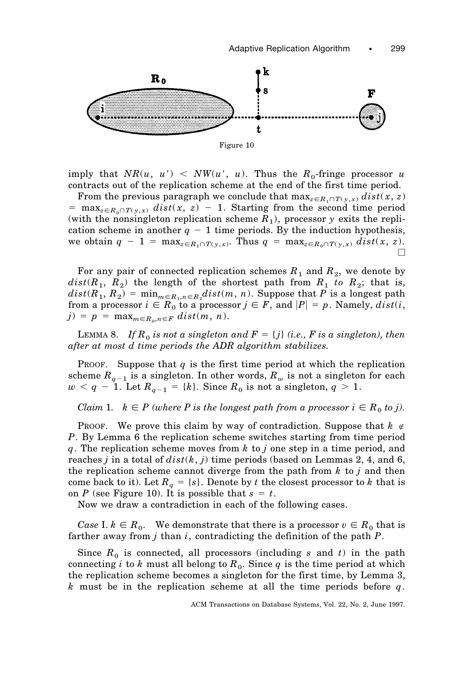

imply that  $NR(u, u') < NW(u', u)$ . Thus the  $R_0$ -fringe processor *u* contracts out of the replication scheme at the end of the first time period.

From the previous paragraph we conclude that  $\max_{z \in R_1 \cap T(y, x)} dist(x, z)$  $=$  max<sub> $z \in R_0 \cap T(y,x)$ </sub>  $dist(x, z) - 1$ . Starting from the second time period (with the nonsingleton replication scheme  $R_1$ ), processor *y* exits the replication scheme in another  $q - 1$  time periods. By the induction hypothesis, we obtain  $q - 1 = \max_{z \in R_1 \cap T(y,x)} \text{ Thus } q = \max_{z \in R_0 \cap T(y,x)} \text{dist}(x, z).$  $\Box$ 

For any pair of connected replication schemes  $R_1$  and  $R_2$ , we denote by  $dist(R_1, R_2)$  the length of the shortest path from  $R_1$  to  $R_2$ ; that is,  $dist(R_1, R_2) = \min_{m \in R_1, n \in R_2} dist(m, n)$ . Suppose that *P* is a longest path from a processor  $i \in R_0$  to a processor  $j \in F$ , and  $|P| = p$ . Namely,  $dist(i,$  $j) = p = \max_{m \in R_0, n \in F} dist(m, n).$ 

LEMMA 8. *If*  $R_0$  *is not a singleton and*  $F = \{j\}$  *(i.e., F is a singleton), then after at most d time periods the ADR algorithm stabilizes.*

**PROOF.** Suppose that  $q$  is the first time period at which the replication scheme  $R_{q-1}$  is a singleton. In other words,  $R_w$  is not a singleton for each  $w < q - 1$ . Let  $R_{q-1} = \{k\}$ . Since  $R_0$  is not a singleton,  $q > 1$ .

*Claim* 1.  $k \in P$  (where P is the longest path from a processor  $i \in R_0$  to j).

PROOF. We prove this claim by way of contradiction. Suppose that  $k \notin \mathcal{L}$ *P*. By Lemma 6 the replication scheme switches starting from time period *q*. The replication scheme moves from *k* to *j* one step in a time period, and reaches *j* in a total of  $dist(k, j)$  time periods (based on Lemmas 2, 4, and 6, the replication scheme cannot diverge from the path from *k* to *j* and then come back to it). Let  $R_q = \{s\}$ . Denote by *t* the closest processor to *k* that is on *P* (see Figure 10). It is possible that  $s = t$ .

Now we draw a contradiction in each of the following cases.

*Case* I.  $k \in R_0$ . We demonstrate that there is a processor  $v \in R_0$  that is farther away from *j* than *i*, contradicting the definition of the path *P*.

Since  $R_0$  is connected, all processors (including  $s$  and  $t$ ) in the path connecting *i* to *k* must all belong to  $R_0$ . Since *q* is the time period at which the replication scheme becomes a singleton for the first time, by Lemma 3, *k* must be in the replication scheme at all the time periods before *q*.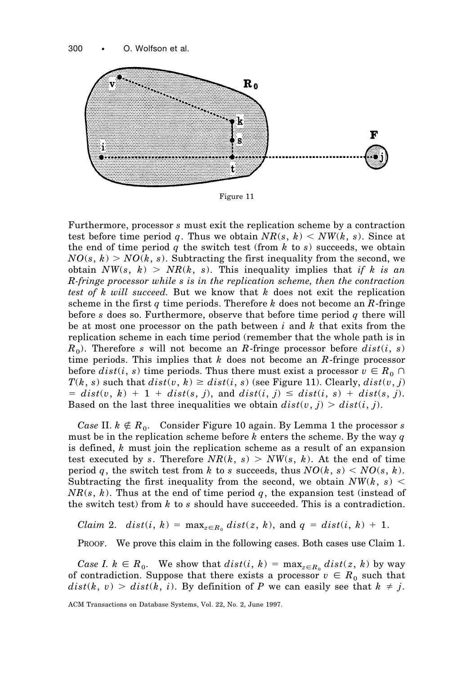

Figure 11

Furthermore, processor *s* must exit the replication scheme by a contraction test before time period q. Thus we obtain  $NR(s, k) < NW(k, s)$ . Since at the end of time period  $q$  the switch test (from  $k$  to  $s$ ) succeeds, we obtain  $NO(s, k) > NO(k, s)$ . Subtracting the first inequality from the second, we obtain  $NW(s, k) > NR(k, s)$ . This inequality implies that *if* k is an *R-fringe processor while s is in the replication scheme, then the contraction test of k will succeed.* But we know that *k* does not exit the replication scheme in the first *q* time periods. Therefore *k* does not become an *R*-fringe before *s* does so. Furthermore, observe that before time period *q* there will be at most one processor on the path between *i* and *k* that exits from the replication scheme in each time period (remember that the whole path is in  $R_0$ ). Therefore *s* will not become an *R*-fringe processor before  $dist(i, s)$ time periods. This implies that *k* does not become an *R*-fringe processor before  $dist(i, s)$  time periods. Thus there must exist a processor  $v \in R_0 \cap$  $T(k, s)$  such that  $dist(v, k) \geq dist(i, s)$  (see Figure 11). Clearly,  $dist(v, j)$  $= dist(v, k) + 1 + dist(s, j)$ , and  $dist(i, j) \leq dist(i, s) + dist(s, j)$ . Based on the last three inequalities we obtain  $dist(v, j) > dist(i, j)$ .

*Case* II.  $k \notin R_0$ . Consider Figure 10 again. By Lemma 1 the processor *s* must be in the replication scheme before *k* enters the scheme. By the way *q* is defined, *k* must join the replication scheme as a result of an expansion test executed by *s*. Therefore  $NR(k, s) > NW(s, k)$ . At the end of time period q, the switch test from k to *s* succeeds, thus  $NO(k, s) < NO(s, k)$ . Subtracting the first inequality from the second, we obtain  $NW(k, s)$ *NR*(*s*, *k*). Thus at the end of time period *q*, the expansion test (instead of the switch test) from *k* to *s* should have succeeded. This is a contradiction.

Claim 2. dist(i, k) = 
$$
\max_{z \in R_0} dist(z, k)
$$
, and  $q = dist(i, k) + 1$ .

PROOF. We prove this claim in the following cases. Both cases use Claim 1.

*Case I.*  $k \in R_0$ . We show that  $dist(i, k) = \max_{z \in R_0} dist(z, k)$  by way of contradiction. Suppose that there exists a processor  $v \in R_0$  such that  $dist(k, v) > dist(k, i)$ . By definition of *P* we can easily see that  $k \neq j$ .

ACM Transactions on Database Systems, Vol. 22, No. 2, June 1997.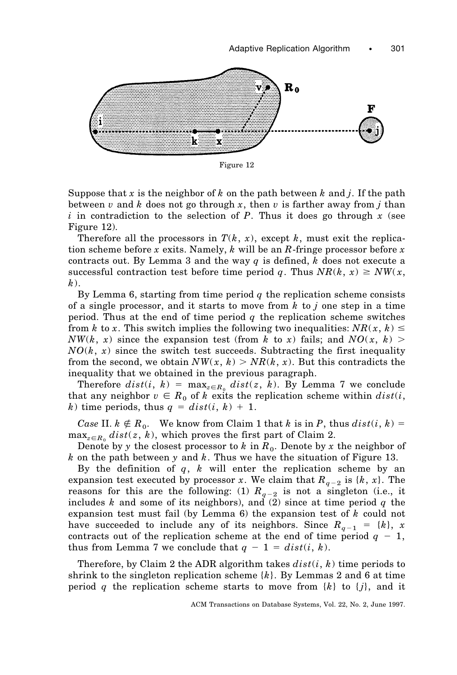

Figure 12

Suppose that *x* is the neighbor of *k* on the path between *k* and *j*. If the path between *v* and *k* does not go through *x*, then *v* is farther away from *j* than *i* in contradiction to the selection of *P*. Thus it does go through  $x$  (see Figure 12).

Therefore all the processors in  $T(k, x)$ , except k, must exit the replication scheme before *x* exits. Namely, *k* will be an *R*-fringe processor before *x* contracts out. By Lemma 3 and the way *q* is defined, *k* does not execute a successful contraction test before time period q. Thus  $NR(k, x) \geq NW(x,$ *k*).

By Lemma 6, starting from time period *q* the replication scheme consists of a single processor, and it starts to move from *k* to *j* one step in a time period. Thus at the end of time period  $q$  the replication scheme switches from *k* to *x*. This switch implies the following two inequalities:  $NR(x, k) \leq$ *NW*(*k*, *x*) since the expansion test (from *k* to *x*) fails; and  $NO(x, k)$  $NO(k, x)$  since the switch test succeeds. Subtracting the first inequality from the second, we obtain  $NW(x, k) > NR(k, x)$ . But this contradicts the inequality that we obtained in the previous paragraph.

Therefore  $dist(i, k) = \max_{z \in R_0} dist(z, k)$ . By Lemma 7 we conclude that any neighbor  $v \in R_0$  of *k* exits the replication scheme within  $dist(i,$ *k*) time periods, thus  $q = dist(i, k) + 1$ .

*Case* II.  $k \notin R_0$ . We know from Claim 1 that *k* is in *P*, thus  $dist(i, k)$  =  $\max_{z \in R_0} dist(z, k)$ , which proves the first part of Claim 2.

Denote by *y* the closest processor to *k* in  $R_0$ . Denote by *x* the neighbor of *k* on the path between *y* and *k*. Thus we have the situation of Figure 13.

By the definition of *q*, *k* will enter the replication scheme by an expansion test executed by processor *x*. We claim that  $R_{q-2}$  is {*k*, *x*}. The reasons for this are the following: (1)  $R_{q-2}$  is not a singleton (i.e., it includes  $k$  and some of its neighbors), and (2) since at time period  $q$  the expansion test must fail (by Lemma 6) the expansion test of *k* could not have succeeded to include any of its neighbors. Since  $R_{q-1} = \{k\}, x$ contracts out of the replication scheme at the end of time period  $q - 1$ , thus from Lemma 7 we conclude that  $q - 1 = dist(i, k)$ .

Therefore, by Claim 2 the ADR algorithm takes *dist*(*i*, *k*) time periods to shrink to the singleton replication scheme {*k*}. By Lemmas 2 and 6 at time period *q* the replication scheme starts to move from  $\{k\}$  to  $\{j\}$ , and it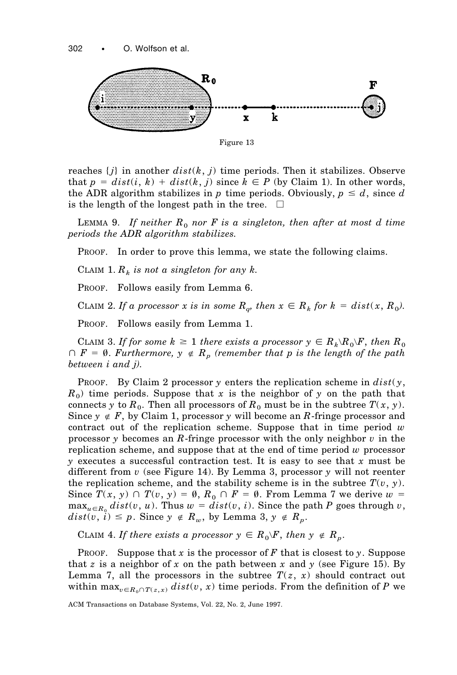

Figure 13

reaches  $\{j\}$  in another  $dist(k, j)$  time periods. Then it stabilizes. Observe that  $p = dist(i, k) + dist(k, j)$  since  $k \in P$  (by Claim 1). In other words, the ADR algorithm stabilizes in *p* time periods. Obviously,  $p \leq d$ , since *d* is the length of the longest path in the tree.  $\Box$ 

LEMMA 9. If neither  $R_0$  nor F is a singleton, then after at most d time *periods the ADR algorithm stabilizes.*

PROOF. In order to prove this lemma, we state the following claims.

CLAIM 1.  $R_k$  *is not a singleton for any k.* 

PROOF. Follows easily from Lemma 6.

CLAIM 2. If a processor x is in some  $R_q$ , then  $x \in R_k$  for  $k = dist(x, R_0)$ .

PROOF. Follows easily from Lemma 1.

CLAIM 3. If for some  $k \geq 1$  there exists a processor  $y \in R_k \setminus R_0 \setminus F$ , then  $R_0$  $\cap$  **F** =  $\emptyset$ . Furthermore,  $y \notin R_p$  (remember that p is the length of the path *between i and j).*

PROOF. By Claim 2 processor *y* enters the replication scheme in  $dist(y)$ ,  $R_0$ ) time periods. Suppose that *x* is the neighbor of *y* on the path that connects *y* to  $R_0$ . Then all processors of  $R_0$  must be in the subtree  $T(x, y)$ . Since  $y \notin F$ , by Claim 1, processor *y* will become an *R*-fringe processor and contract out of the replication scheme. Suppose that in time period *w* processor *y* becomes an *R*-fringe processor with the only neighbor *v* in the replication scheme, and suppose that at the end of time period *w* processor *y* executes a successful contraction test. It is easy to see that *x* must be different from *v* (see Figure 14). By Lemma 3, processor *y* will not reenter the replication scheme, and the stability scheme is in the subtree  $T(v, y)$ . Since  $T(x, y) \cap T(v, y) = \emptyset$ ,  $R_0 \cap F = \emptyset$ . From Lemma 7 we derive  $w =$  $\max_{u \in R_0} dist(v, u)$ . Thus  $w = dist(v, i)$ . Since the path *P* goes through *v*,  $dist(v, i) \leq p$ . Since  $y \notin R_w$ , by Lemma 3,  $y \notin R_p$ .

CLAIM 4. If there exists a processor  $y \in R_0\backslash F$ , then  $y \notin R_p$ .

PROOF. Suppose that *x* is the processor of *F* that is closest to *y*. Suppose that  $z$  is a neighbor of  $x$  on the path between  $x$  and  $y$  (see Figure 15). By Lemma 7, all the processors in the subtree  $T(z, x)$  should contract out within  $\max_{v \in R_0 \cap T(z, x)} dist(v, x)$  time periods. From the definition of *P* we

ACM Transactions on Database Systems, Vol. 22, No. 2, June 1997.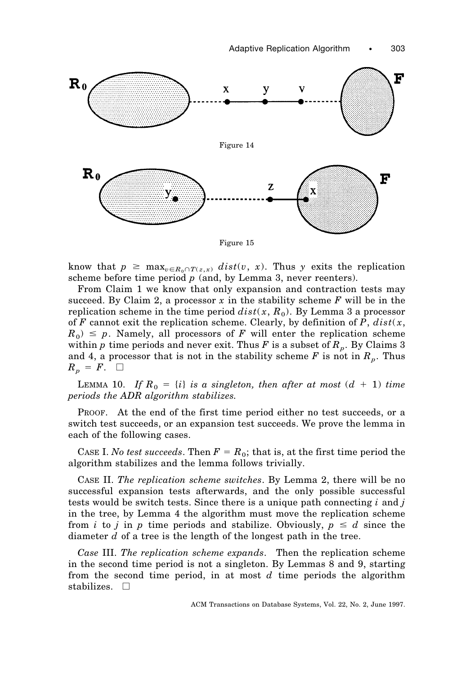

know that  $p \geq \max_{v \in R_0 \cap T(z, x)} dist(v, x)$ . Thus y exits the replication scheme before time period *p* (and, by Lemma 3, never reenters).

From Claim 1 we know that only expansion and contraction tests may succeed. By Claim 2, a processor  $x$  in the stability scheme  $F$  will be in the replication scheme in the time period  $dist(x, R_0)$ . By Lemma 3 a processor of *F* cannot exit the replication scheme. Clearly, by definition of *P*,  $dist(x,$  $R_0 \leq p$ . Namely, all processors of *F* will enter the replication scheme within *p* time periods and never exit. Thus *F* is a subset of  $R_p$ . By Claims 3 and 4, a processor that is not in the stability scheme  $F$  is not in  $R_p$ . Thus  $R_p = F. \square$ 

LEMMA 10. If  $R_0 = \{i\}$  *is a singleton, then after at most*  $(d + 1)$  *time periods the ADR algorithm stabilizes.*

PROOF. At the end of the first time period either no test succeeds, or a switch test succeeds, or an expansion test succeeds. We prove the lemma in each of the following cases.

CASE I. *No test succeeds*. Then  $F = R_0$ ; that is, at the first time period the algorithm stabilizes and the lemma follows trivially.

CASE II. *The replication scheme switches*. By Lemma 2, there will be no successful expansion tests afterwards, and the only possible successful tests would be switch tests. Since there is a unique path connecting *i* and *j* in the tree, by Lemma 4 the algorithm must move the replication scheme from *i* to *j* in *p* time periods and stabilize. Obviously,  $p \le d$  since the diameter *d* of a tree is the length of the longest path in the tree.

*Case* III. *The replication scheme expands*. Then the replication scheme in the second time period is not a singleton. By Lemmas 8 and 9, starting from the second time period, in at most *d* time periods the algorithm stabilizes.  $\square$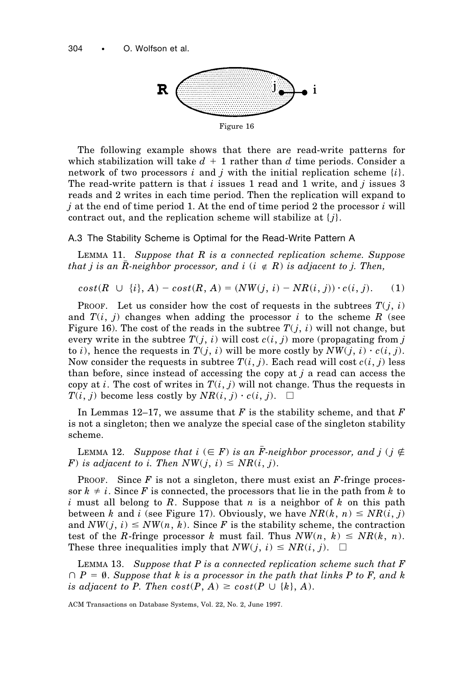

The following example shows that there are read-write patterns for which stabilization will take  $d + 1$  rather than  $d$  time periods. Consider a network of two processors *i* and *j* with the initial replication scheme {*i*}. The read-write pattern is that *i* issues 1 read and 1 write, and *j* issues 3 reads and 2 writes in each time period. Then the replication will expand to *j* at the end of time period 1. At the end of time period 2 the processor *i* will contract out, and the replication scheme will stabilize at { *j*}.

A.3 The Stability Scheme is Optimal for the Read-Write Pattern A

LEMMA 11. *Suppose that R is a connected replication scheme. Suppose that j is an R-neighbor processor, and i*  $(i \notin R)$  *is adjacent to j. Then,* 

$$
cost(R \cup \{i\}, A) - cost(R, A) = (NW(j, i) - NR(i, j)) \cdot c(i, j). \tag{1}
$$

PROOF. Let us consider how the cost of requests in the subtrees  $T(j, i)$ and  $T(i, j)$  changes when adding the processor *i* to the scheme R (see Figure 16). The cost of the reads in the subtree  $T(j, i)$  will not change, but every write in the subtree  $T(j, i)$  will cost  $c(i, j)$  more (propagating from *j* to *i*), hence the requests in  $T(j, i)$  will be more costly by  $NW(j, i) \cdot c(i, j)$ . Now consider the requests in subtree  $T(i, j)$ . Each read will cost  $c(i, j)$  less than before, since instead of accessing the copy at *j* a read can access the copy at *i*. The cost of writes in  $T(i, j)$  will not change. Thus the requests in *T*(*i*, *j*) become less costly by  $NR(i, j) \cdot c(i, j)$ .  $\Box$ 

In Lemmas 12–17, we assume that *F* is the stability scheme, and that *F* is not a singleton; then we analyze the special case of the singleton stability scheme.

LEMMA 12. *Suppose that i*  $(\in F)$  *is an F-neighbor processor, and j*  $(j \notin$ *F*) *is adjacent to i. Then*  $NW(j, i) \leq NR(i, j)$ .

PROOF. Since *F* is not a singleton, there must exist an *F*-fringe processor  $k \neq i$ . Since F is connected, the processors that lie in the path from k to *i* must all belong to *R*. Suppose that *n* is a neighbor of *k* on this path between *k* and *i* (see Figure 17). Obviously, we have  $NR(k, n) \le NR(i, j)$ and  $NW(j, i) \leq NW(n, k)$ . Since F is the stability scheme, the contraction test of the *R*-fringe processor *k* must fail. Thus  $NW(n, k) \le NR(k, n)$ . These three inequalities imply that  $NW(j, i) \le NR(i, j)$ .  $\Box$ 

LEMMA 13. *Suppose that P is a connected replication scheme such that F*  $\cap$  *P* =  $\emptyset$ . Suppose that k is a processor in the path that links P to F, and k *is adjacent to P. Then*  $cost(P, A) \ge cost(P \cup \{k\}, A)$ .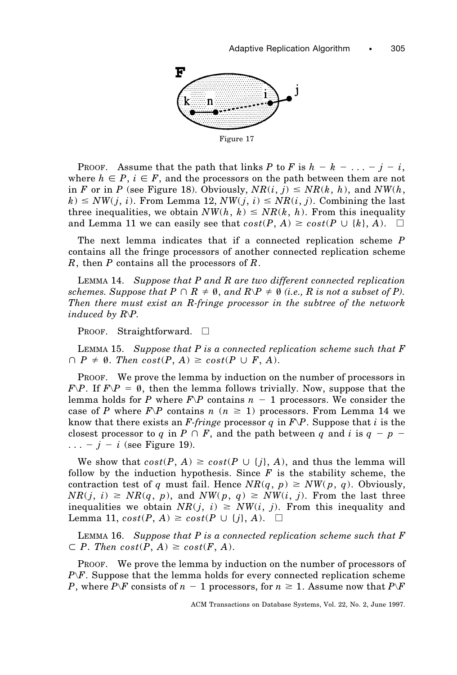

PROOF. Assume that the path that links *P* to *F* is  $h - k - \ldots - j - i$ , where  $h \in P$ ,  $i \in F$ , and the processors on the path between them are not in *F* or in *P* (see Figure 18). Obviously,  $NR(i, j) \le NR(k, h)$ , and  $NW(h, j)$  $k \geq N W(j, i)$ . From Lemma 12,  $NW(j, i) \leq NR(i, j)$ . Combining the last three inequalities, we obtain  $NW(h, k) \le NR(k, h)$ . From this inequality and Lemma 11 we can easily see that  $cost(P, A) \geq cost(P \cup \{k\}, A)$ .  $\Box$ 

The next lemma indicates that if a connected replication scheme *P* contains all the fringe processors of another connected replication scheme *R*, then *P* contains all the processors of *R*.

LEMMA 14. *Suppose that P and R are two different connected replication schemes. Suppose that*  $P \cap R \neq \emptyset$ , and  $R\setminus P \neq \emptyset$  (*i.e., R is not a subset of P*). *Then there must exist an R-fringe processor in the subtree of the network induced by R*\*P.*

PROOF. Straightforward.  $\square$ 

LEMMA 15. *Suppose that P is a connected replication scheme such that F*  $\cap$   $P \neq \emptyset$ . Then  $cost(P, A) \geq cost(P \cup F, A)$ .

PROOF. We prove the lemma by induction on the number of processors in  $F\backslash P$ . If  $F\backslash P = \emptyset$ , then the lemma follows trivially. Now, suppose that the lemma holds for *P* where  $F\vee P$  contains  $n-1$  processors. We consider the case of *P* where  $F\backslash P$  contains *n* ( $n \geq 1$ ) processors. From Lemma 14 we know that there exists an *F-fringe* processor *q* in  $F\&P$ . Suppose that *i* is the closest processor to *q* in *P*  $\cap$  *F*, and the path between *q* and *i* is  $q - p$  $\ldots$  – *j* – *i* (see Figure 19).

We show that  $cost(P, A) \geq cost(P \cup \{j\}, A)$ , and thus the lemma will follow by the induction hypothesis. Since  $F$  is the stability scheme, the contraction test of *q* must fail. Hence  $NR(q, p) \geq NW(p, q)$ . Obviously,  $NR(j, i) \ge NR(q, p)$ , and  $NW(p, q) \ge NW(i, j)$ . From the last three inequalities we obtain  $NR(j, i) \geq NW(i, j)$ . From this inequality and Lemma 11,  $cost(P, A) \ge cost(P \cup \{j\}, A)$ .

LEMMA 16. *Suppose that P is a connected replication scheme such that F*  $\subset P$ . Then  $cost(P, A) \geq cost(F, A)$ .

PROOF. We prove the lemma by induction on the number of processors of *P*\*F*. Suppose that the lemma holds for every connected replication scheme *P*, where *P*\*F* consists of *n* - 1 processors, for  $n \ge 1$ . Assume now that *P*\*F*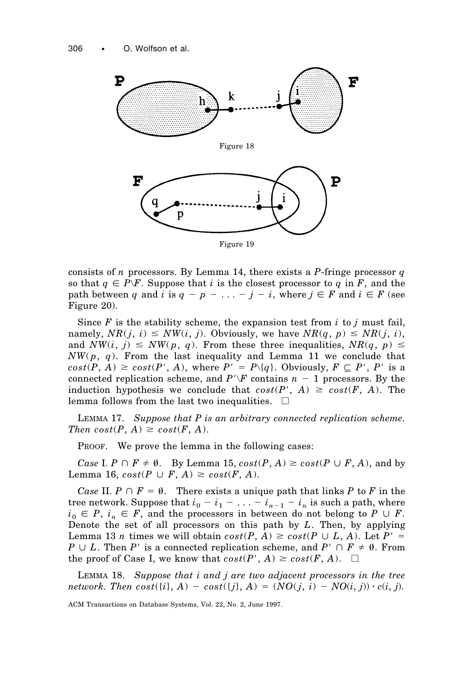

consists of *n* processors. By Lemma 14, there exists a *P*-fringe processor *q* so that  $q \in P\backslash F$ . Suppose that *i* is the closest processor to *q* in *F*, and the path between *q* and *i* is  $q - p - \ldots - j - i$ , where  $j \in F$  and  $i \in F$  (see Figure 20).

Since  $F$  is the stability scheme, the expansion test from  $i$  to  $j$  must fail, namely,  $NR(j, i) \leq NW(i, j)$ . Obviously, we have  $NR(q, p) \leq NR(j, i)$ , and  $NW(i, j) \leq NW(p, q)$ . From these three inequalities,  $NR(q, p) \leq$  $NW(p, q)$ . From the last inequality and Lemma 11 we conclude that  $cost(P, A) \geq cost(P', A)$ , where  $P' = P\{q\}$ . Obviously,  $F \subseteq P', P'$  is a connected replication scheme, and  $P' \ F$  contains  $n - 1$  processors. By the induction hypothesis we conclude that  $cost(P', A) \geq cost(F, A)$ . The lemma follows from the last two inequalities.  $\Box$ 

LEMMA 17. *Suppose that P is an arbitrary connected replication scheme. Then*  $cost(P, A) \geq cost(F, A)$ .

PROOF. We prove the lemma in the following cases:

*Case* I.  $P \cap F \neq \emptyset$ . By Lemma 15,  $cost(P, A) \geq cost(P \cup F, A)$ , and by Lemma 16,  $cost(P \cup F, A) \geq cost(F, A)$ .

*Case* II.  $P \cap F = \emptyset$ . There exists a unique path that links *P* to *F* in the tree network. Suppose that  $i_0 - i_1 - \ldots - i_{n-1} - i_n$  is such a path, where  $i_0 \in P$ ,  $i_n \in F$ , and the processors in between do not belong to  $P \cup F$ . Denote the set of all processors on this path by *L*. Then, by applying Lemma 13 *n* times we will obtain  $cost(P, A) \geq cost(P \cup L, A)$ . Let  $P' =$  $P \cup L$ . Then *P*<sup> $\prime$ </sup> is a connected replication scheme, and  $P' \cap F \neq \emptyset$ . From the proof of Case I, we know that  $cost(P', A) \geq cost(F, A)$ .  $\Box$ 

LEMMA 18. *Suppose that i and j are two adjacent processors in the tree network. Then*  $cost({i}, A) - cost({j}, A) = (NO(j, i) - NO(i, j)) \cdot c(i, j).$ 

ACM Transactions on Database Systems, Vol. 22, No. 2, June 1997.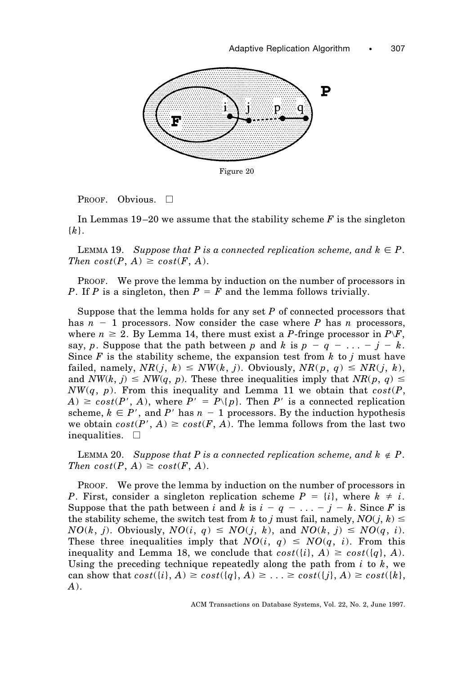

PROOF. Obvious.  $\square$ 

In Lemmas  $19-20$  we assume that the stability scheme  $\ddot{F}$  is the singleton {*k*}.

LEMMA 19. *Suppose that P is a connected replication scheme, and*  $k \in P$ . *Then*  $cost(P, A) \geq cost(F, A)$ .

PROOF. We prove the lemma by induction on the number of processors in *P*. If *P* is a singleton, then  $P = F$  and the lemma follows trivially.

Suppose that the lemma holds for any set *P* of connected processors that has  $n - 1$  processors. Now consider the case where *P* has *n* processors, where  $n \geq 2$ . By Lemma 14, there must exist a *P*-fringe processor in *P* $\backslash$ *F*, say, *p*. Suppose that the path between *p* and *k* is  $p - q - \ldots - j - k$ . Since  $F$  is the stability scheme, the expansion test from  $k$  to  $j$  must have failed, namely,  $NR(j, k) \leq NW(k, j)$ . Obviously,  $NR(p, q) \leq NR(j, k)$ , and  $NW(k, j) \leq NW(q, p)$ . These three inequalities imply that  $NR(p, q) \leq$  $NW(q, p)$ . From this inequality and Lemma 11 we obtain that  $cost(P, p)$  $A) \geq \cos t(P', A)$ , where  $P' = P\{p\}$ . Then P<sup>'</sup> is a connected replication scheme,  $k \in P'$ , and *P*<sup> $\prime$ </sup> has  $n - 1$  processors. By the induction hypothesis we obtain  $cost(P', A) \geq cost(F, A)$ . The lemma follows from the last two inequalities.  $\square$ 

LEMMA 20. Suppose that P is a connected replication scheme, and  $k \notin P$ . *Then*  $cost(P, A) \geq cost(F, A)$ .

PROOF. We prove the lemma by induction on the number of processors in *P*. First, consider a singleton replication scheme  $P = \{i\}$ , where  $k \neq i$ . Suppose that the path between *i* and *k* is  $i - q - \ldots - j - k$ . Since *F* is the stability scheme, the switch test from *k* to *j* must fail, namely,  $NO(j, k) \leq$  $NO(k, j)$ . Obviously,  $NO(i, q) \leq NO(j, k)$ , and  $NO(k, j) \leq NO(q, i)$ . These three inequalities imply that  $NO(i, q) \leq NO(q, i)$ . From this inequality and Lemma 18, we conclude that  $cost({i}, A) \geq cost({q}, A)$ . Using the preceding technique repeatedly along the path from  $i$  to  $k$ , we can show that  $cost({i}, A) \ge cost({q}, A) \ge \ldots \ge cost({j}, A) \ge cost({k},$ *A*).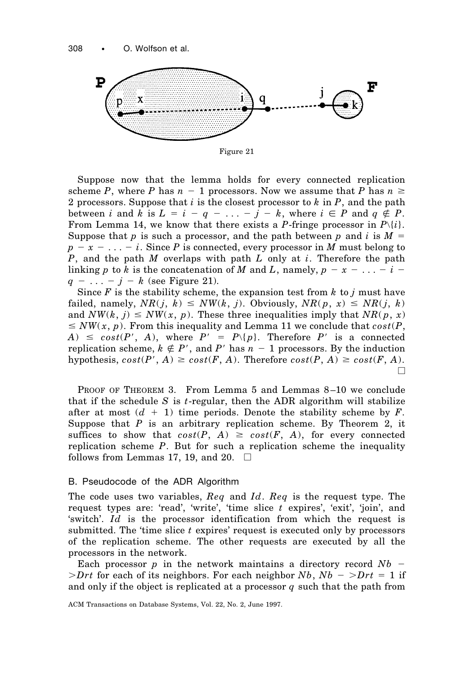

Figure 21

Suppose now that the lemma holds for every connected replication scheme *P*, where *P* has  $n - 1$  processors. Now we assume that *P* has  $n \ge$ 2 processors. Suppose that *i* is the closest processor to *k* in *P*, and the path between *i* and *k* is  $L = i - q - \ldots - j - k$ , where  $i \in P$  and  $q \notin P$ . From Lemma 14, we know that there exists a *P*-fringe processor in  $P\{i\}$ . Suppose that *p* is such a processor, and the path between *p* and *i* is  $M =$  $p - x - \ldots - i$ . Since *P* is connected, every processor in *M* must belong to *P*, and the path *M* overlaps with path *L* only at *i*. Therefore the path linking *p* to *k* is the concatenation of *M* and *L*, namely,  $p - x - \ldots - i$  $q - \ldots - j - k$  (see Figure 21).

Since  $F$  is the stability scheme, the expansion test from  $k$  to  $j$  must have failed, namely,  $NR(j, k) \leq NW(k, j)$ . Obviously,  $NR(p, x) \leq NR(j, k)$ and  $NW(k, j) \leq NW(x, p)$ . These three inequalities imply that  $NR(p, x)$  $\leq NW(x, p)$ . From this inequality and Lemma 11 we conclude that  $cost(P,$  $A) \leq \cos t(P', A),$  where  $P' = P\{p\}.$  Therefore  $P'$  is a connected replication scheme,  $k \notin P'$ , and  $P'$  has  $n - 1$  processors. By the induction hypothesis,  $cost(P', A) \geq cost(F, A)$ . Therefore  $cost(P, A) \geq cost(F, A)$ .  $\Box$ 

PROOF OF THEOREM 3. From Lemma 5 and Lemmas 8–10 we conclude that if the schedule *S* is *t*-regular, then the ADR algorithm will stabilize after at most  $(d + 1)$  time periods. Denote the stability scheme by *F*. Suppose that *P* is an arbitrary replication scheme. By Theorem 2, it suffices to show that  $cost(P, A) \ge cost(F, A)$ , for every connected replication scheme *P*. But for such a replication scheme the inequality follows from Lemmas 17, 19, and 20.  $\square$ 

## B. Pseudocode of the ADR Algorithm

The code uses two variables, *Req* and *Id*. *Req* is the request type. The request types are: 'read', 'write', 'time slice *t* expires', 'exit', 'join', and 'switch'. *Id* is the processor identification from which the request is submitted. The 'time slice *t* expires' request is executed only by processors of the replication scheme. The other requests are executed by all the processors in the network.

Each processor  $p$  in the network maintains a directory record  $Nb$  $> Drt$  for each of its neighbors. For each neighbor  $Nb$ ,  $Nb - Drt = 1$  if and only if the object is replicated at a processor *q* such that the path from

ACM Transactions on Database Systems, Vol. 22, No. 2, June 1997.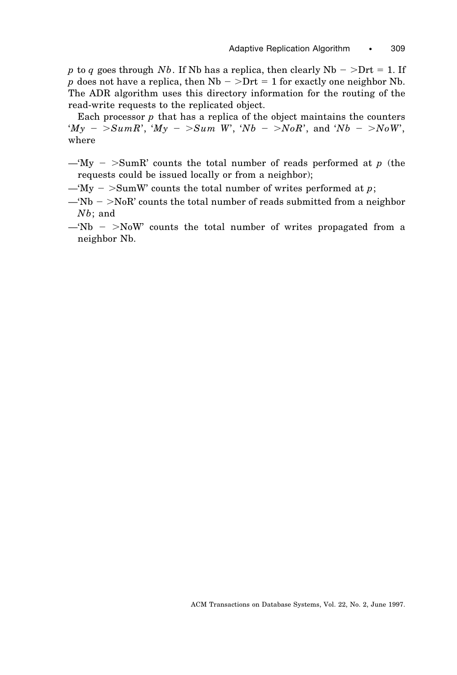*p* to *q* goes through *Nb*. If Nb has a replica, then clearly  $Nb - Drt = 1$ . If *p* does not have a replica, then  $Nb - Drt = 1$  for exactly one neighbor Nb. The ADR algorithm uses this directory information for the routing of the read-write requests to the replicated object.

Each processor *p* that has a replica of the object maintains the counters '*My* -  $>SumR'$ , '*My* -  $>Sum W'$ , '*Nb* -  $>NoR'$ , and '*Nb* -  $>NoW'$ ', where

- $-\mu$ <sup>W</sup>y  $>\mu$ SumR' counts the total number of reads performed at *p* (the requests could be issued locally or from a neighbor);
- $-My SymW$  counts the total number of writes performed at *p*;
- $-Nb$   $\rightarrow$  NoR' counts the total number of reads submitted from a neighbor *Nb*; and
- $-Nb$   $>NoW'$  counts the total number of writes propagated from a neighbor Nb.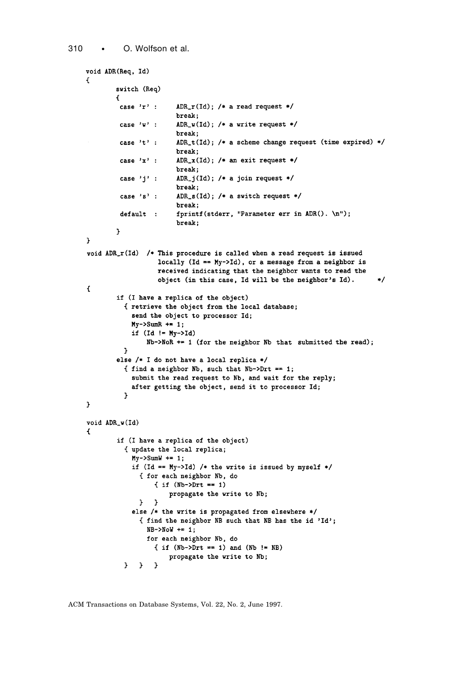```
310 • O. Wolfson et al.
```

```
void ADR(Req, Id)
\overline{f}switch (Req)
        \epsiloncase 'r' :
                         ADR_r(Id); /* a read request */
                         break:
         case 'w' :
                         ADR_w(Id); /* a write request */
                         hreak:
                         ADR_t(Id); /* a scheme change request (time expired) */
         case 't' :
                         break:
                         ADR_x(Id); /* an exit request */
         case 'x' :
                         break:
         case 'j':ADR_j(Id); /* a join request */
                         break;
                         ADR_s(Id); /* a switch request */
         case 's' :
                         break:
                         fprintf(stderr, "Parameter err in ADR(). \n");
         default:break;
        \mathbf{r}\mathbf{r}void ADR_r(Id) /* This procedure is called when a read request is issued
                    locally (Id == My->Id), or a message from a neighbor is
                    received indicating that the neighbor wants to read the
                    object (in this case, Id will be the neighbor's Id).
                                                                                   \star/\mathbf{f}if (I have a replica of the object)
          { retrieve the object from the local database;
             send the object to processor Id;
            My->SumR += 1;
            if (Id := My->Id)Nb-<b>NoR</b> += 1 (for the neighbor Nb that submitted the read);
          \mathbf{1}else /* I do not have a local replica */
          { find a neighbor Nb, such that Nb->Drt == 1;
            submit the read request to Nb, and wait for the reply;
             after getting the object, send it to processor Id;
          \mathbf{r}\mathbf{I}void ADR_w(Id)
\mathfrak{c}if (I have a replica of the object)
           { update the local replica;
            My->SumW += 1;if (Id == My->Id) /* the write is issued by myself */
               { for each neighbor Nb, do
                   { if (Nb->Drt == 1)propagate the write to Nb;
               \mathcal{F}\rightarrowelse /* the write is propagated from elsewhere */
               { find the neighbor NB such that NB has the id 'Id';
                 NB->NoW += 1;for each neighbor Nb, do
                   { if (Nb->Drt == 1) and (Nb != NB)propagate the write to Nb;
          \} } }
```

```
ACM Transactions on Database Systems, Vol. 22, No. 2, June 1997.
```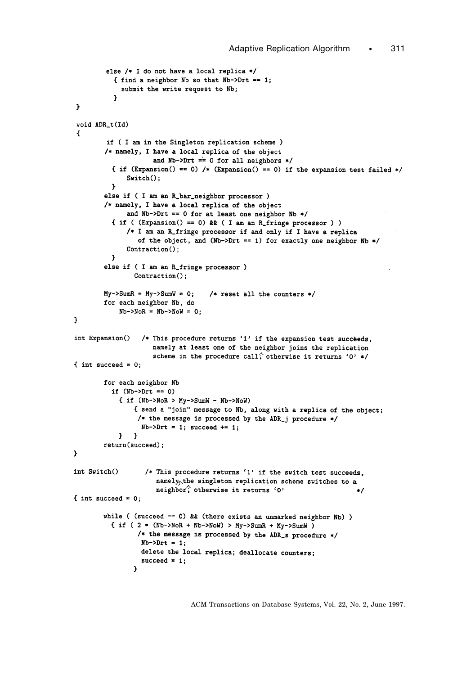```
else /* I do not have a local replica */
           { find a neighbor Nb so that Nb->Drt == 1;
             submit the write request to Nb;
           \mathbf{L}\ddot{\phantom{1}}void ADR_t(Id)
\overline{f}if ( I am in the Singleton replication scheme )
        /* namely, I have a local replica of the object
                      and Nb->Drt == 0 for all neighbors */{ if (Expansion() == 0) /* (Expansion() == 0) if the expansion test failed */
              Switch();
          \overline{\mathbf{r}}else if ( I am an R_bar_neighbor processor )
        /* namely, I have a local replica of the object
              and Nb->Drt == 0 for at least one neighbor Nb */
          { if ( (Expansion() == 0) & ( I am an R_fringe processor ) )
               /* I am an R_fringe processor if and only if I have a replica
                 of the object, and (Nb->Drt == 1) for exactly one neighbor Nb */
              Contraction();
          \mathbf{L}else if ( I am an R_fringe processor )
                 Contraction();
        My->SumR = My->SumW = 0;/* reset all the counters */for each neighbor Nb, do
            Nb->NoR = Nb->NoW = 0;\mathbf{r}/* This procedure returns '1' if the expansion test succeeds,
int Expansion()
                      namely at least one of the neighbor joins the replication
                      scheme in the procedure call, otherwise it returns '0' */
{ int succeed = 0;
        for each neighbor Nb
          if (Nb \rightarrow Drt == 0)\{ if (Nb->NoR > My->SumW - Nb->Now){ send a "join" message to Nb, along with a replica of the object;
                 /* the message is processed by the ADR_j procedure */
                   Nb->Drt = 1; succeed += 1;
            J.
                \mathbf{r}return(succeed);
ł
int Switch()
                    /* This procedure returns '1' if the switch test succeeds,
                       namely<sub>2</sub>the singleton replication scheme switches to a
                       neighbor, otherwise it returns '0'
{ int succeed = 0;
        while ( (succeed == 0) kk (there exists an unmarked neighbor Nb) )
          { if ( 2 * (Nb-2NoR + Nb-2NoW) > My-2SumR + My-2SumW )
                 /* the message is processed by the ADR_s procedure */Nb->Drt = 1;delete the local replica; deallocate counters;
                   succeed = 1;\mathbf{r}
```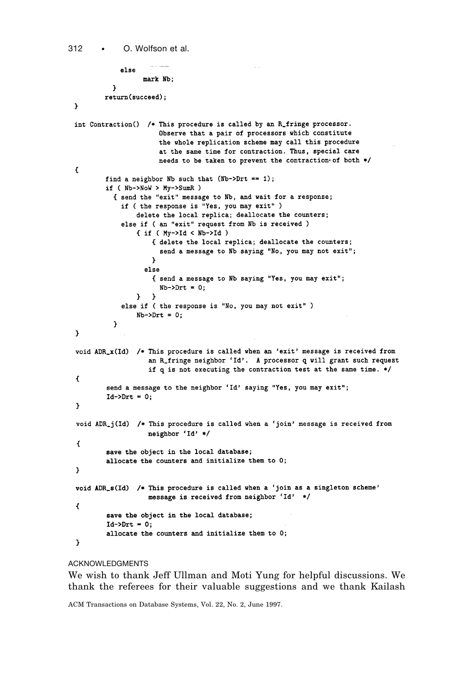312 • O. Wolfson et al.

```
else
                  mark Nb;
          \mathbf{r}return(succeed);
<sup>1</sup>
int Contraction() /* This procedure is called by an R_fringe processor.
                       Observe that a pair of processors which constitute
                       the whole replication scheme may call this procedure
                       at the same time for contraction. Thus, special care
                       needs to be taken to prevent the contraction of both */
\overline{\mathbf{f}}find a neighbor Nb such that (Nb->Drt == 1);if ( Nb->NoW > My->SumR )
          { send the "exit" message to Nb, and wait for a response;
            if ( the response is "Yes, you may exit" )
                 delete the local replica; deallocate the counters;
            else if ( an "exit" request from Nb is received )
                 { if ( My->Id < Nb->Id )
                     { delete the local replica; deallocate the counters;
                       send a message to Nb saying "No, you may not exit";
                     \mathbf{r}else
                     { send a message to Nb saying "Yes, you may exit";
                       Nb->Drt = 0;J.
                     J.
            else if ( the response is "No, you may not exit" )
                 Nb->Drt = 0;<sup>}</sup>
\mathbf{r}void ADR_x(Id) /* This procedure is called when an 'exit' message is received from
                    an R_fringe neighbor 'Id'. A processor q will grant such request
                    if q is not executing the contraction test at the same time. */
€
        send a message to the neighbor 'Id' saying "Yes, you may exit";
        Id->Drt = 0;J.
void ADR_j(Id) /* This procedure is called when a 'join' message is received from
                    neighbor 'Id' */
€
        save the object in the local database;
        allocate the counters and initialize them to 0;
\mathbf{r}void ADR_s(Id) /* This procedure is called when a 'join as a singleton scheme'
                    message is received from neighbor 'Id' */
\mathbf{I}save the object in the local database;
        Id->Drt = 0;allocate the counters and initialize them to 0;
J.
```
#### ACKNOWLEDGMENTS

We wish to thank Jeff Ullman and Moti Yung for helpful discussions. We thank the referees for their valuable suggestions and we thank Kailash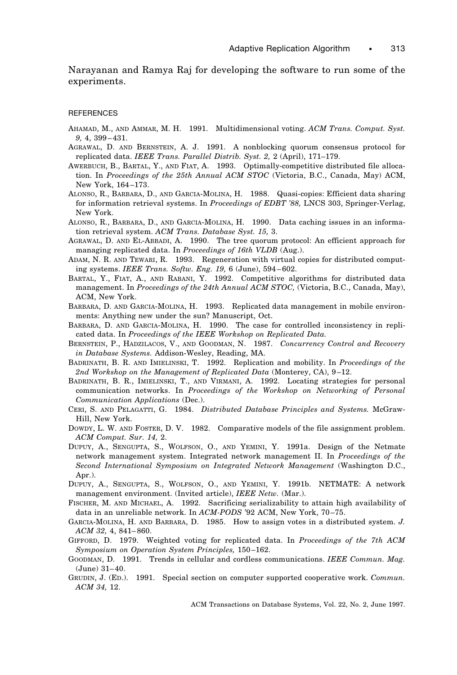Narayanan and Ramya Raj for developing the software to run some of the experiments.

#### **REFERENCES**

- AHAMAD, M., AND AMMAR, M. H. 1991. Multidimensional voting. *ACM Trans. Comput. Syst. 9,* 4, 399–431.
- AGRAWAL, D. AND BERNSTEIN, A. J. 1991. A nonblocking quorum consensus protocol for replicated data. *IEEE Trans. Parallel Distrib. Syst. 2,* 2 (April), 171–179.
- AWERBUCH, B., BARTAL, Y., AND FIAT, A. 1993. Optimally-competitive distributed file allocation. In *Proceedings of the 25th Annual ACM STOC* (Victoria, B.C., Canada, May) ACM, New York, 164–173.
- ALONSO, R., BARBARA, D., AND GARCIA-MOLINA, H. 1988. Quasi-copies: Efficient data sharing for information retrieval systems. In *Proceedings of EDBT '88,* LNCS 303, Springer-Verlag, New York.
- ALONSO, R., BARBARA, D., AND GARCIA-MOLINA, H. 1990. Data caching issues in an information retrieval system. *ACM Trans. Database Syst. 15,* 3.
- AGRAWAL, D. AND EL-ABBADI, A. 1990. The tree quorum protocol: An efficient approach for managing replicated data. In *Proceedings of 16th VLDB* (Aug.).
- ADAM, N. R. AND TEWARI, R. 1993. Regeneration with virtual copies for distributed computing systems. *IEEE Trans. Softw. Eng. 19,* 6 (June), 594–602.
- BARTAL, Y., FIAT, A., AND RABANI, Y. 1992. Competitive algorithms for distributed data management. In *Proceedings of the 24th Annual ACM STOC,* (Victoria, B.C., Canada, May), ACM, New York.
- BARBARA, D. AND GARCIA-MOLINA, H. 1993. Replicated data management in mobile environments: Anything new under the sun? Manuscript, Oct.
- BARBARA, D. AND GARCIA-MOLINA, H. 1990. The case for controlled inconsistency in replicated data. In *Proceedings of the IEEE Workshop on Replicated Data.*
- BERNSTEIN, P., HADZILACOS, V., AND GOODMAN, N. 1987. *Concurrency Control and Recovery in Database Systems.* Addison-Wesley, Reading, MA.
- BADRINATH, B. R. AND IMIELINSKI, T. 1992. Replication and mobility. In *Proceedings of the 2nd Workshop on the Management of Replicated Data* (Monterey, CA), 9–12.
- BADRINATH, B. R., IMIELINSKI, T., AND VIRMANI, A. 1992. Locating strategies for personal communication networks. In *Proceedings of the Workshop on Networking of Personal Communication Applications* (Dec.).
- CERI, S. AND PELAGATTI, G. 1984. *Distributed Database Principles and Systems.* McGraw-Hill, New York.
- DOWDY, L. W. AND FOSTER, D. V. 1982. Comparative models of the file assignment problem. *ACM Comput. Sur. 14,* 2.
- DUPUY, A., SENGUPTA, S., WOLFSON, O., AND YEMINI, Y. 1991a. Design of the Netmate network management system. Integrated network management II. In *Proceedings of the Second International Symposium on Integrated Network Management* (Washington D.C., Apr.).
- DUPUY, A., SENGUPTA, S., WOLFSON, O., AND YEMINI, Y. 1991b. NETMATE: A network management environment. (Invited article), *IEEE Netw.* (Mar.).
- FISCHER, M. AND MICHAEL, A. 1992. Sacrificing serializability to attain high availability of data in an unreliable network. In *ACM-PODS* '92 ACM, New York, 70–75.
- GARCIA-MOLINA, H. AND BARBARA, D. 1985. How to assign votes in a distributed system. *J. ACM 32,* 4, 841–860.
- GIFFORD, D. 1979. Weighted voting for replicated data. In *Proceedings of the 7th ACM Symposium on Operation System Principles,* 150–162.
- GOODMAN, D. 1991. Trends in cellular and cordless communications. *IEEE Commun. Mag.* (June) 31–40.
- GRUDIN, J. (ED.). 1991. Special section on computer supported cooperative work. *Commun. ACM 34,* 12.